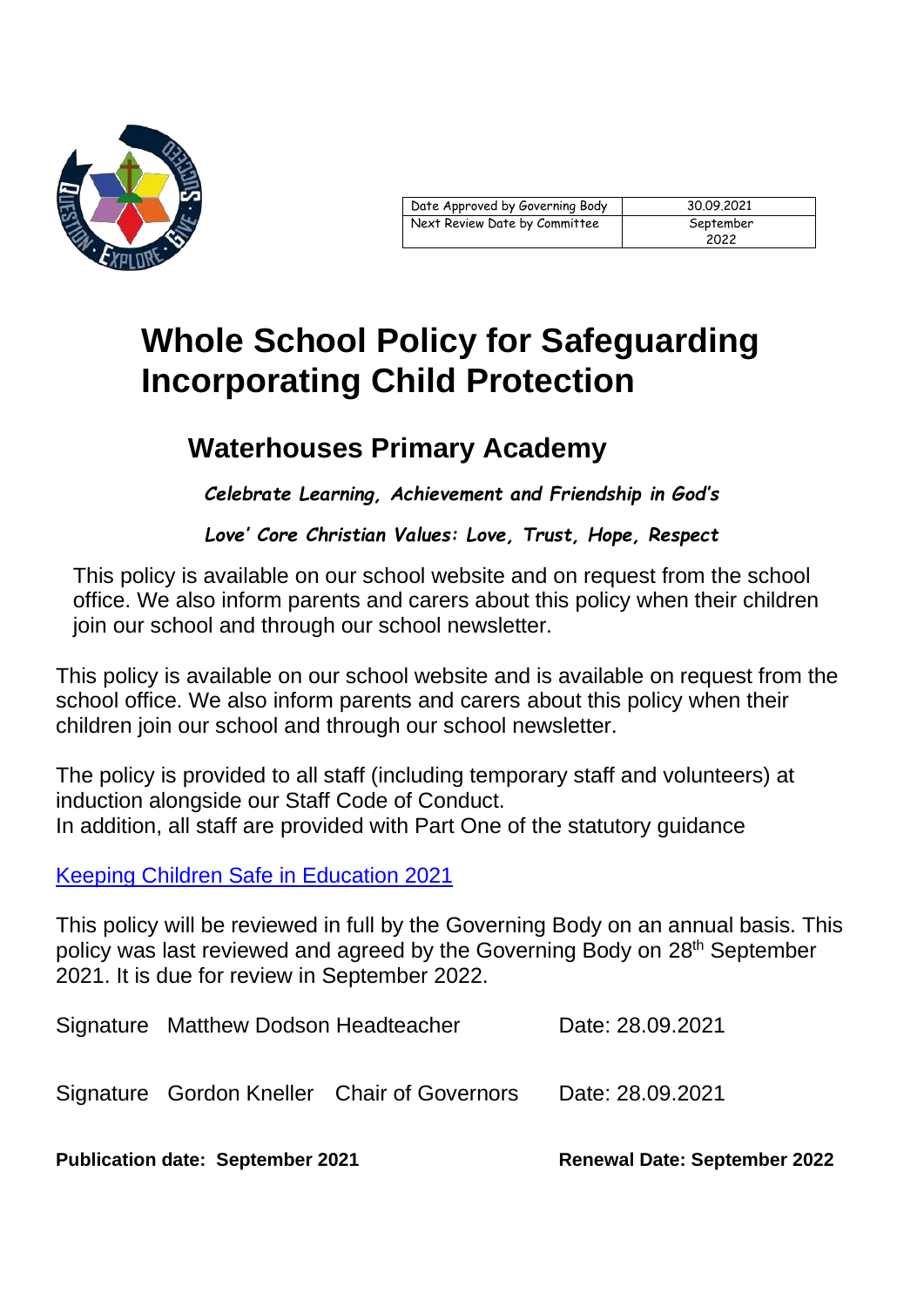

# **Whole School Policy for Safeguarding Incorporating Child Protection**

# **Waterhouses Primary Academy**

*Celebrate Learning, Achievement and Friendship in God's* 

*Love' Core Christian Values: Love, Trust, Hope, Respect*

This policy is available on our school website and on request from the school office. We also inform parents and carers about this policy when their children join our school and through our school newsletter.

This policy is available on our school website and is available on request from the school office. We also inform parents and carers about this policy when their children join our school and through our school newsletter.

The policy is provided to all staff (including temporary staff and volunteers) at induction alongside our Staff Code of Conduct. In addition, all staff are provided with Part One of the statutory guidance

[Keeping Children Safe in Education 2021](file://///WAT-SR-001/Staff/Dodson.M/Governors/30%20Spetember/Keeping%20Children%20Safe%20in%20Education%202021)

This policy will be reviewed in full by the Governing Body on an annual basis. This policy was last reviewed and agreed by the Governing Body on 28th September 2021. It is due for review in September 2022.

| Signature Matthew Dodson Headteacher |                                             | Date: 28.09.2021 |
|--------------------------------------|---------------------------------------------|------------------|
|                                      | Signature Gordon Kneller Chair of Governors | Date: 28.09.2021 |

**Publication date: September 2021 Renewal Date: September 2022**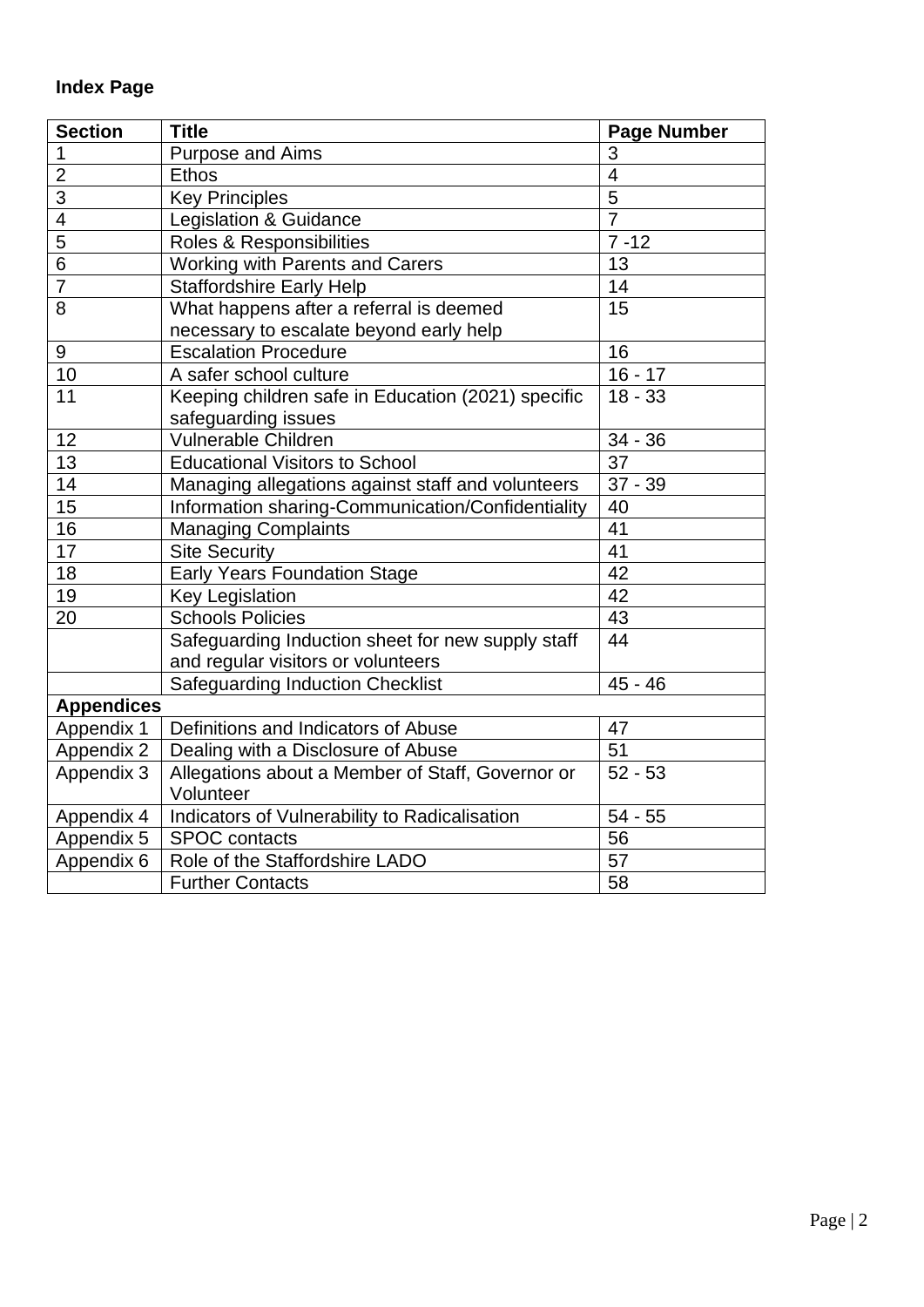# **Index Page**

| <b>Section</b>                                                 | <b>Title</b>                                       | <b>Page Number</b>      |
|----------------------------------------------------------------|----------------------------------------------------|-------------------------|
| 1                                                              | <b>Purpose and Aims</b>                            | 3                       |
| $\overline{2}$                                                 | <b>Ethos</b>                                       | $\overline{\mathbf{4}}$ |
| 3                                                              | <b>Key Principles</b>                              | $\overline{5}$          |
| $\overline{\mathbf{4}}$                                        | Legislation & Guidance                             | $\overline{7}$          |
| 5                                                              | Roles & Responsibilities                           | $7 - 12$                |
| $\overline{6}$                                                 | Working with Parents and Carers                    | 13                      |
| $\overline{7}$                                                 | <b>Staffordshire Early Help</b>                    | 14                      |
| 8                                                              | What happens after a referral is deemed            | 15                      |
|                                                                | necessary to escalate beyond early help            |                         |
| 9                                                              | <b>Escalation Procedure</b>                        | 16                      |
| 10                                                             | A safer school culture                             | $16 - 17$               |
| 11                                                             | Keeping children safe in Education (2021) specific | $18 - 33$               |
|                                                                | safeguarding issues                                |                         |
| 12                                                             | <b>Vulnerable Children</b>                         | $34 - 36$               |
| 13                                                             | <b>Educational Visitors to School</b>              | 37                      |
| 14                                                             | Managing allegations against staff and volunteers  | $37 - 39$               |
| $\overline{15}$                                                | Information sharing-Communication/Confidentiality  | 40                      |
| 16                                                             | <b>Managing Complaints</b>                         | 41                      |
| 17                                                             | <b>Site Security</b>                               | 41                      |
| 18                                                             | <b>Early Years Foundation Stage</b>                | 42                      |
| 19                                                             | <b>Key Legislation</b>                             | 42                      |
| 20                                                             | <b>Schools Policies</b>                            | 43                      |
|                                                                | Safeguarding Induction sheet for new supply staff  | 44                      |
|                                                                | and regular visitors or volunteers                 |                         |
|                                                                | <b>Safeguarding Induction Checklist</b>            | $45 - 46$               |
| <b>Appendices</b>                                              |                                                    |                         |
| Appendix 1                                                     | Definitions and Indicators of Abuse                | 47                      |
| Appendix 2                                                     | Dealing with a Disclosure of Abuse                 | 51                      |
| Allegations about a Member of Staff, Governor or<br>Appendix 3 |                                                    | $52 - 53$               |
|                                                                | Volunteer                                          |                         |
| Appendix 4                                                     | Indicators of Vulnerability to Radicalisation      |                         |
| Appendix 5                                                     | <b>SPOC</b> contacts                               |                         |
| Appendix 6                                                     | Role of the Staffordshire LADO<br>57               |                         |
|                                                                | <b>Further Contacts</b>                            | 58                      |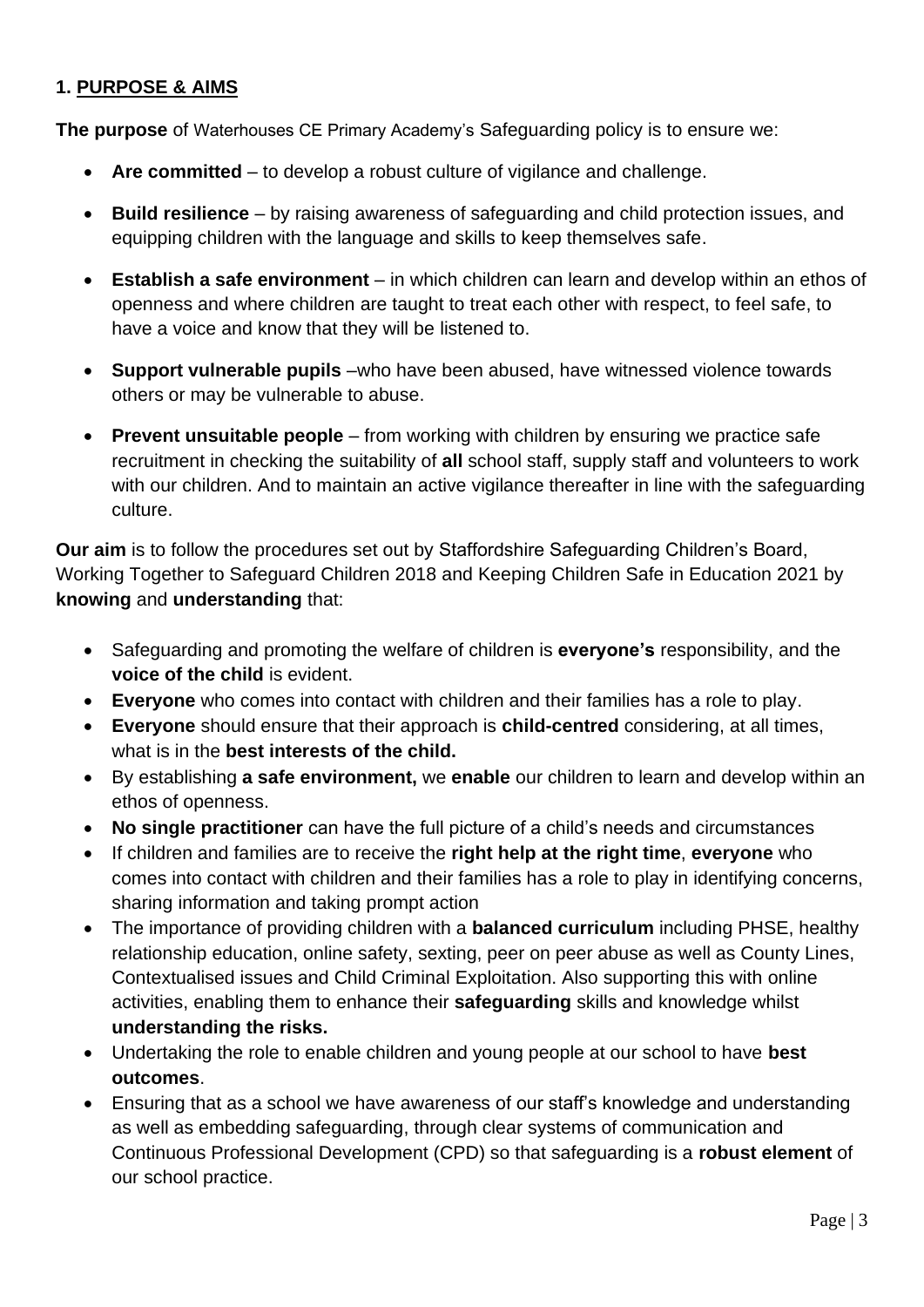## **1. PURPOSE & AIMS**

**The purpose** of Waterhouses CE Primary Academy's Safeguarding policy is to ensure we:

- **Are committed**  to develop a robust culture of vigilance and challenge.
- **Build resilience**  by raising awareness of safeguarding and child protection issues, and equipping children with the language and skills to keep themselves safe.
- **Establish a safe environment**  in which children can learn and develop within an ethos of openness and where children are taught to treat each other with respect, to feel safe, to have a voice and know that they will be listened to.
- **Support vulnerable pupils** –who have been abused, have witnessed violence towards others or may be vulnerable to abuse.
- **Prevent unsuitable people**  from working with children by ensuring we practice safe recruitment in checking the suitability of **all** school staff, supply staff and volunteers to work with our children. And to maintain an active vigilance thereafter in line with the safeguarding culture.

**Our aim** is to follow the procedures set out by Staffordshire Safeguarding Children's Board, Working Together to Safeguard Children 2018 and Keeping Children Safe in Education 2021 by **knowing** and **understanding** that:

- Safeguarding and promoting the welfare of children is **everyone's** responsibility, and the **voice of the child** is evident.
- **Everyone** who comes into contact with children and their families has a role to play.
- **Everyone** should ensure that their approach is **child-centred** considering, at all times, what is in the **best interests of the child.**
- By establishing **a safe environment,** we **enable** our children to learn and develop within an ethos of openness.
- **No single practitioner** can have the full picture of a child's needs and circumstances
- If children and families are to receive the **right help at the right time**, **everyone** who comes into contact with children and their families has a role to play in identifying concerns, sharing information and taking prompt action
- The importance of providing children with a **balanced curriculum** including PHSE, healthy relationship education, online safety, sexting, peer on peer abuse as well as County Lines, Contextualised issues and Child Criminal Exploitation. Also supporting this with online activities, enabling them to enhance their **safeguarding** skills and knowledge whilst **understanding the risks.**
- Undertaking the role to enable children and young people at our school to have **best outcomes**.
- Ensuring that as a school we have awareness of our staff's knowledge and understanding as well as embedding safeguarding, through clear systems of communication and Continuous Professional Development (CPD) so that safeguarding is a **robust element** of our school practice.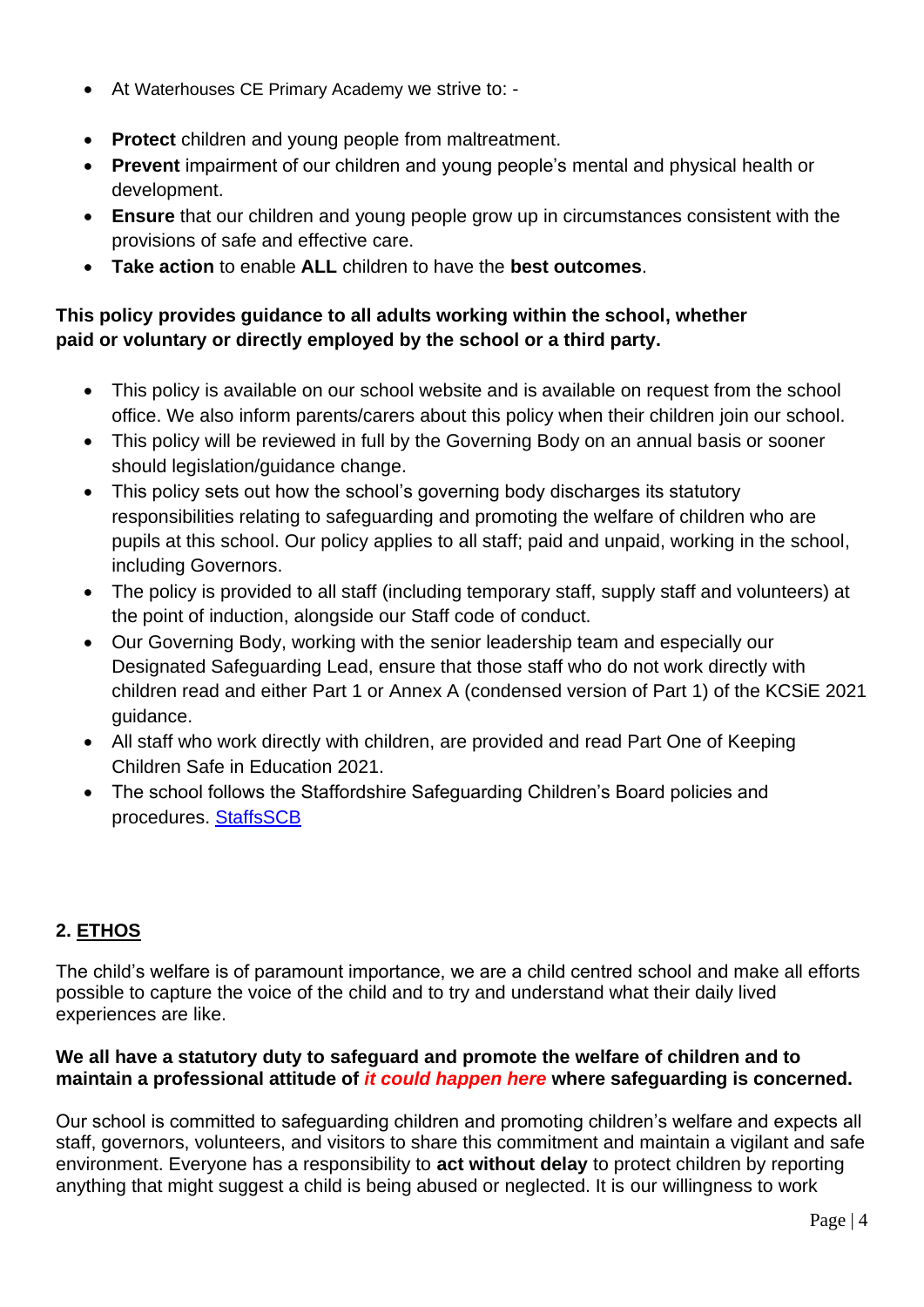- At Waterhouses CE Primary Academy we strive to: -
- **Protect** children and young people from maltreatment.
- **Prevent** impairment of our children and young people's mental and physical health or development.
- **Ensure** that our children and young people grow up in circumstances consistent with the provisions of safe and effective care.
- **Take action** to enable **ALL** children to have the **best outcomes**.

## **This policy provides guidance to all adults working within the school, whether paid or voluntary or directly employed by the school or a third party.**

- This policy is available on our school website and is available on request from the school office. We also inform parents/carers about this policy when their children join our school.
- This policy will be reviewed in full by the Governing Body on an annual basis or sooner should legislation/guidance change.
- This policy sets out how the school's governing body discharges its statutory responsibilities relating to safeguarding and promoting the welfare of children who are pupils at this school. Our policy applies to all staff; paid and unpaid, working in the school, including Governors.
- The policy is provided to all staff (including temporary staff, supply staff and volunteers) at the point of induction, alongside our Staff code of conduct.
- Our Governing Body, working with the senior leadership team and especially our Designated Safeguarding Lead, ensure that those staff who do not work directly with children read and either Part 1 or Annex A (condensed version of Part 1) of the KCSiE 2021 guidance.
- All staff who work directly with children, are provided and read Part One of Keeping Children Safe in Education 2021.
- The school follows the Staffordshire Safeguarding Children's Board policies and procedures. [StaffsSCB](https://www.staffsscb.org.uk/)

## **2. ETHOS**

The child's welfare is of paramount importance, we are a child centred school and make all efforts possible to capture the voice of the child and to try and understand what their daily lived experiences are like.

## **We all have a statutory duty to safeguard and promote the welfare of children and to maintain a professional attitude of** *it could happen here* **where safeguarding is concerned.**

Our school is committed to safeguarding children and promoting children's welfare and expects all staff, governors, volunteers, and visitors to share this commitment and maintain a vigilant and safe environment. Everyone has a responsibility to **act without delay** to protect children by reporting anything that might suggest a child is being abused or neglected. It is our willingness to work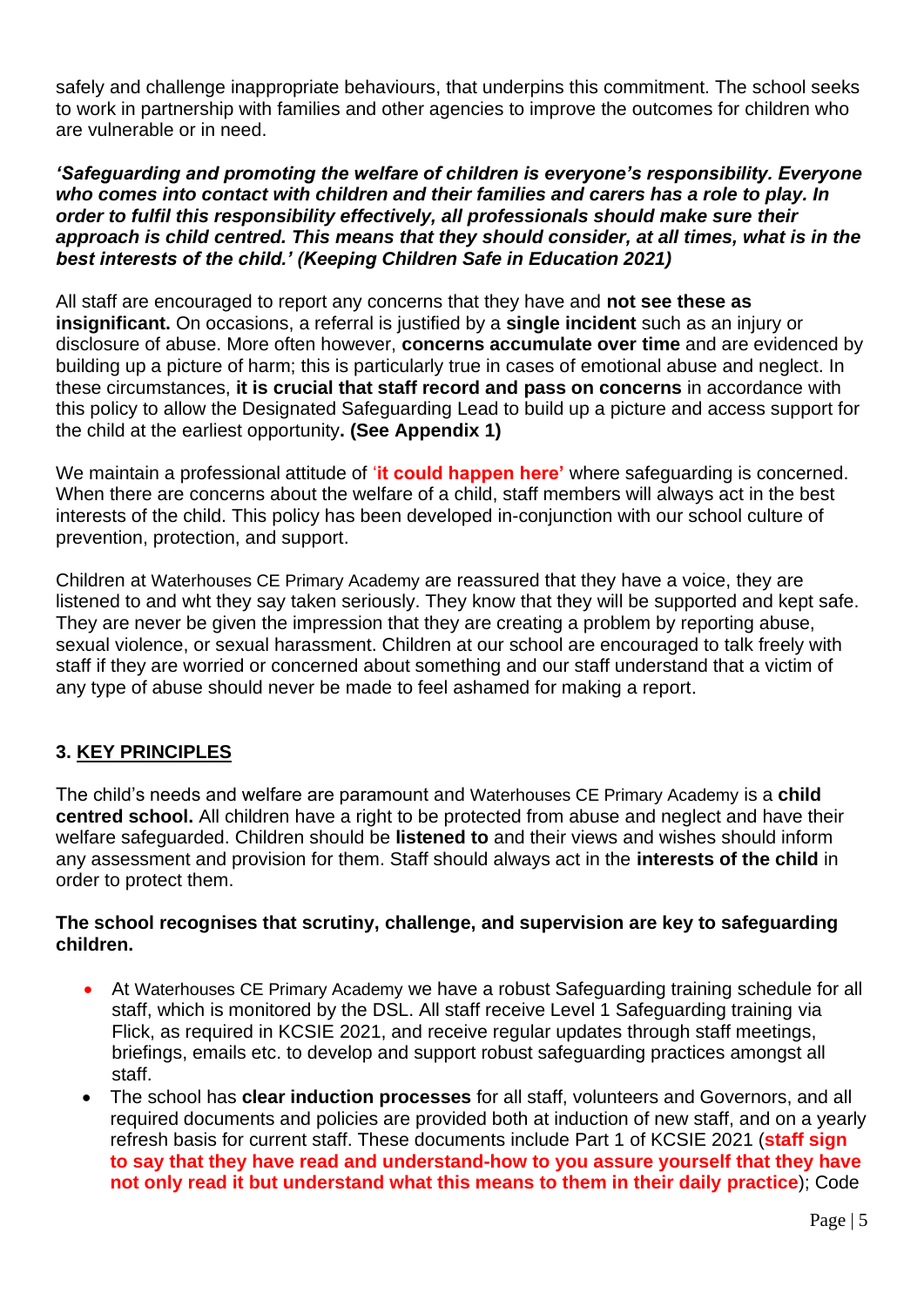safely and challenge inappropriate behaviours, that underpins this commitment. The school seeks to work in partnership with families and other agencies to improve the outcomes for children who are vulnerable or in need.

*'Safeguarding and promoting the welfare of children is everyone's responsibility. Everyone who comes into contact with children and their families and carers has a role to play. In order to fulfil this responsibility effectively, all professionals should make sure their approach is child centred. This means that they should consider, at all times, what is in the best interests of the child.' (Keeping Children Safe in Education 2021)* 

All staff are encouraged to report any concerns that they have and **not see these as insignificant.** On occasions, a referral is justified by a **single incident** such as an injury or disclosure of abuse. More often however, **concerns accumulate over time** and are evidenced by building up a picture of harm; this is particularly true in cases of emotional abuse and neglect. In these circumstances, **it is crucial that staff record and pass on concerns** in accordance with this policy to allow the Designated Safeguarding Lead to build up a picture and access support for the child at the earliest opportunity**. (See Appendix 1)**

We maintain a professional attitude of '**it could happen here'** where safeguarding is concerned. When there are concerns about the welfare of a child, staff members will always act in the best interests of the child. This policy has been developed in-conjunction with our school culture of prevention, protection, and support.

Children at Waterhouses CE Primary Academy are reassured that they have a voice, they are listened to and wht they say taken seriously. They know that they will be supported and kept safe. They are never be given the impression that they are creating a problem by reporting abuse, sexual violence, or sexual harassment. Children at our school are encouraged to talk freely with staff if they are worried or concerned about something and our staff understand that a victim of any type of abuse should never be made to feel ashamed for making a report.

## **3. KEY PRINCIPLES**

The child's needs and welfare are paramount and Waterhouses CE Primary Academy is a **child centred school.** All children have a right to be protected from abuse and neglect and have their welfare safeguarded. Children should be **listened to** and their views and wishes should inform any assessment and provision for them. Staff should always act in the **interests of the child** in order to protect them.

### **The school recognises that scrutiny, challenge, and supervision are key to safeguarding children.**

- At Waterhouses CE Primary Academy we have a robust Safeguarding training schedule for all staff, which is monitored by the DSL. All staff receive Level 1 Safeguarding training via Flick, as required in KCSIE 2021, and receive regular updates through staff meetings, briefings, emails etc. to develop and support robust safeguarding practices amongst all staff.
- The school has **clear induction processes** for all staff, volunteers and Governors, and all required documents and policies are provided both at induction of new staff, and on a yearly refresh basis for current staff. These documents include Part 1 of KCSIE 2021 (**staff sign to say that they have read and understand-how to you assure yourself that they have not only read it but understand what this means to them in their daily practice**); Code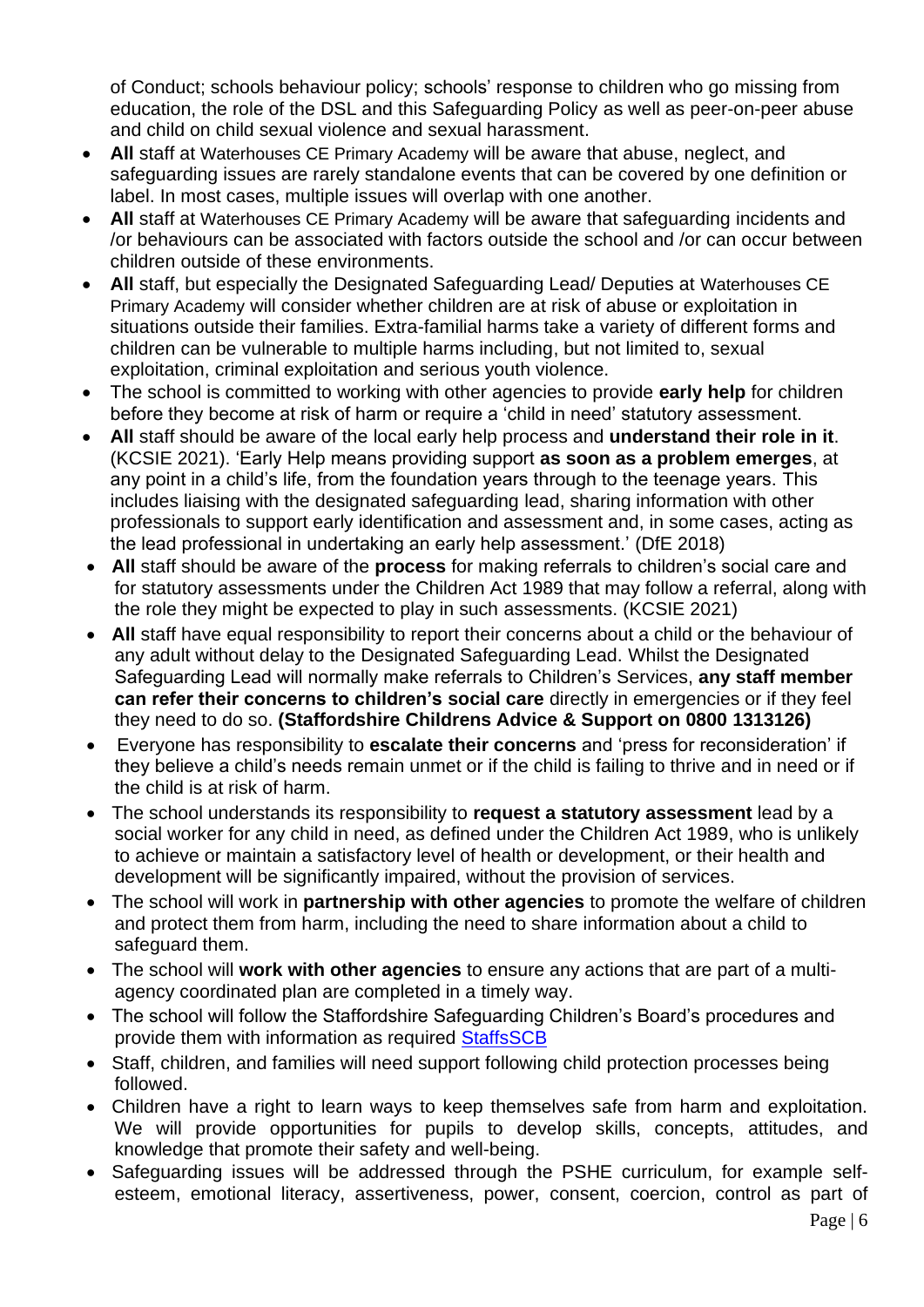of Conduct; schools behaviour policy; schools' response to children who go missing from education, the role of the DSL and this Safeguarding Policy as well as peer-on-peer abuse and child on child sexual violence and sexual harassment.

- **All** staff at Waterhouses CE Primary Academy will be aware that abuse, neglect, and safeguarding issues are rarely standalone events that can be covered by one definition or label. In most cases, multiple issues will overlap with one another.
- **All** staff at Waterhouses CE Primary Academy will be aware that safeguarding incidents and /or behaviours can be associated with factors outside the school and /or can occur between children outside of these environments.
- **All** staff, but especially the Designated Safeguarding Lead/ Deputies at Waterhouses CE Primary Academy will consider whether children are at risk of abuse or exploitation in situations outside their families. Extra-familial harms take a variety of different forms and children can be vulnerable to multiple harms including, but not limited to, sexual exploitation, criminal exploitation and serious youth violence.
- The school is committed to working with other agencies to provide **early help** for children before they become at risk of harm or require a 'child in need' statutory assessment.
- **All** staff should be aware of the local early help process and **understand their role in it**. (KCSIE 2021). 'Early Help means providing support **as soon as a problem emerges**, at any point in a child's life, from the foundation years through to the teenage years. This includes liaising with the designated safeguarding lead, sharing information with other professionals to support early identification and assessment and, in some cases, acting as the lead professional in undertaking an early help assessment.' (DfE 2018)
- **All** staff should be aware of the **process** for making referrals to children's social care and for statutory assessments under the Children Act 1989 that may follow a referral, along with the role they might be expected to play in such assessments. (KCSIE 2021)
- **All** staff have equal responsibility to report their concerns about a child or the behaviour of any adult without delay to the Designated Safeguarding Lead. Whilst the Designated Safeguarding Lead will normally make referrals to Children's Services, **any staff member can refer their concerns to children's social care** directly in emergencies or if they feel they need to do so. **(Staffordshire Childrens Advice & Support on 0800 1313126)**
- Everyone has responsibility to **escalate their concerns** and 'press for reconsideration' if they believe a child's needs remain unmet or if the child is failing to thrive and in need or if the child is at risk of harm.
- The school understands its responsibility to **request a statutory assessment** lead by a social worker for any child in need, as defined under the Children Act 1989, who is unlikely to achieve or maintain a satisfactory level of health or development, or their health and development will be significantly impaired, without the provision of services.
- The school will work in **partnership with other agencies** to promote the welfare of children and protect them from harm, including the need to share information about a child to safeguard them.
- The school will **work with other agencies** to ensure any actions that are part of a multiagency coordinated plan are completed in a timely way.
- The school will follow the Staffordshire Safeguarding Children's Board's procedures and provide them with information as required [StaffsSCB](https://www.staffsscb.org.uk/)
- Staff, children, and families will need support following child protection processes being followed.
- Children have a right to learn ways to keep themselves safe from harm and exploitation. We will provide opportunities for pupils to develop skills, concepts, attitudes, and knowledge that promote their safety and well-being.
- Safeguarding issues will be addressed through the PSHE curriculum, for example selfesteem, emotional literacy, assertiveness, power, consent, coercion, control as part of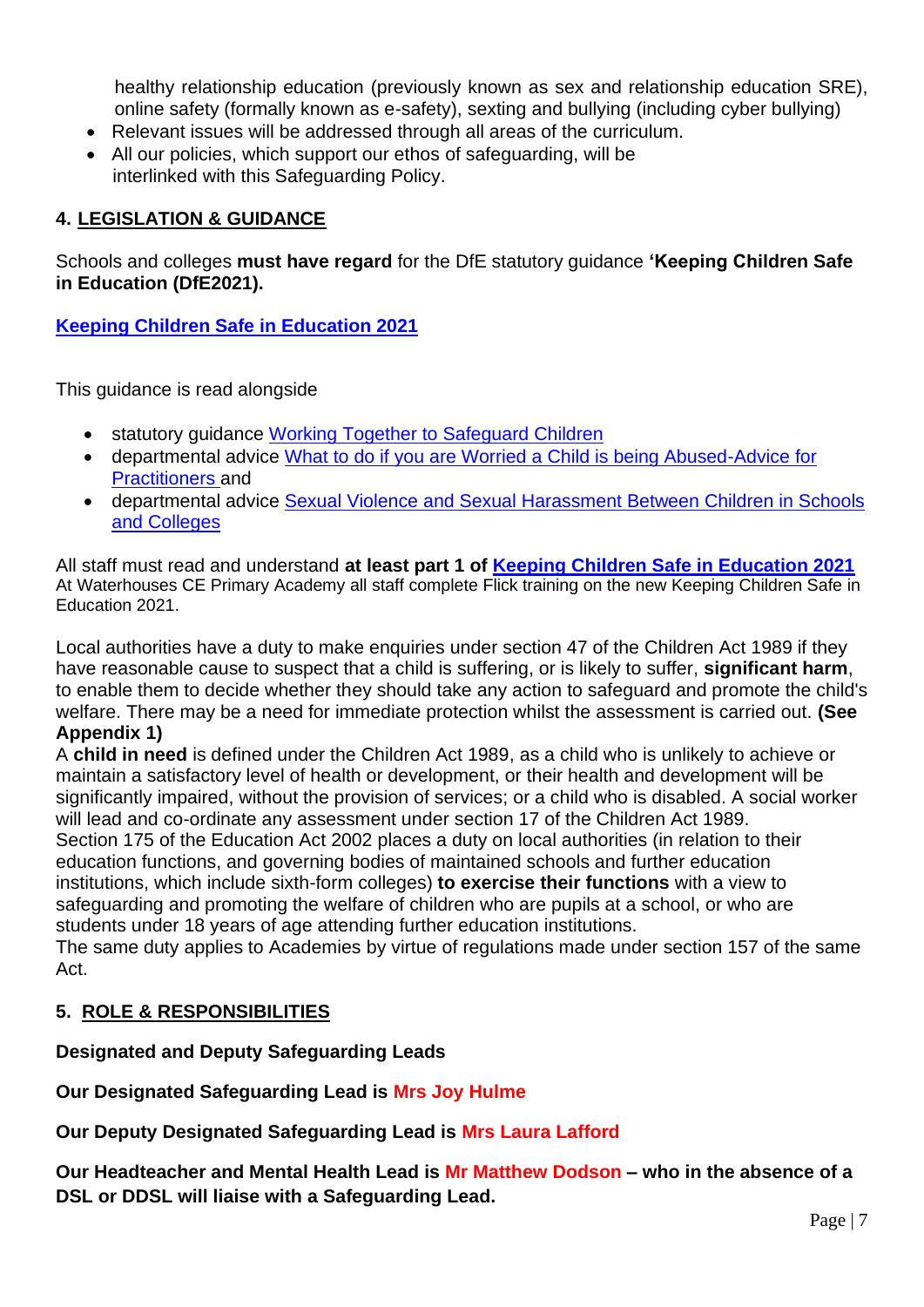healthy relationship education (previously known as sex and relationship education SRE), online safety (formally known as e-safety), sexting and bullying (including cyber bullying)

- Relevant issues will be addressed through all areas of the curriculum.
- All our policies, which support our ethos of safeguarding, will be interlinked with this Safeguarding Policy.

## **4. LEGISLATION & GUIDANCE**

Schools and colleges **must have regard** for the DfE statutory guidance **'Keeping Children Safe in Education (DfE2021).**

**[Keeping Children Safe in Education 2021](https://assets.publishing.service.gov.uk/government/uploads/system/uploads/attachment_data/file/1007260/Keeping_children_safe_in_education_2021.pdf)**

This guidance is read alongside

- statutory quidance [Working Together to Safeguard Children](https://assets.publishing.service.gov.uk/government/uploads/system/uploads/attachment_data/file/942454/Working_together_to_safeguard_children_inter_agency_guidance.pdf)
- departmental advice [What to do if you are Worried a Child is being Abused-Advice for](https://assets.publishing.service.gov.uk/government/uploads/system/uploads/attachment_data/file/419604/What_to_do_if_you_re_worried_a_child_is_being_abused.pdf)  [Practitioners a](https://assets.publishing.service.gov.uk/government/uploads/system/uploads/attachment_data/file/419604/What_to_do_if_you_re_worried_a_child_is_being_abused.pdf)nd
- departmental advice Sexual Violence and Sexual Harassment Between Children in Schools [and Colleges](https://assets.publishing.service.gov.uk/government/uploads/system/uploads/attachment_data/file/999239/SVSH_2021.pdf)

All staff must read and understand **at least part 1 of [Keeping Children Safe in Education 2021](https://assets.publishing.service.gov.uk/government/uploads/system/uploads/attachment_data/file/1007260/Keeping_children_safe_in_education_2021.pdf)** At Waterhouses CE Primary Academy all staff complete Flick training on the new Keeping Children Safe in Education 2021.

Local authorities have a duty to make enquiries under section 47 of the Children Act 1989 if they have reasonable cause to suspect that a child is suffering, or is likely to suffer, **significant harm**, to enable them to decide whether they should take any action to safeguard and promote the child's welfare. There may be a need for immediate protection whilst the assessment is carried out. **(See Appendix 1)**

A **child in need** is defined under the Children Act 1989, as a child who is unlikely to achieve or maintain a satisfactory level of health or development, or their health and development will be significantly impaired, without the provision of services; or a child who is disabled. A social worker will lead and co-ordinate any assessment under section 17 of the Children Act 1989. Section 175 of the Education Act 2002 places a duty on local authorities (in relation to their education functions, and governing bodies of maintained schools and further education institutions, which include sixth-form colleges) **to exercise their functions** with a view to safeguarding and promoting the welfare of children who are pupils at a school, or who are students under 18 years of age attending further education institutions. The same duty applies to Academies by virtue of regulations made under section 157 of the same

## **5. ROLE & RESPONSIBILITIES**

Act.

### **Designated and Deputy Safeguarding Leads**

**Our Designated Safeguarding Lead is Mrs Joy Hulme**

**Our Deputy Designated Safeguarding Lead is Mrs Laura Lafford**

**Our Headteacher and Mental Health Lead is Mr Matthew Dodson – who in the absence of a DSL or DDSL will liaise with a Safeguarding Lead.**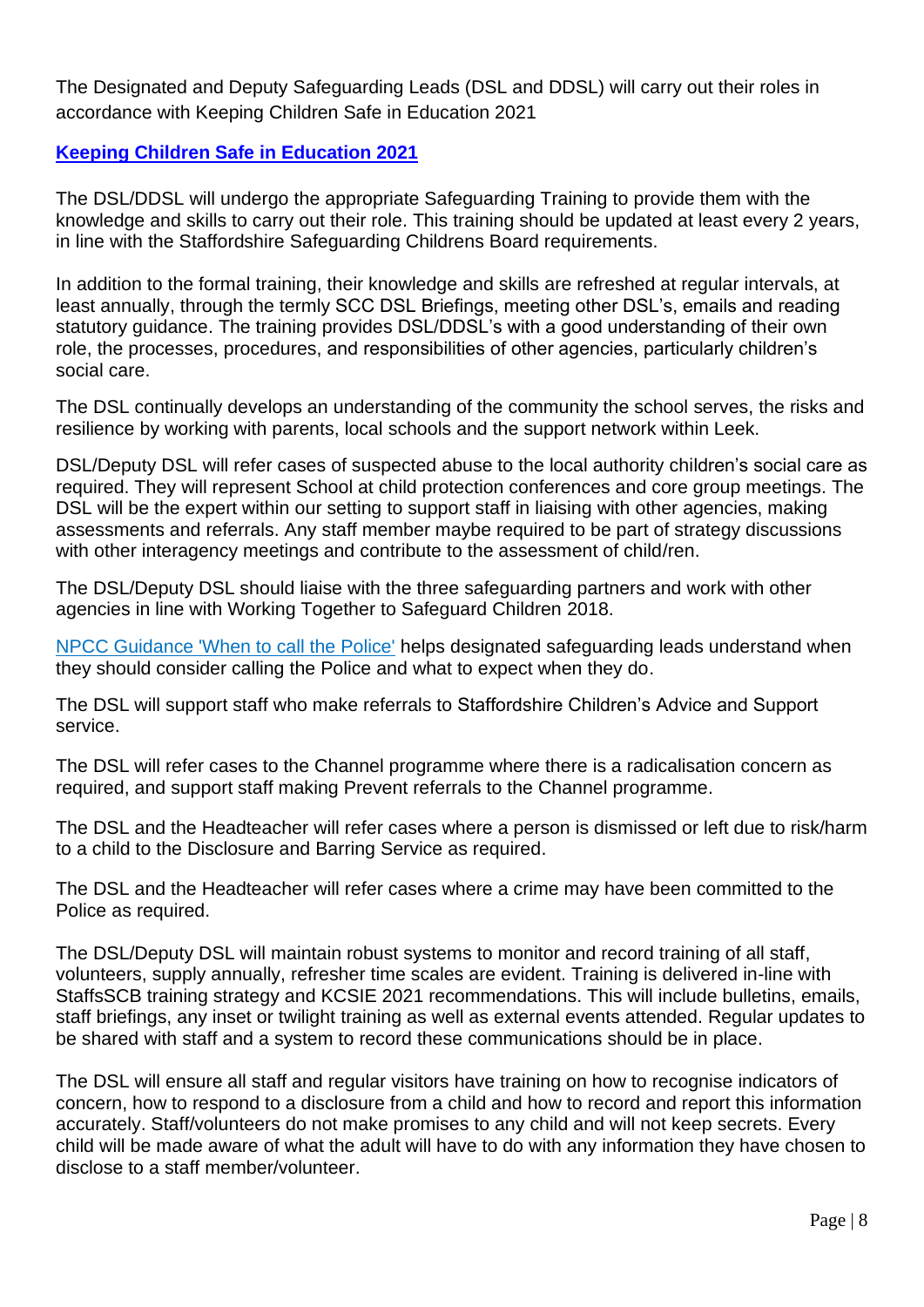The Designated and Deputy Safeguarding Leads (DSL and DDSL) will carry out their roles in accordance with Keeping Children Safe in Education 2021

## **[Keeping Children Safe in Education 2021](https://assets.publishing.service.gov.uk/government/uploads/system/uploads/attachment_data/file/1007260/Keeping_children_safe_in_education_2021.pdf)**

The DSL/DDSL will undergo the appropriate Safeguarding Training to provide them with the knowledge and skills to carry out their role. This training should be updated at least every 2 years, in line with the Staffordshire Safeguarding Childrens Board requirements.

In addition to the formal training, their knowledge and skills are refreshed at regular intervals, at least annually, through the termly SCC DSL Briefings, meeting other DSL's, emails and reading statutory guidance. The training provides DSL/DDSL's with a good understanding of their own role, the processes, procedures, and responsibilities of other agencies, particularly children's social care.

The DSL continually develops an understanding of the community the school serves, the risks and resilience by working with parents, local schools and the support network within Leek.

DSL/Deputy DSL will refer cases of suspected abuse to the local authority children's social care as required. They will represent School at child protection conferences and core group meetings. The DSL will be the expert within our setting to support staff in liaising with other agencies, making assessments and referrals. Any staff member maybe required to be part of strategy discussions with other interagency meetings and contribute to the assessment of child/ren.

The DSL/Deputy DSL should liaise with the three safeguarding partners and work with other agencies in line with Working Together to Safeguard Children 2018.

[NPCC Guidance 'When to call the Police'](https://www.npcc.police.uk/documents/Children%20and%20Young%20people/When%20to%20call%20police%20guidance%20for%20schools%20and%20colleges.pdf) helps designated safeguarding leads understand when they should consider calling the Police and what to expect when they do.

The DSL will support staff who make referrals to Staffordshire Children's Advice and Support service.

The DSL will refer cases to the Channel programme where there is a radicalisation concern as required, and support staff making Prevent referrals to the Channel programme.

The DSL and the Headteacher will refer cases where a person is dismissed or left due to risk/harm to a child to the Disclosure and Barring Service as required.

The DSL and the Headteacher will refer cases where a crime may have been committed to the Police as required.

The DSL/Deputy DSL will maintain robust systems to monitor and record training of all staff, volunteers, supply annually, refresher time scales are evident. Training is delivered in-line with StaffsSCB training strategy and KCSIE 2021 recommendations. This will include bulletins, emails, staff briefings, any inset or twilight training as well as external events attended. Regular updates to be shared with staff and a system to record these communications should be in place.

The DSL will ensure all staff and regular visitors have training on how to recognise indicators of concern, how to respond to a disclosure from a child and how to record and report this information accurately. Staff/volunteers do not make promises to any child and will not keep secrets. Every child will be made aware of what the adult will have to do with any information they have chosen to disclose to a staff member/volunteer.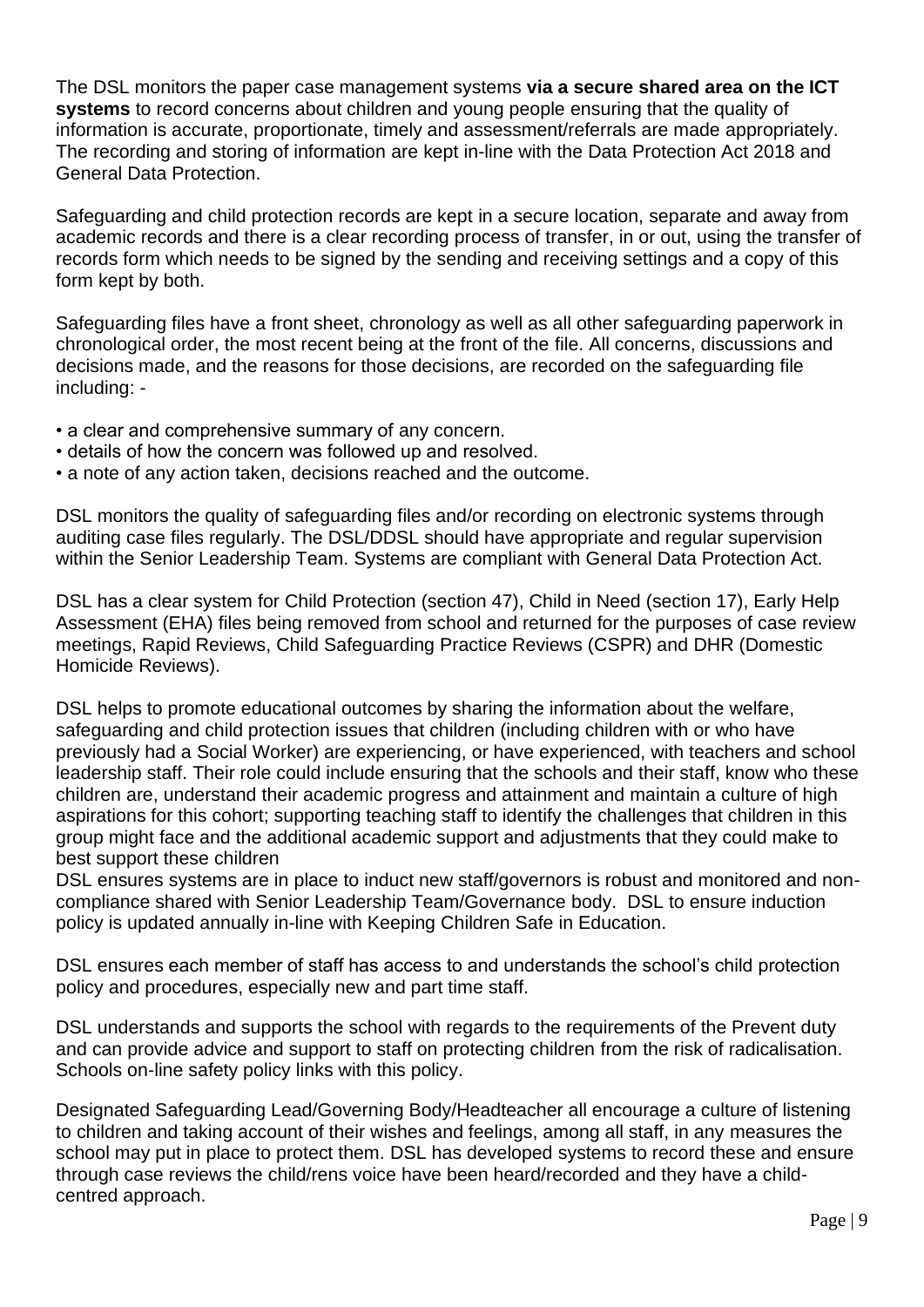The DSL monitors the paper case management systems **via a secure shared area on the ICT systems** to record concerns about children and young people ensuring that the quality of information is accurate, proportionate, timely and assessment/referrals are made appropriately. The recording and storing of information are kept in-line with the Data Protection Act 2018 and General Data Protection.

Safeguarding and child protection records are kept in a secure location, separate and away from academic records and there is a clear recording process of transfer, in or out, using the transfer of records form which needs to be signed by the sending and receiving settings and a copy of this form kept by both.

Safeguarding files have a front sheet, chronology as well as all other safeguarding paperwork in chronological order, the most recent being at the front of the file. All concerns, discussions and decisions made, and the reasons for those decisions, are recorded on the safeguarding file including: -

- a clear and comprehensive summary of any concern.
- details of how the concern was followed up and resolved.
- a note of any action taken, decisions reached and the outcome.

DSL monitors the quality of safeguarding files and/or recording on electronic systems through auditing case files regularly. The DSL/DDSL should have appropriate and regular supervision within the Senior Leadership Team. Systems are compliant with General Data Protection Act.

DSL has a clear system for Child Protection (section 47), Child in Need (section 17), Early Help Assessment (EHA) files being removed from school and returned for the purposes of case review meetings, Rapid Reviews, Child Safeguarding Practice Reviews (CSPR) and DHR (Domestic Homicide Reviews).

DSL helps to promote educational outcomes by sharing the information about the welfare, safeguarding and child protection issues that children (including children with or who have previously had a Social Worker) are experiencing, or have experienced, with teachers and school leadership staff. Their role could include ensuring that the schools and their staff, know who these children are, understand their academic progress and attainment and maintain a culture of high aspirations for this cohort; supporting teaching staff to identify the challenges that children in this group might face and the additional academic support and adjustments that they could make to best support these children

DSL ensures systems are in place to induct new staff/governors is robust and monitored and noncompliance shared with Senior Leadership Team/Governance body. DSL to ensure induction policy is updated annually in-line with Keeping Children Safe in Education.

DSL ensures each member of staff has access to and understands the school's child protection policy and procedures, especially new and part time staff.

DSL understands and supports the school with regards to the requirements of the Prevent duty and can provide advice and support to staff on protecting children from the risk of radicalisation. Schools on-line safety policy links with this policy.

Designated Safeguarding Lead/Governing Body/Headteacher all encourage a culture of listening to children and taking account of their wishes and feelings, among all staff, in any measures the school may put in place to protect them. DSL has developed systems to record these and ensure through case reviews the child/rens voice have been heard/recorded and they have a childcentred approach.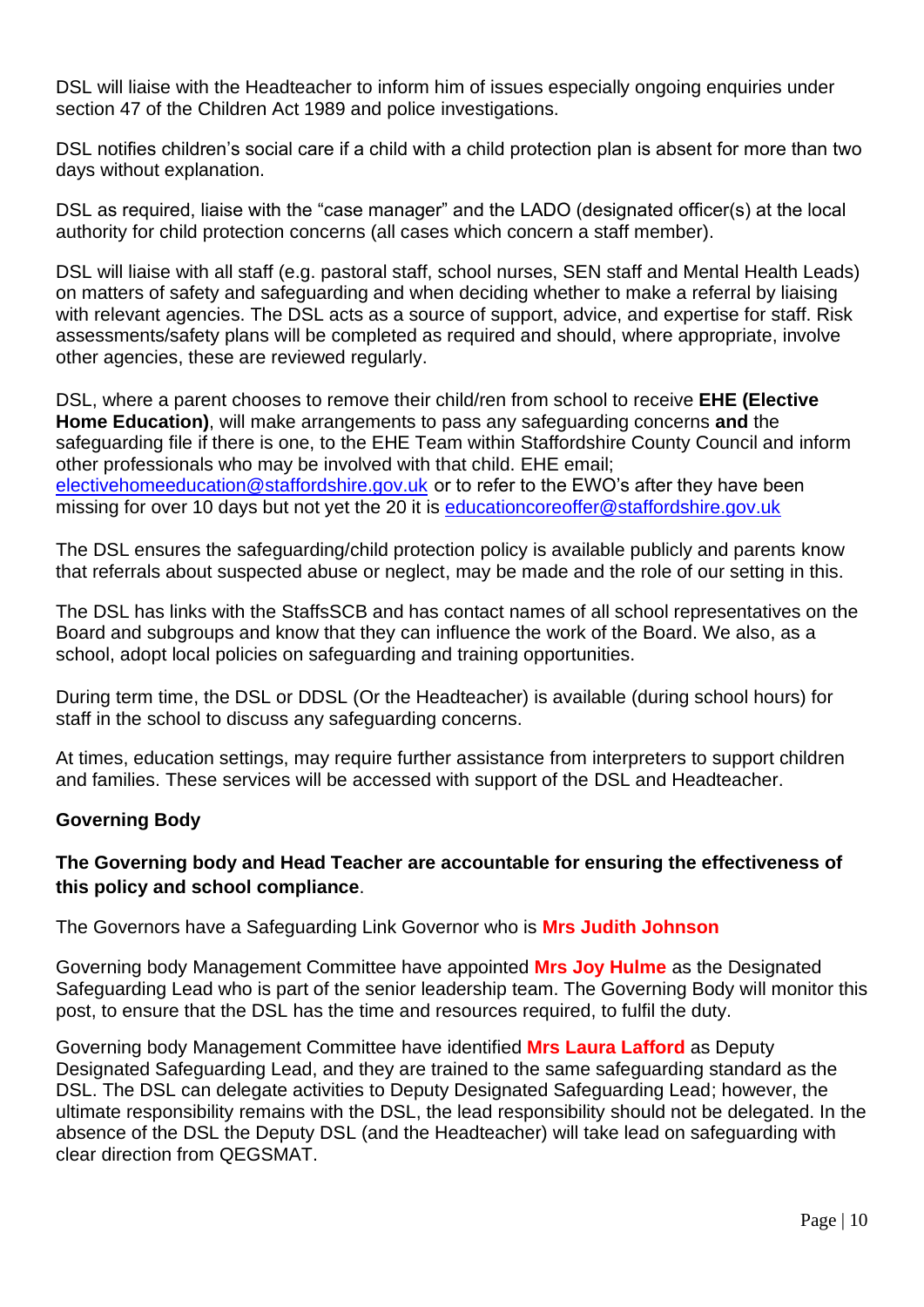DSL will liaise with the Headteacher to inform him of issues especially ongoing enquiries under section 47 of the Children Act 1989 and police investigations.

DSL notifies children's social care if a child with a child protection plan is absent for more than two days without explanation.

DSL as required, liaise with the "case manager" and the LADO (designated officer(s) at the local authority for child protection concerns (all cases which concern a staff member).

DSL will liaise with all staff (e.g. pastoral staff, school nurses, SEN staff and Mental Health Leads) on matters of safety and safeguarding and when deciding whether to make a referral by liaising with relevant agencies. The DSL acts as a source of support, advice, and expertise for staff. Risk assessments/safety plans will be completed as required and should, where appropriate, involve other agencies, these are reviewed regularly.

DSL, where a parent chooses to remove their child/ren from school to receive **EHE (Elective Home Education)**, will make arrangements to pass any safeguarding concerns **and** the safeguarding file if there is one, to the EHE Team within Staffordshire County Council and inform other professionals who may be involved with that child. EHE email; [electivehomeeducation@staffordshire.gov.uk](mailto:electivehomeeducation@staffordshire.gov.uk) or to refer to the EWO's after they have been missing for over 10 days but not yet the 20 it is [educationcoreoffer@staffordshire.gov.uk](mailto:educationcoreoffer@staffordshire.gov.uk)

The DSL ensures the safeguarding/child protection policy is available publicly and parents know that referrals about suspected abuse or neglect, may be made and the role of our setting in this.

The DSL has links with the StaffsSCB and has contact names of all school representatives on the Board and subgroups and know that they can influence the work of the Board. We also, as a school, adopt local policies on safeguarding and training opportunities.

During term time, the DSL or DDSL (Or the Headteacher) is available (during school hours) for staff in the school to discuss any safeguarding concerns.

At times, education settings, may require further assistance from interpreters to support children and families. These services will be accessed with support of the DSL and Headteacher.

## **Governing Body**

## **The Governing body and Head Teacher are accountable for ensuring the effectiveness of this policy and school compliance**.

The Governors have a Safeguarding Link Governor who is **Mrs Judith Johnson**

Governing body Management Committee have appointed **Mrs Joy Hulme** as the Designated Safeguarding Lead who is part of the senior leadership team. The Governing Body will monitor this post, to ensure that the DSL has the time and resources required, to fulfil the duty.

Governing body Management Committee have identified **Mrs Laura Lafford** as Deputy Designated Safeguarding Lead, and they are trained to the same safeguarding standard as the DSL. The DSL can delegate activities to Deputy Designated Safeguarding Lead; however, the ultimate responsibility remains with the DSL, the lead responsibility should not be delegated. In the absence of the DSL the Deputy DSL (and the Headteacher) will take lead on safeguarding with clear direction from QEGSMAT.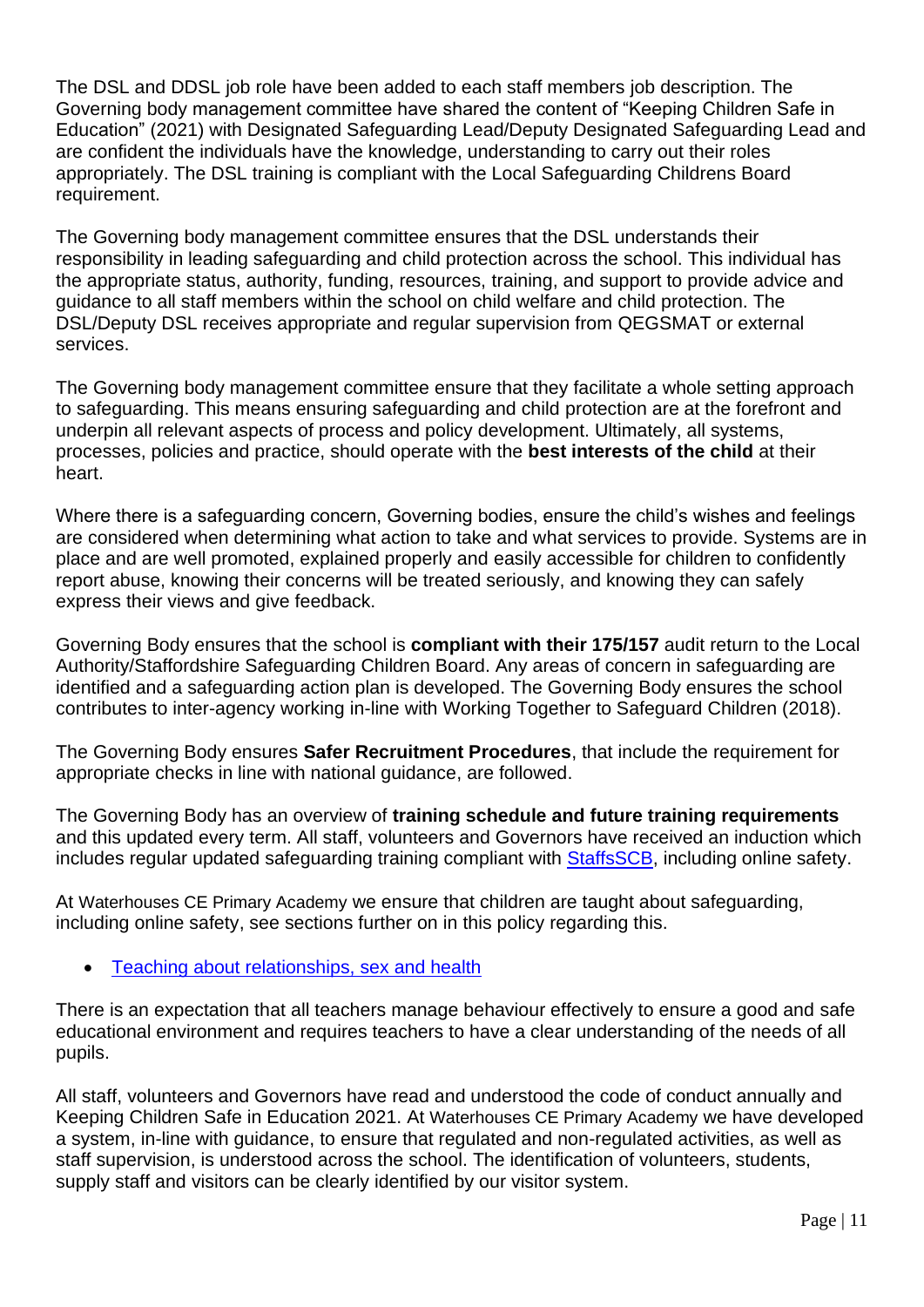The DSL and DDSL job role have been added to each staff members job description. The Governing body management committee have shared the content of "Keeping Children Safe in Education" (2021) with Designated Safeguarding Lead/Deputy Designated Safeguarding Lead and are confident the individuals have the knowledge, understanding to carry out their roles appropriately. The DSL training is compliant with the Local Safeguarding Childrens Board requirement.

The Governing body management committee ensures that the DSL understands their responsibility in leading safeguarding and child protection across the school. This individual has the appropriate status, authority, funding, resources, training, and support to provide advice and guidance to all staff members within the school on child welfare and child protection. The DSL/Deputy DSL receives appropriate and regular supervision from QEGSMAT or external services.

The Governing body management committee ensure that they facilitate a whole setting approach to safeguarding. This means ensuring safeguarding and child protection are at the forefront and underpin all relevant aspects of process and policy development. Ultimately, all systems, processes, policies and practice, should operate with the **best interests of the child** at their heart.

Where there is a safeguarding concern, Governing bodies, ensure the child's wishes and feelings are considered when determining what action to take and what services to provide. Systems are in place and are well promoted, explained properly and easily accessible for children to confidently report abuse, knowing their concerns will be treated seriously, and knowing they can safely express their views and give feedback.

Governing Body ensures that the school is **compliant with their 175/157** audit return to the Local Authority/Staffordshire Safeguarding Children Board. Any areas of concern in safeguarding are identified and a safeguarding action plan is developed. The Governing Body ensures the school contributes to inter-agency working in-line with Working Together to Safeguard Children (2018).

The Governing Body ensures **Safer Recruitment Procedures**, that include the requirement for appropriate checks in line with national guidance, are followed.

The Governing Body has an overview of **training schedule and future training requirements** and this updated every term. All staff, volunteers and Governors have received an induction which includes regular updated safeguarding training compliant with **StaffsSCB**, including online safety.

At Waterhouses CE Primary Academy we ensure that children are taught about safeguarding, including online safety, see sections further on in this policy regarding this.

• [Teaching about relationships, sex and health](https://www.gov.uk/guidance/teaching-about-relationships-sex-and-health)

There is an expectation that all teachers manage behaviour effectively to ensure a good and safe educational environment and requires teachers to have a clear understanding of the needs of all pupils.

All staff, volunteers and Governors have read and understood the code of conduct annually and Keeping Children Safe in Education 2021. At Waterhouses CE Primary Academy we have developed a system, in-line with guidance, to ensure that regulated and non-regulated activities, as well as staff supervision, is understood across the school. The identification of volunteers, students, supply staff and visitors can be clearly identified by our visitor system.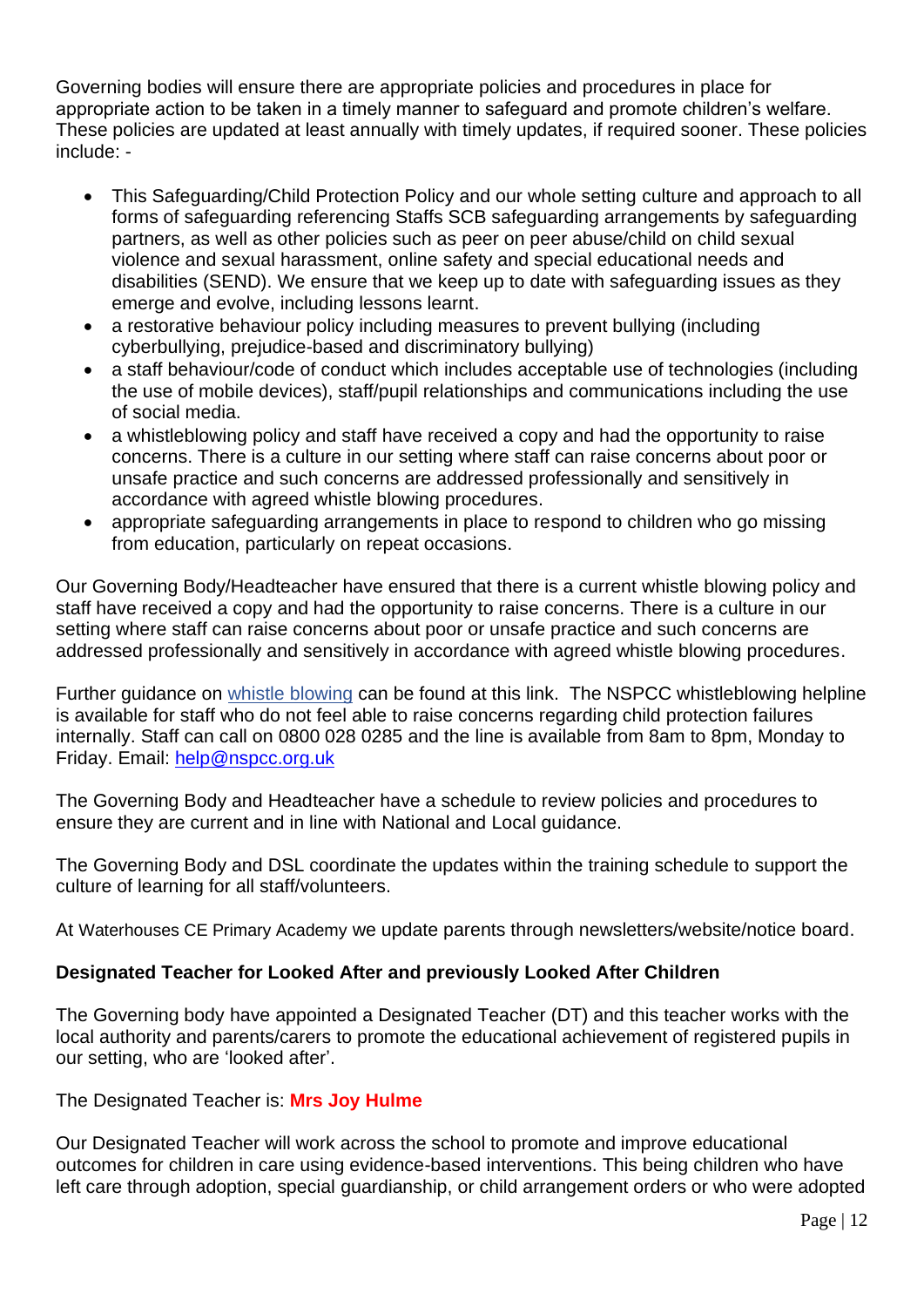Governing bodies will ensure there are appropriate policies and procedures in place for appropriate action to be taken in a timely manner to safeguard and promote children's welfare. These policies are updated at least annually with timely updates, if required sooner. These policies include: -

- This Safeguarding/Child Protection Policy and our whole setting culture and approach to all forms of safeguarding referencing Staffs SCB safeguarding arrangements by safeguarding partners, as well as other policies such as peer on peer abuse/child on child sexual violence and sexual harassment, online safety and special educational needs and disabilities (SEND). We ensure that we keep up to date with safeguarding issues as they emerge and evolve, including lessons learnt.
- a restorative behaviour policy including measures to prevent bullying (including cyberbullying, prejudice-based and discriminatory bullying)
- a staff behaviour/code of conduct which includes acceptable use of technologies (including the use of mobile devices), staff/pupil relationships and communications including the use of social media.
- a whistleblowing policy and staff have received a copy and had the opportunity to raise concerns. There is a culture in our setting where staff can raise concerns about poor or unsafe practice and such concerns are addressed professionally and sensitively in accordance with agreed whistle blowing procedures.
- appropriate safeguarding arrangements in place to respond to children who go missing from education, particularly on repeat occasions.

Our Governing Body/Headteacher have ensured that there is a current whistle blowing policy and staff have received a copy and had the opportunity to raise concerns. There is a culture in our setting where staff can raise concerns about poor or unsafe practice and such concerns are addressed professionally and sensitively in accordance with agreed whistle blowing procedures.

Further guidance on [whistle blowing](https://www.gov.uk/whistleblowing) can be found at this link. The NSPCC whistleblowing helpline is available for staff who do not feel able to raise concerns regarding child protection failures internally. Staff can call on 0800 028 0285 and the line is available from 8am to 8pm, Monday to Friday. Email: [help@nspcc.org.uk](mailto:help@nspcc.org.uk)

The Governing Body and Headteacher have a schedule to review policies and procedures to ensure they are current and in line with National and Local guidance.

The Governing Body and DSL coordinate the updates within the training schedule to support the culture of learning for all staff/volunteers.

At Waterhouses CE Primary Academy we update parents through newsletters/website/notice board.

## **Designated Teacher for Looked After and previously Looked After Children**

The Governing body have appointed a Designated Teacher (DT) and this teacher works with the local authority and parents/carers to promote the educational achievement of registered pupils in our setting, who are 'looked after'.

## The Designated Teacher is: **Mrs Joy Hulme**

Our Designated Teacher will work across the school to promote and improve educational outcomes for children in care using evidence-based interventions. This being children who have left care through adoption, special guardianship, or child arrangement orders or who were adopted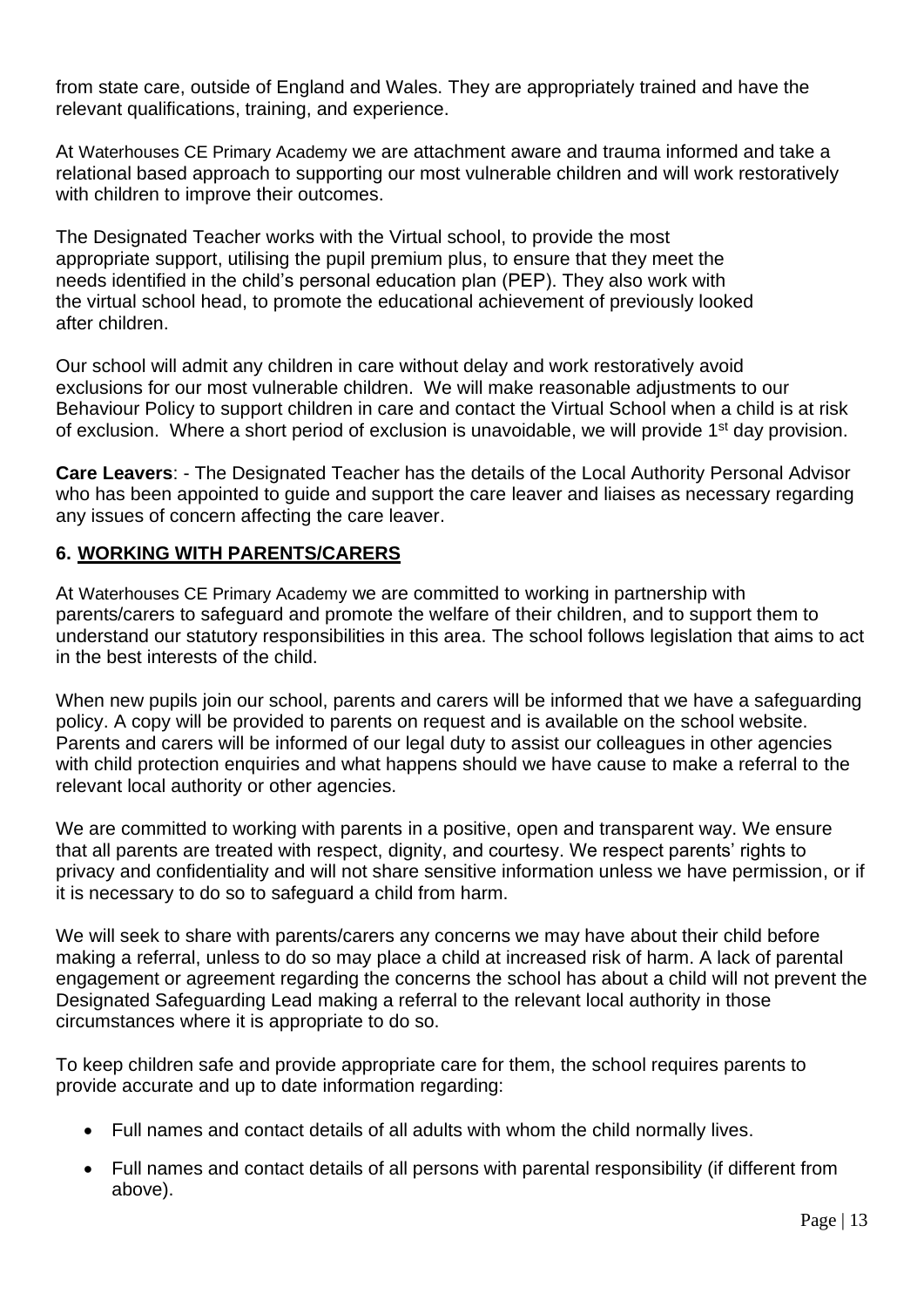from state care, outside of England and Wales. They are appropriately trained and have the relevant qualifications, training, and experience.

At Waterhouses CE Primary Academy we are attachment aware and trauma informed and take a relational based approach to supporting our most vulnerable children and will work restoratively with children to improve their outcomes.

The Designated Teacher works with the Virtual school, to provide the most appropriate support, utilising the pupil premium plus, to ensure that they meet the needs identified in the child's personal education plan (PEP). They also work with the virtual school head, to promote the educational achievement of previously looked after children.

Our school will admit any children in care without delay and work restoratively avoid exclusions for our most vulnerable children. We will make reasonable adjustments to our Behaviour Policy to support children in care and contact the Virtual School when a child is at risk of exclusion. Where a short period of exclusion is unavoidable, we will provide  $1<sup>st</sup>$  day provision.

**Care Leavers**: - The Designated Teacher has the details of the Local Authority Personal Advisor who has been appointed to guide and support the care leaver and liaises as necessary regarding any issues of concern affecting the care leaver.

## **6. WORKING WITH PARENTS/CARERS**

At Waterhouses CE Primary Academy we are committed to working in partnership with parents/carers to safeguard and promote the welfare of their children, and to support them to understand our statutory responsibilities in this area. The school follows legislation that aims to act in the best interests of the child.

When new pupils join our school, parents and carers will be informed that we have a safeguarding policy. A copy will be provided to parents on request and is available on the school website. Parents and carers will be informed of our legal duty to assist our colleagues in other agencies with child protection enquiries and what happens should we have cause to make a referral to the relevant local authority or other agencies.

We are committed to working with parents in a positive, open and transparent way. We ensure that all parents are treated with respect, dignity, and courtesy. We respect parents' rights to privacy and confidentiality and will not share sensitive information unless we have permission, or if it is necessary to do so to safeguard a child from harm.

We will seek to share with parents/carers any concerns we may have about their child before making a referral, unless to do so may place a child at increased risk of harm. A lack of parental engagement or agreement regarding the concerns the school has about a child will not prevent the Designated Safeguarding Lead making a referral to the relevant local authority in those circumstances where it is appropriate to do so.

To keep children safe and provide appropriate care for them, the school requires parents to provide accurate and up to date information regarding:

- Full names and contact details of all adults with whom the child normally lives.
- Full names and contact details of all persons with parental responsibility (if different from above).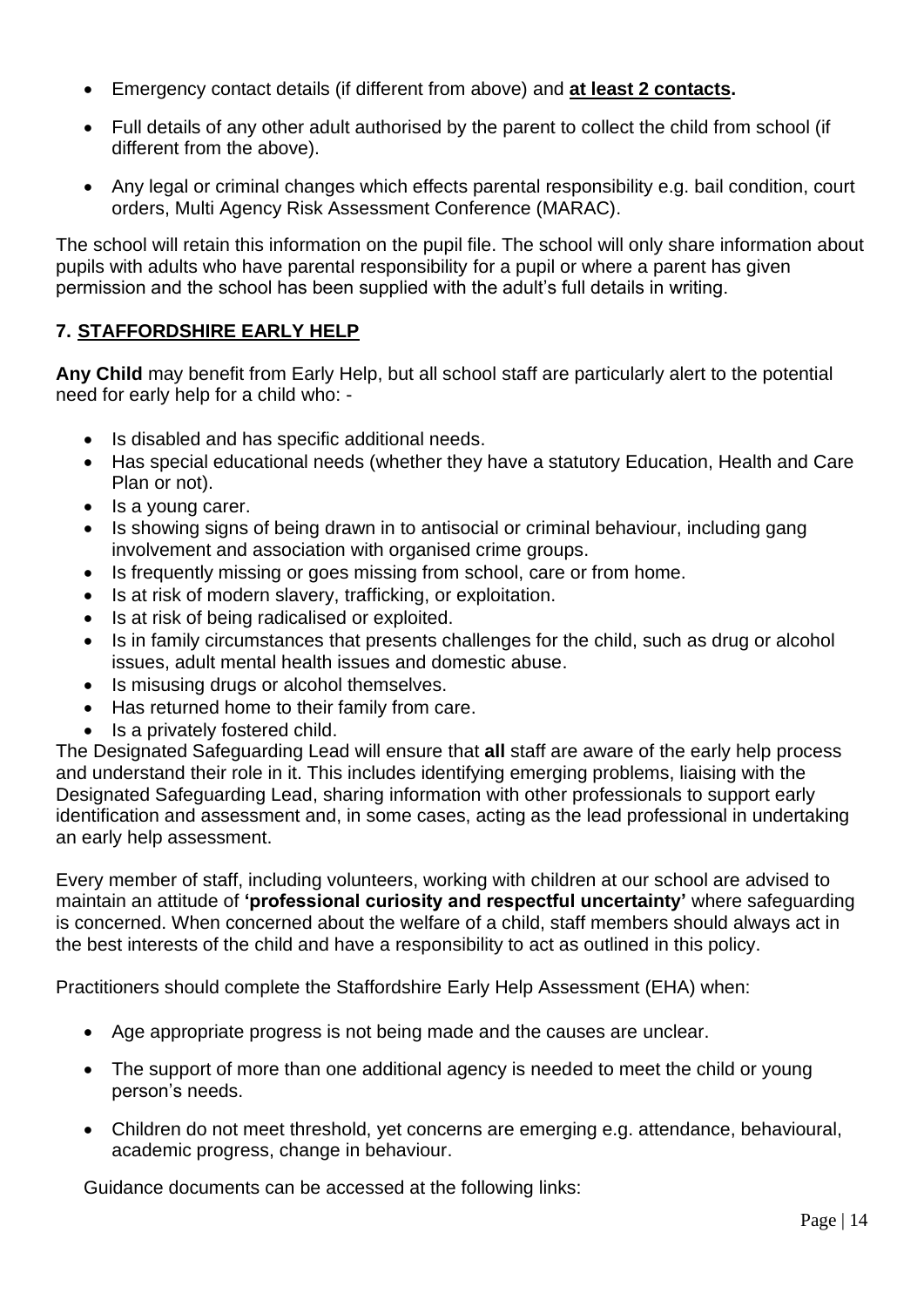- Emergency contact details (if different from above) and **at least 2 contacts.**
- Full details of any other adult authorised by the parent to collect the child from school (if different from the above).
- Any legal or criminal changes which effects parental responsibility e.g. bail condition, court orders, Multi Agency Risk Assessment Conference (MARAC).

The school will retain this information on the pupil file. The school will only share information about pupils with adults who have parental responsibility for a pupil or where a parent has given permission and the school has been supplied with the adult's full details in writing.

## **7. STAFFORDSHIRE EARLY HELP**

**Any Child** may benefit from Early Help, but all school staff are particularly alert to the potential need for early help for a child who: -

- Is disabled and has specific additional needs.
- Has special educational needs (whether they have a statutory Education, Health and Care Plan or not).
- Is a young carer.
- Is showing signs of being drawn in to antisocial or criminal behaviour, including gang involvement and association with organised crime groups.
- Is frequently missing or goes missing from school, care or from home.
- Is at risk of modern slavery, trafficking, or exploitation.
- Is at risk of being radicalised or exploited.
- Is in family circumstances that presents challenges for the child, such as drug or alcohol issues, adult mental health issues and domestic abuse.
- Is misusing drugs or alcohol themselves.
- Has returned home to their family from care.
- Is a privately fostered child.

The Designated Safeguarding Lead will ensure that **all** staff are aware of the early help process and understand their role in it. This includes identifying emerging problems, liaising with the Designated Safeguarding Lead, sharing information with other professionals to support early identification and assessment and, in some cases, acting as the lead professional in undertaking an early help assessment.

Every member of staff, including volunteers, working with children at our school are advised to maintain an attitude of **'professional curiosity and respectful uncertainty'** where safeguarding is concerned. When concerned about the welfare of a child, staff members should always act in the best interests of the child and have a responsibility to act as outlined in this policy.

Practitioners should complete the Staffordshire Early Help Assessment (EHA) when:

- Age appropriate progress is not being made and the causes are unclear.
- The support of more than one additional agency is needed to meet the child or young person's needs.
- Children do not meet threshold, yet concerns are emerging e.g. attendance, behavioural, academic progress, change in behaviour.

Guidance documents can be accessed at the following links: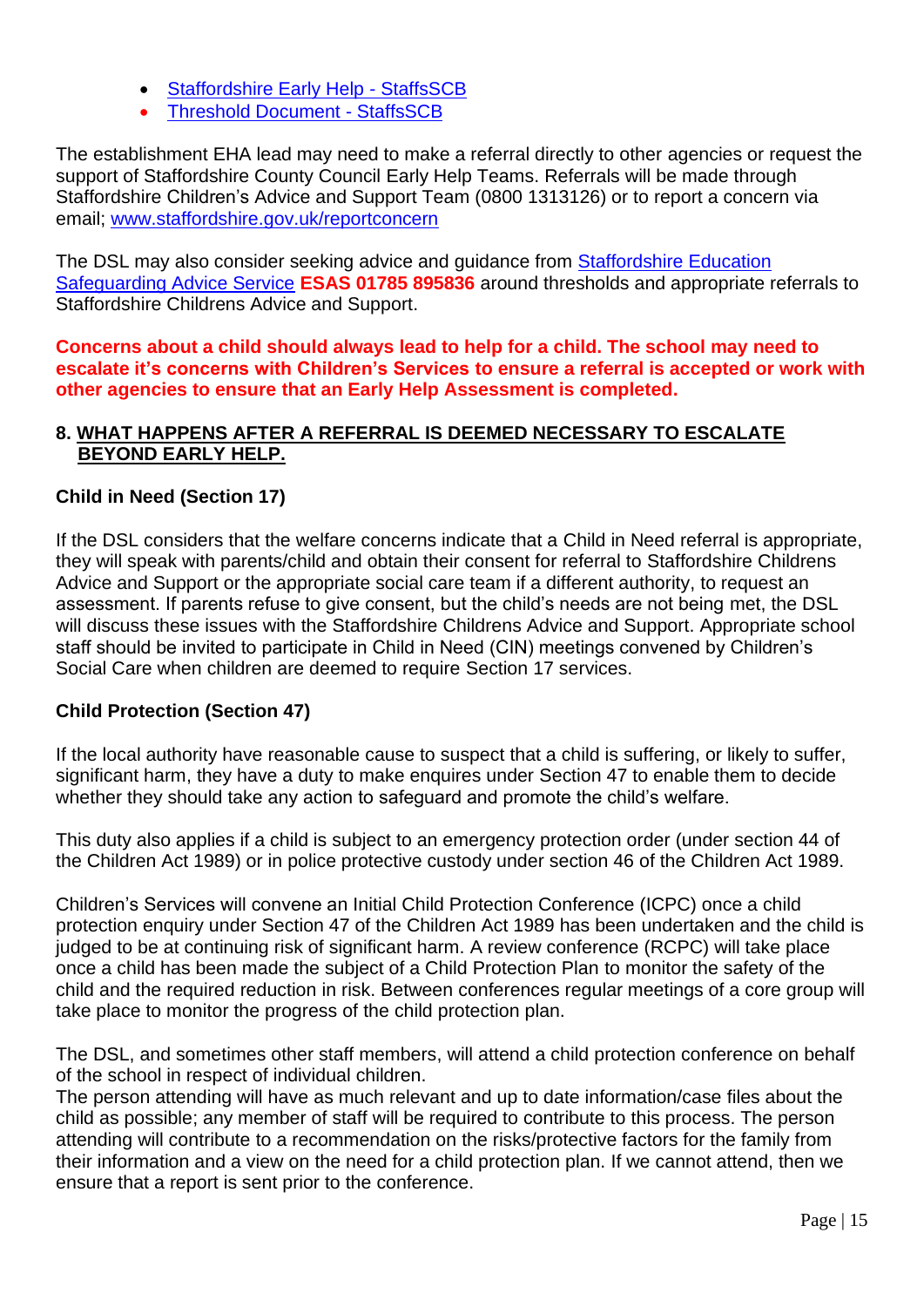- [Staffordshire Early Help -](https://www.staffsscb.org.uk/working-together-to-safeguard-children/early-help-strategy/staffordshire-early-help/) StaffsSCB
- [Threshold Document -](https://www.staffsscb.org.uk/wp-content/uploads/2020/09/Threshold-Document.pdf) StaffsSCB

The establishment EHA lead may need to make a referral directly to other agencies or request the support of Staffordshire County Council Early Help Teams. Referrals will be made through Staffordshire Children's Advice and Support Team (0800 1313126) or to report a concern via email; [www.staffordshire.gov.uk/reportconcern](http://www.staffordshire.gov.uk/reportconcern)

The DSL may also consider seeking advice and guidance from [Staffordshire Education](https://www.staffordshire.gov.uk/Care-for-children-and-families/Childprotection/Education-Safegiuarding-Advice-Service.aspx)  [Safeguarding Advice Service](https://www.staffordshire.gov.uk/Care-for-children-and-families/Childprotection/Education-Safegiuarding-Advice-Service.aspx) **ESAS 01785 895836** around thresholds and appropriate referrals to Staffordshire Childrens Advice and Support.

**Concerns about a child should always lead to help for a child. The school may need to escalate it's concerns with Children's Services to ensure a referral is accepted or work with other agencies to ensure that an Early Help Assessment is completed.**

## **8. WHAT HAPPENS AFTER A REFERRAL IS DEEMED NECESSARY TO ESCALATE BEYOND EARLY HELP.**

## **Child in Need (Section 17)**

If the DSL considers that the welfare concerns indicate that a Child in Need referral is appropriate, they will speak with parents/child and obtain their consent for referral to Staffordshire Childrens Advice and Support or the appropriate social care team if a different authority, to request an assessment. If parents refuse to give consent, but the child's needs are not being met, the DSL will discuss these issues with the Staffordshire Childrens Advice and Support. Appropriate school staff should be invited to participate in Child in Need (CIN) meetings convened by Children's Social Care when children are deemed to require Section 17 services.

### **Child Protection (Section 47)**

If the local authority have reasonable cause to suspect that a child is suffering, or likely to suffer, significant harm, they have a duty to make enquires under Section 47 to enable them to decide whether they should take any action to safeguard and promote the child's welfare.

This duty also applies if a child is subject to an emergency protection order (under section 44 of the Children Act 1989) or in police protective custody under section 46 of the Children Act 1989.

Children's Services will convene an Initial Child Protection Conference (ICPC) once a child protection enquiry under Section 47 of the Children Act 1989 has been undertaken and the child is judged to be at continuing risk of significant harm. A review conference (RCPC) will take place once a child has been made the subject of a Child Protection Plan to monitor the safety of the child and the required reduction in risk. Between conferences regular meetings of a core group will take place to monitor the progress of the child protection plan.

The DSL, and sometimes other staff members, will attend a child protection conference on behalf of the school in respect of individual children.

The person attending will have as much relevant and up to date information/case files about the child as possible; any member of staff will be required to contribute to this process. The person attending will contribute to a recommendation on the risks/protective factors for the family from their information and a view on the need for a child protection plan. If we cannot attend, then we ensure that a report is sent prior to the conference.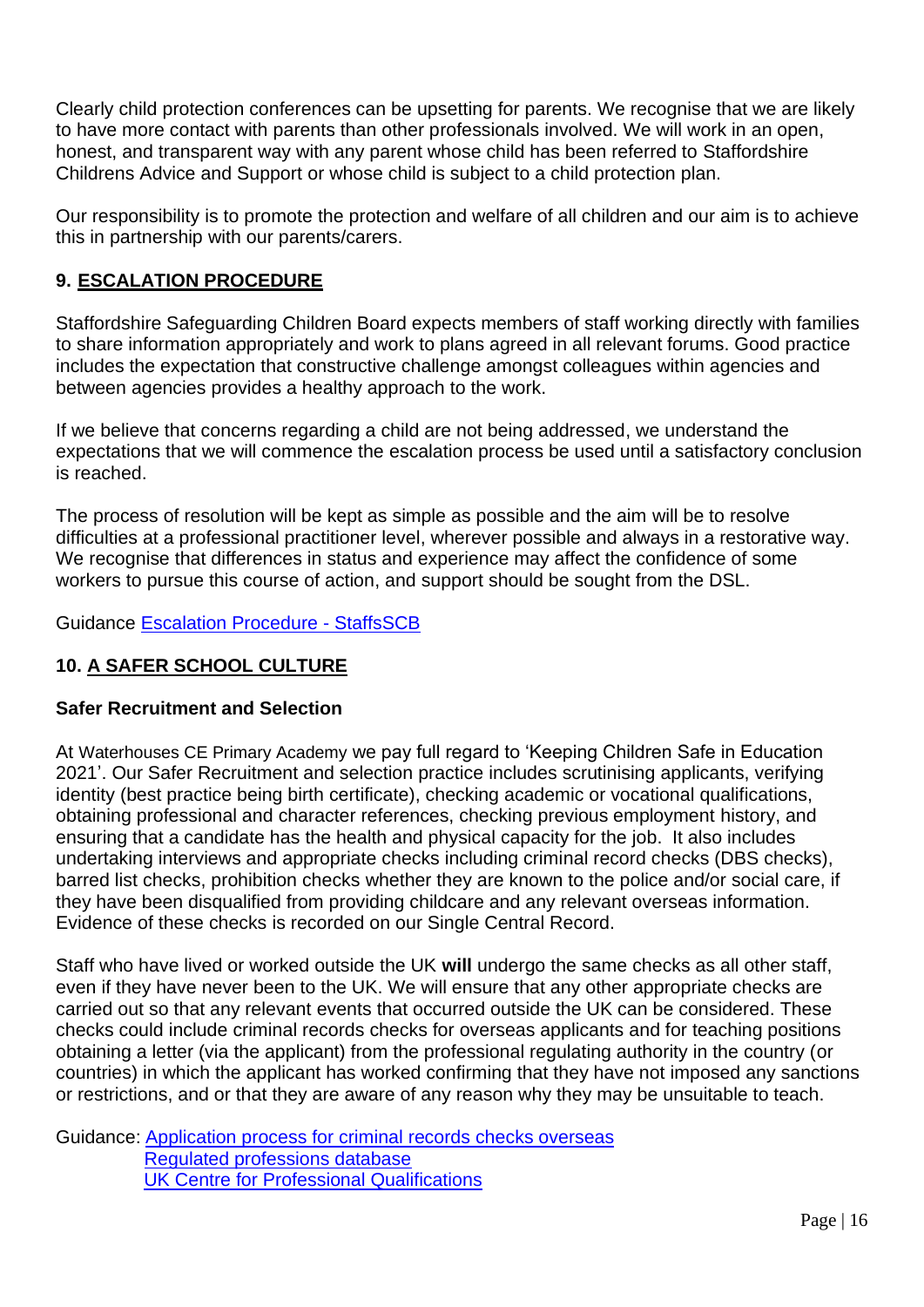Clearly child protection conferences can be upsetting for parents. We recognise that we are likely to have more contact with parents than other professionals involved. We will work in an open, honest, and transparent way with any parent whose child has been referred to Staffordshire Childrens Advice and Support or whose child is subject to a child protection plan.

Our responsibility is to promote the protection and welfare of all children and our aim is to achieve this in partnership with our parents/carers.

## **9. ESCALATION PROCEDURE**

Staffordshire Safeguarding Children Board expects members of staff working directly with families to share information appropriately and work to plans agreed in all relevant forums. Good practice includes the expectation that constructive challenge amongst colleagues within agencies and between agencies provides a healthy approach to the work.

If we believe that concerns regarding a child are not being addressed, we understand the expectations that we will commence the escalation process be used until a satisfactory conclusion is reached.

The process of resolution will be kept as simple as possible and the aim will be to resolve difficulties at a professional practitioner level, wherever possible and always in a restorative way. We recognise that differences in status and experience may affect the confidence of some workers to pursue this course of action, and support should be sought from the DSL.

Guidance [Escalation Procedure -](https://www.staffsscb.org.uk/wp-content/uploads/2020/08/Escalation-Procedure-1.pdf) StaffsSCB

## **10. A SAFER SCHOOL CULTURE**

### **Safer Recruitment and Selection**

At Waterhouses CE Primary Academy we pay full regard to 'Keeping Children Safe in Education 2021'. Our Safer Recruitment and selection practice includes scrutinising applicants, verifying identity (best practice being birth certificate), checking academic or vocational qualifications, obtaining professional and character references, checking previous employment history, and ensuring that a candidate has the health and physical capacity for the job. It also includes undertaking interviews and appropriate checks including criminal record checks (DBS checks), barred list checks, prohibition checks whether they are known to the police and/or social care, if they have been disqualified from providing childcare and any relevant overseas information. Evidence of these checks is recorded on our Single Central Record.

Staff who have lived or worked outside the UK **will** undergo the same checks as all other staff, even if they have never been to the UK. We will ensure that any other appropriate checks are carried out so that any relevant events that occurred outside the UK can be considered. These checks could include criminal records checks for overseas applicants and for teaching positions obtaining a letter (via the applicant) from the professional regulating authority in the country (or countries) in which the applicant has worked confirming that they have not imposed any sanctions or restrictions, and or that they are aware of any reason why they may be unsuitable to teach.

Guidance: [Application process for criminal records checks overseas](https://www.gov.uk/government/publications/criminal-records-checks-for-overseas-applicants/guidance-on-the-application-process-for-criminal-records-checks-overseas) [Regulated professions database](https://ec.europa.eu/growth/tools-databases/regprof/)  [UK Centre for Professional Qualifications](https://cpq.ecctis.com/)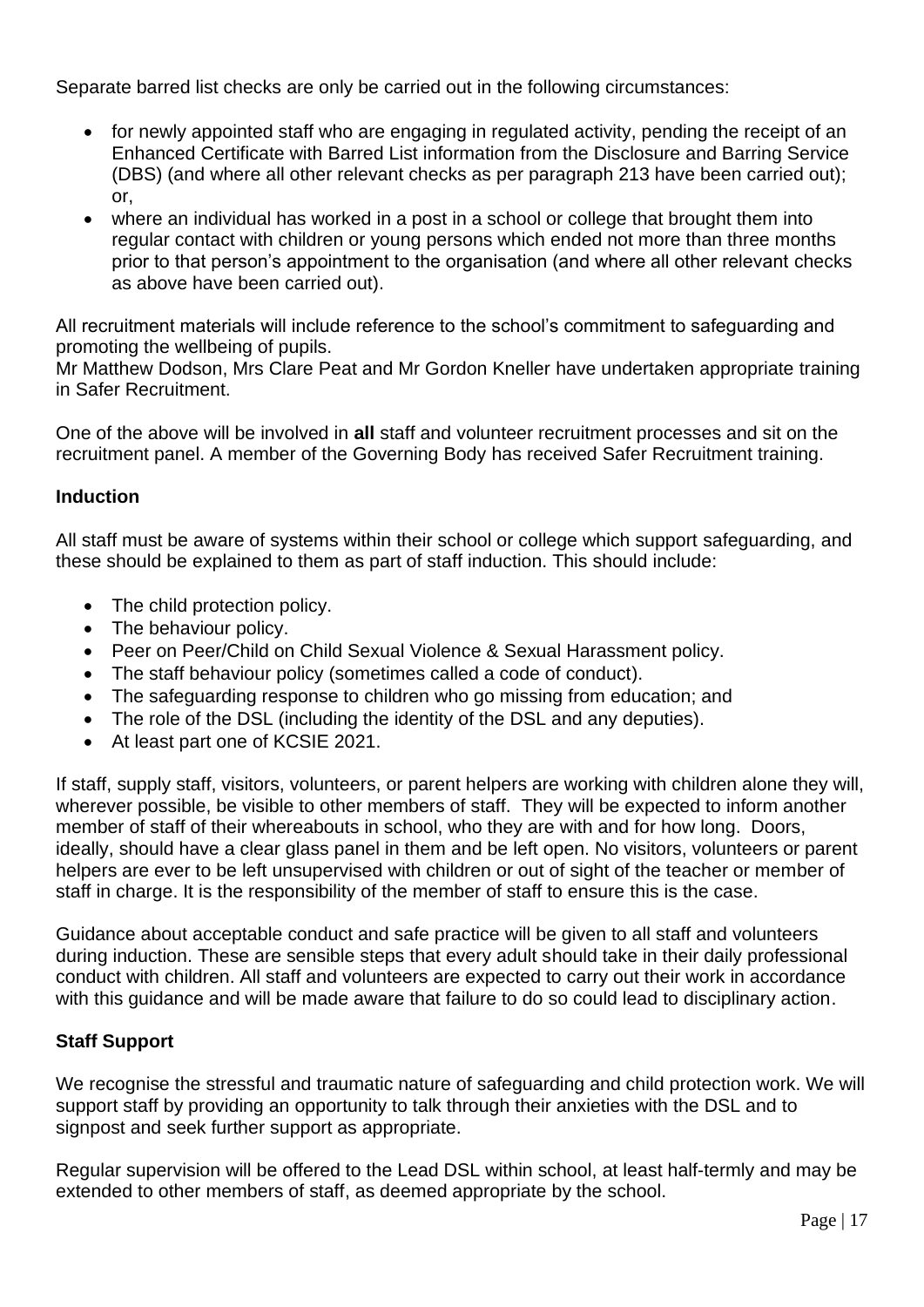Separate barred list checks are only be carried out in the following circumstances:

- for newly appointed staff who are engaging in regulated activity, pending the receipt of an Enhanced Certificate with Barred List information from the Disclosure and Barring Service (DBS) (and where all other relevant checks as per paragraph 213 have been carried out); or,
- where an individual has worked in a post in a school or college that brought them into regular contact with children or young persons which ended not more than three months prior to that person's appointment to the organisation (and where all other relevant checks as above have been carried out).

All recruitment materials will include reference to the school's commitment to safeguarding and promoting the wellbeing of pupils.

Mr Matthew Dodson, Mrs Clare Peat and Mr Gordon Kneller have undertaken appropriate training in Safer Recruitment.

One of the above will be involved in **all** staff and volunteer recruitment processes and sit on the recruitment panel. A member of the Governing Body has received Safer Recruitment training.

## **Induction**

All staff must be aware of systems within their school or college which support safeguarding, and these should be explained to them as part of staff induction. This should include:

- The child protection policy.
- The behaviour policy.
- Peer on Peer/Child on Child Sexual Violence & Sexual Harassment policy.
- The staff behaviour policy (sometimes called a code of conduct).
- The safeguarding response to children who go missing from education; and
- The role of the DSL (including the identity of the DSL and any deputies).
- At least part one of KCSIE 2021.

If staff, supply staff, visitors, volunteers, or parent helpers are working with children alone they will, wherever possible, be visible to other members of staff. They will be expected to inform another member of staff of their whereabouts in school, who they are with and for how long. Doors, ideally, should have a clear glass panel in them and be left open. No visitors, volunteers or parent helpers are ever to be left unsupervised with children or out of sight of the teacher or member of staff in charge. It is the responsibility of the member of staff to ensure this is the case.

Guidance about acceptable conduct and safe practice will be given to all staff and volunteers during induction. These are sensible steps that every adult should take in their daily professional conduct with children. All staff and volunteers are expected to carry out their work in accordance with this guidance and will be made aware that failure to do so could lead to disciplinary action.

### **Staff Support**

We recognise the stressful and traumatic nature of safeguarding and child protection work. We will support staff by providing an opportunity to talk through their anxieties with the DSL and to signpost and seek further support as appropriate.

Regular supervision will be offered to the Lead DSL within school, at least half-termly and may be extended to other members of staff, as deemed appropriate by the school.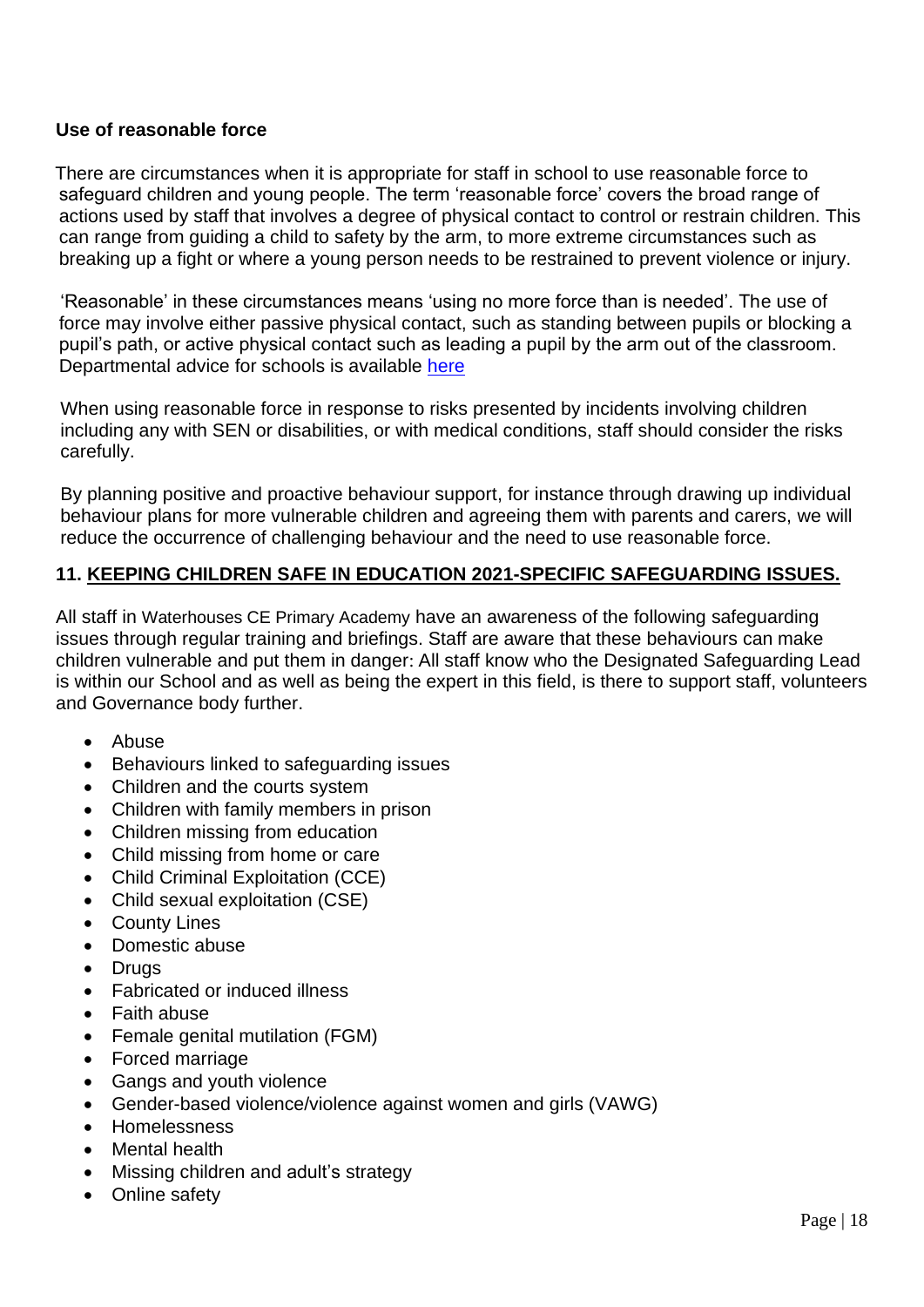## **Use of reasonable force**

 There are circumstances when it is appropriate for staff in school to use reasonable force to safeguard children and young people. The term 'reasonable force' covers the broad range of actions used by staff that involves a degree of physical contact to control or restrain children. This can range from guiding a child to safety by the arm, to more extreme circumstances such as breaking up a fight or where a young person needs to be restrained to prevent violence or injury.

 'Reasonable' in these circumstances means 'using no more force than is needed'. The use of force may involve either passive physical contact, such as standing between pupils or blocking a pupil's path, or active physical contact such as leading a pupil by the arm out of the classroom. Departmental advice for schools is available [here](https://www.gov.uk/government/publications/use-of-reasonable-force-in-schools)

When using reasonable force in response to risks presented by incidents involving children including any with SEN or disabilities, or with medical conditions, staff should consider the risks carefully.

By planning positive and proactive behaviour support, for instance through drawing up individual behaviour plans for more vulnerable children and agreeing them with parents and carers, we will reduce the occurrence of challenging behaviour and the need to use reasonable force.

### **11. KEEPING CHILDREN SAFE IN EDUCATION 2021-SPECIFIC SAFEGUARDING ISSUES.**

All staff in Waterhouses CE Primary Academy have an awareness of the following safeguarding issues through regular training and briefings. Staff are aware that these behaviours can make children vulnerable and put them in danger: All staff know who the Designated Safeguarding Lead is within our School and as well as being the expert in this field, is there to support staff, volunteers and Governance body further.

- Abuse
- Behaviours linked to safeguarding issues
- Children and the courts system
- Children with family members in prison
- Children missing from education
- Child missing from home or care
- Child Criminal Exploitation (CCE)
- Child sexual exploitation (CSE)
- County Lines
- Domestic abuse
- Drugs
- Fabricated or induced illness
- Faith abuse
- Female genital mutilation (FGM)
- Forced marriage
- Gangs and youth violence
- Gender-based violence/violence against women and girls (VAWG)
- Homelessness
- Mental health
- Missing children and adult's strategy
- Online safety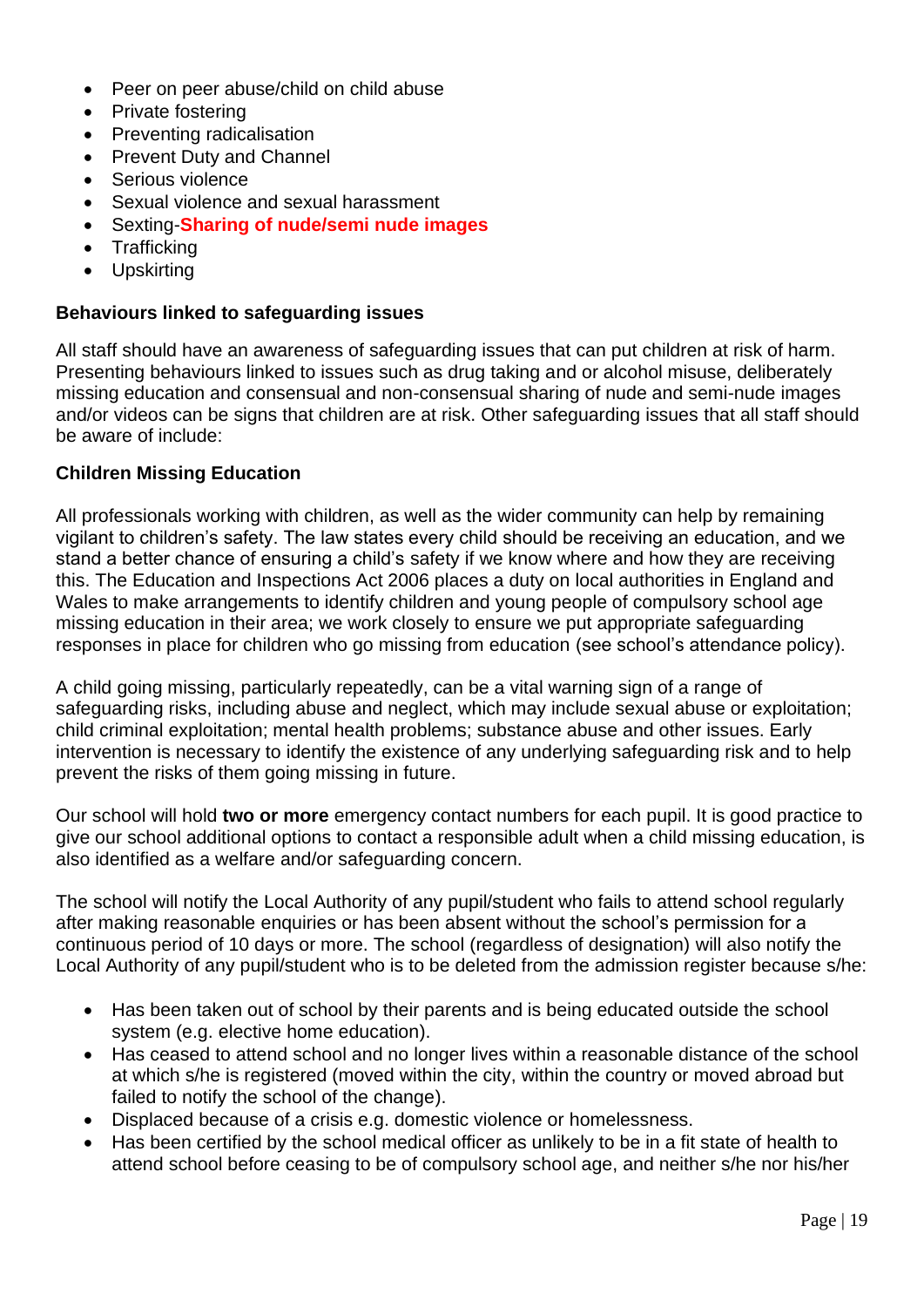- Peer on peer abuse/child on child abuse
- Private fostering
- Preventing radicalisation
- Prevent Duty and Channel
- Serious violence
- Sexual violence and sexual harassment
- Sexting-**Sharing of nude/semi nude images**
- Trafficking
- Upskirting

## **Behaviours linked to safeguarding issues**

All staff should have an awareness of safeguarding issues that can put children at risk of harm. Presenting behaviours linked to issues such as drug taking and or alcohol misuse, deliberately missing education and consensual and non-consensual sharing of nude and semi-nude images and/or videos can be signs that children are at risk. Other safeguarding issues that all staff should be aware of include:

## **Children Missing Education**

All professionals working with children, as well as the wider community can help by remaining vigilant to children's safety. The law states every child should be receiving an education, and we stand a better chance of ensuring a child's safety if we know where and how they are receiving this. The Education and Inspections Act 2006 places a duty on local authorities in England and Wales to make arrangements to identify children and young people of compulsory school age missing education in their area; we work closely to ensure we put appropriate safeguarding responses in place for children who go missing from education (see school's attendance policy).

A child going missing, particularly repeatedly, can be a vital warning sign of a range of safeguarding risks, including abuse and neglect, which may include sexual abuse or exploitation; child criminal exploitation; mental health problems; substance abuse and other issues. Early intervention is necessary to identify the existence of any underlying safeguarding risk and to help prevent the risks of them going missing in future.

Our school will hold **two or more** emergency contact numbers for each pupil. It is good practice to give our school additional options to contact a responsible adult when a child missing education, is also identified as a welfare and/or safeguarding concern.

The school will notify the Local Authority of any pupil/student who fails to attend school regularly after making reasonable enquiries or has been absent without the school's permission for a continuous period of 10 days or more. The school (regardless of designation) will also notify the Local Authority of any pupil/student who is to be deleted from the admission register because s/he:

- Has been taken out of school by their parents and is being educated outside the school system (e.g. elective home education).
- Has ceased to attend school and no longer lives within a reasonable distance of the school at which s/he is registered (moved within the city, within the country or moved abroad but failed to notify the school of the change).
- Displaced because of a crisis e.g. domestic violence or homelessness.
- Has been certified by the school medical officer as unlikely to be in a fit state of health to attend school before ceasing to be of compulsory school age, and neither s/he nor his/her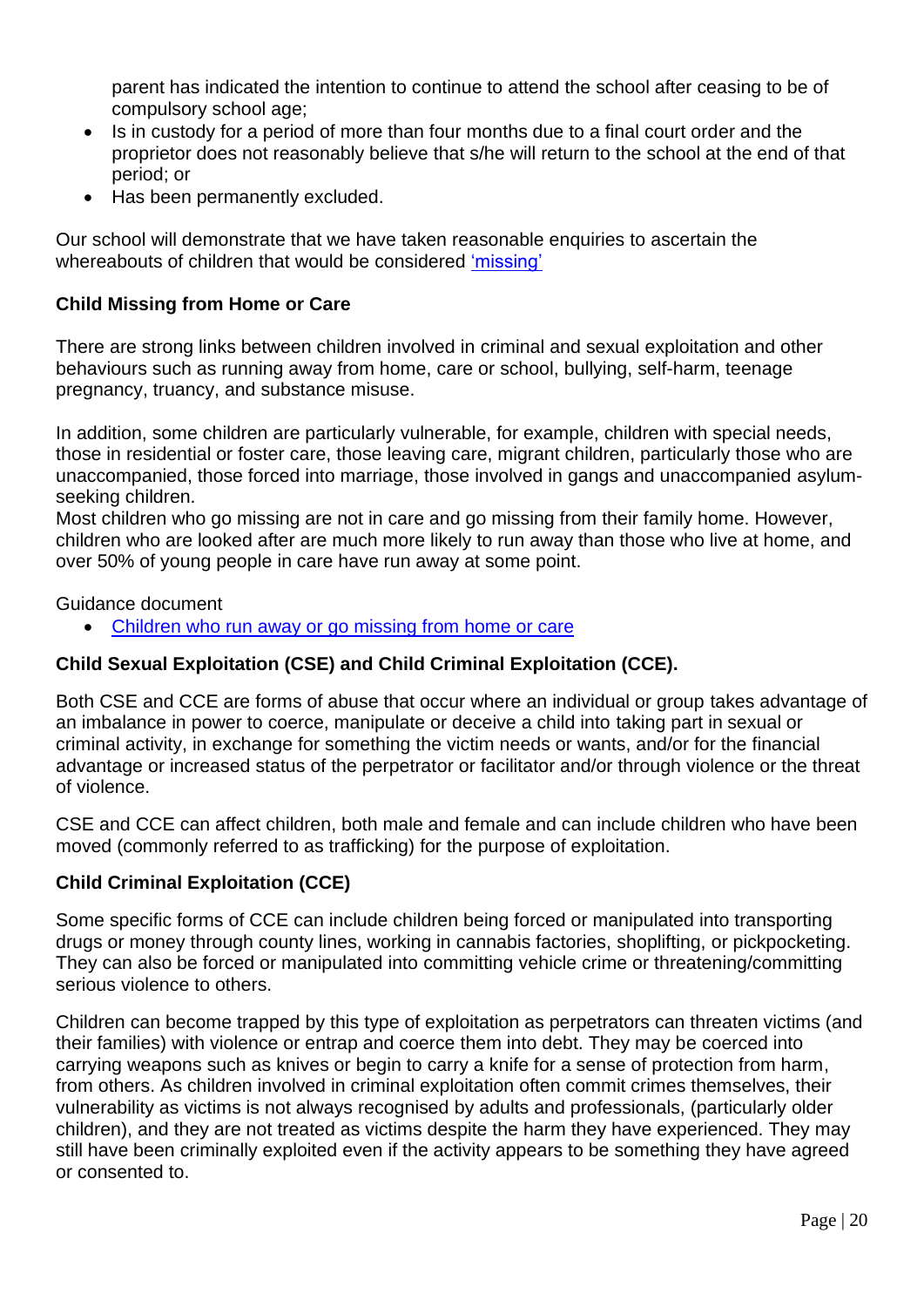parent has indicated the intention to continue to attend the school after ceasing to be of compulsory school age;

- Is in custody for a period of more than four months due to a final court order and the proprietor does not reasonably believe that s/he will return to the school at the end of that period; or
- Has been permanently excluded.

Our school will demonstrate that we have taken reasonable enquiries to ascertain the whereabouts of children that would be considered ['missing'](https://www.gov.uk/government/publications/children-missing-education)

## **Child Missing from Home or Care**

There are strong links between children involved in criminal and sexual exploitation and other behaviours such as running away from home, care or school, bullying, self-harm, teenage pregnancy, truancy, and substance misuse.

In addition, some children are particularly vulnerable, for example, children with special needs, those in residential or foster care, those leaving care, migrant children, particularly those who are unaccompanied, those forced into marriage, those involved in gangs and unaccompanied asylumseeking children.

Most children who go missing are not in care and go missing from their family home. However, children who are looked after are much more likely to run away than those who live at home, and over 50% of young people in care have run away at some point.

Guidance document

• [Children who run away or go missing from home or care](https://www.gov.uk/government/publications/children-who-run-away-or-go-missing-from-home-or-care)

## **Child Sexual Exploitation (CSE) and Child Criminal Exploitation (CCE).**

Both CSE and CCE are forms of abuse that occur where an individual or group takes advantage of an imbalance in power to coerce, manipulate or deceive a child into taking part in sexual or criminal activity, in exchange for something the victim needs or wants, and/or for the financial advantage or increased status of the perpetrator or facilitator and/or through violence or the threat of violence.

CSE and CCE can affect children, both male and female and can include children who have been moved (commonly referred to as trafficking) for the purpose of exploitation.

## **Child Criminal Exploitation (CCE)**

Some specific forms of CCE can include children being forced or manipulated into transporting drugs or money through county lines, working in cannabis factories, shoplifting, or pickpocketing. They can also be forced or manipulated into committing vehicle crime or threatening/committing serious violence to others.

Children can become trapped by this type of exploitation as perpetrators can threaten victims (and their families) with violence or entrap and coerce them into debt. They may be coerced into carrying weapons such as knives or begin to carry a knife for a sense of protection from harm, from others. As children involved in criminal exploitation often commit crimes themselves, their vulnerability as victims is not always recognised by adults and professionals, (particularly older children), and they are not treated as victims despite the harm they have experienced. They may still have been criminally exploited even if the activity appears to be something they have agreed or consented to.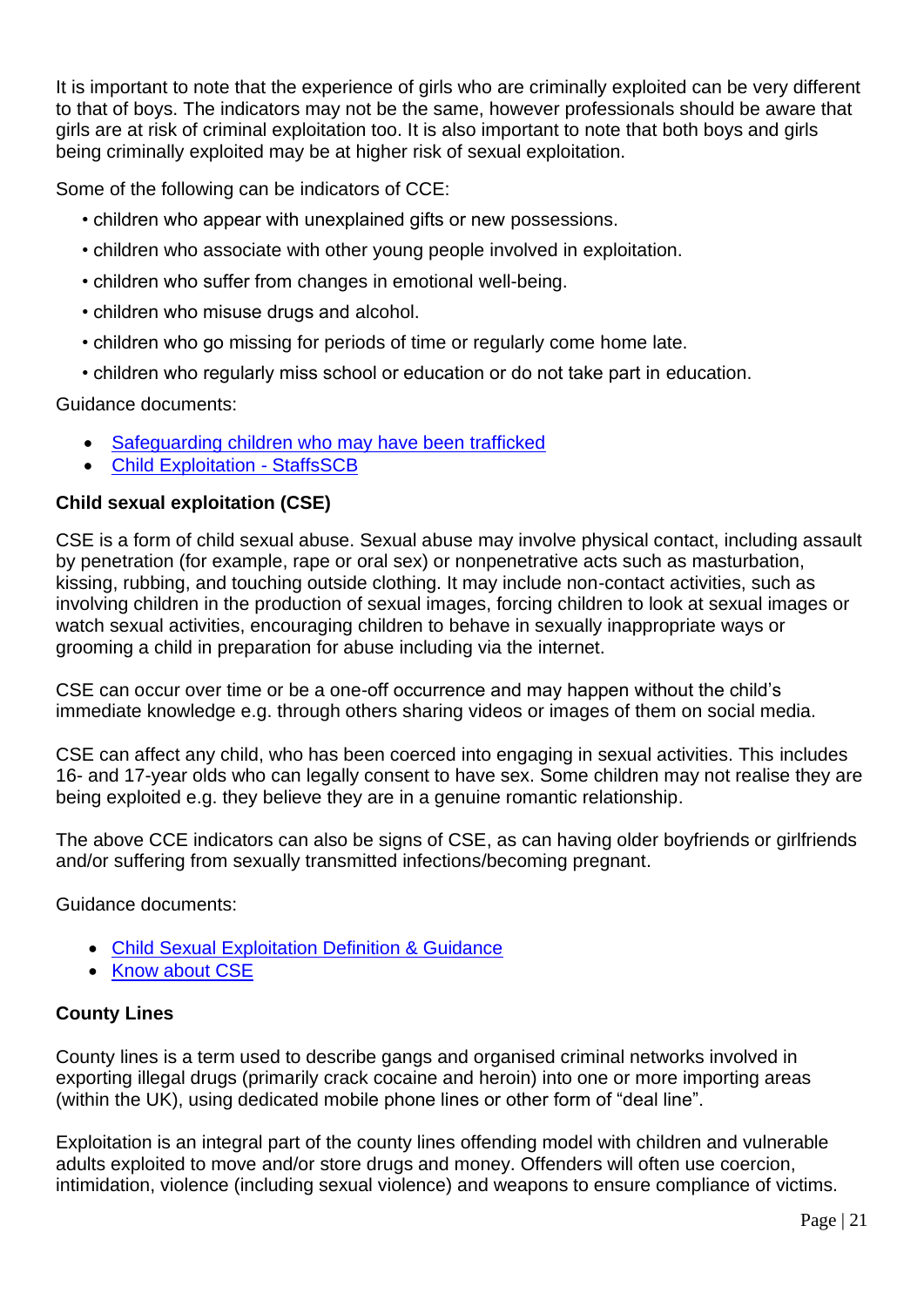It is important to note that the experience of girls who are criminally exploited can be very different to that of boys. The indicators may not be the same, however professionals should be aware that girls are at risk of criminal exploitation too. It is also important to note that both boys and girls being criminally exploited may be at higher risk of sexual exploitation.

Some of the following can be indicators of CCE:

- children who appear with unexplained gifts or new possessions.
- children who associate with other young people involved in exploitation.
- children who suffer from changes in emotional well-being.
- children who misuse drugs and alcohol.
- children who go missing for periods of time or regularly come home late.
- children who regularly miss school or education or do not take part in education.

Guidance documents:

- [Safeguarding children who may have been trafficked](https://www.gov.uk/government/publications/safeguarding-children-who-may-have-been-trafficked-practice-guidance)
- [Child Exploitation -](https://www.staffsscb.org.uk/working-together-to-safeguard-children/child-exploitation/) StaffsSCB

## **Child sexual exploitation (CSE)**

CSE is a form of child sexual abuse. Sexual abuse may involve physical contact, including assault by penetration (for example, rape or oral sex) or nonpenetrative acts such as masturbation, kissing, rubbing, and touching outside clothing. It may include non-contact activities, such as involving children in the production of sexual images, forcing children to look at sexual images or watch sexual activities, encouraging children to behave in sexually inappropriate ways or grooming a child in preparation for abuse including via the internet.

CSE can occur over time or be a one-off occurrence and may happen without the child's immediate knowledge e.g. through others sharing videos or images of them on social media.

CSE can affect any child, who has been coerced into engaging in sexual activities. This includes 16- and 17-year olds who can legally consent to have sex. Some children may not realise they are being exploited e.g. they believe they are in a genuine romantic relationship.

The above CCE indicators can also be signs of CSE, as can having older boyfriends or girlfriends and/or suffering from sexually transmitted infections/becoming pregnant.

Guidance documents:

- [Child Sexual Exploitation Definition & Guidance](https://www.google.com/url?sa=t&rct=j&q=&esrc=s&source=web&cd=&cad=rja&uact=8&ved=2ahUKEwiQjKPPusrqAhVjs3EKHehtAFoQFjAEegQIBBAB&url=https%3A%2F%2Fwww.gov.uk%2Fgovernment%2Fpublications%2Fchild-sexual-exploitation-definition-and-guide-for-practitioners&usg=AOvVaw3_SgEJIra33fq4k-9DIegf)
- [Know about CSE](http://www.knowaboutcse.co.uk/)

### **County Lines**

County lines is a term used to describe gangs and organised criminal networks involved in exporting illegal drugs (primarily crack cocaine and heroin) into one or more importing areas (within the UK), using dedicated mobile phone lines or other form of "deal line".

Exploitation is an integral part of the county lines offending model with children and vulnerable adults exploited to move and/or store drugs and money. Offenders will often use coercion, intimidation, violence (including sexual violence) and weapons to ensure compliance of victims.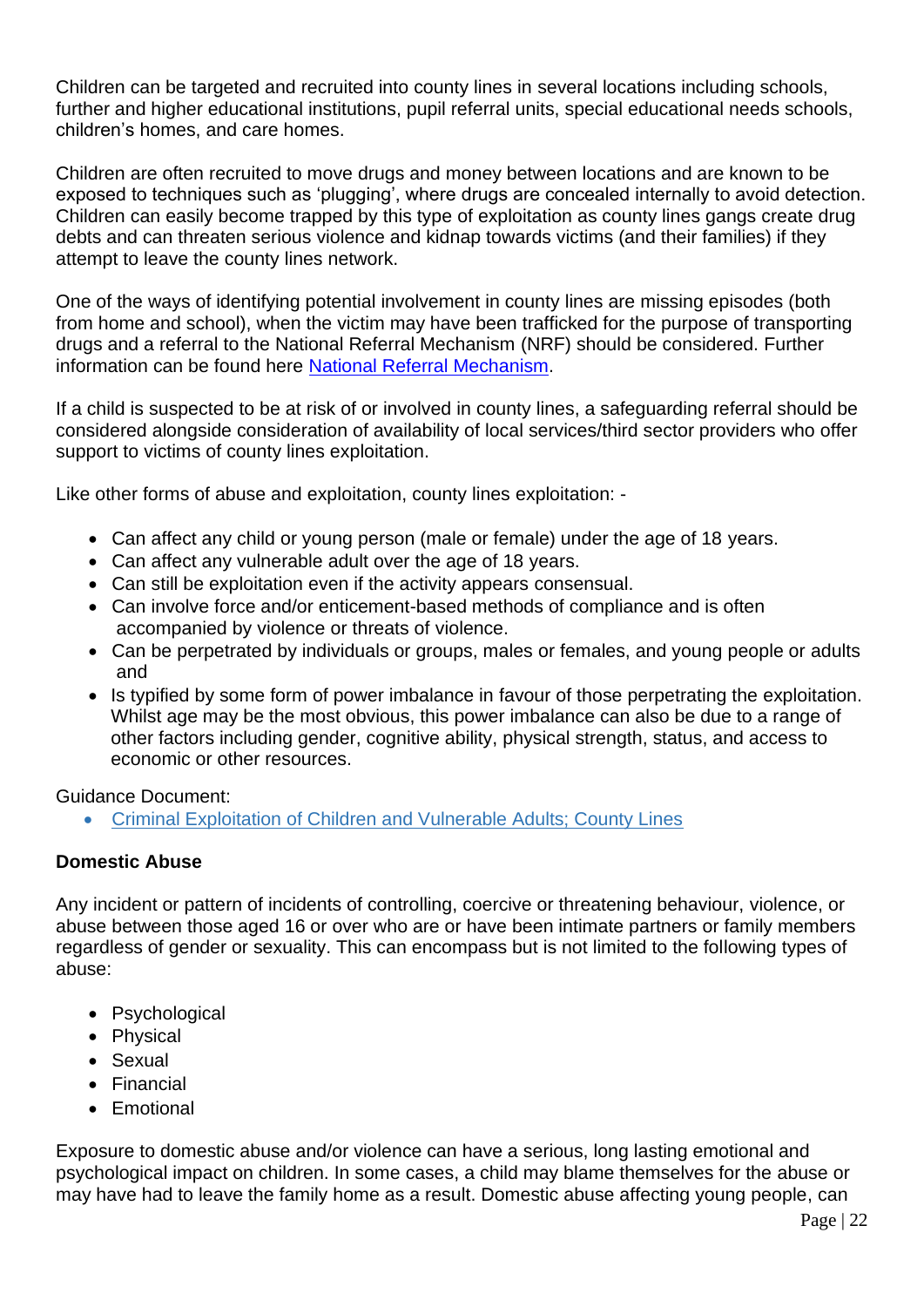Children can be targeted and recruited into county lines in several locations including schools, further and higher educational institutions, pupil referral units, special educational needs schools, children's homes, and care homes.

Children are often recruited to move drugs and money between locations and are known to be exposed to techniques such as 'plugging', where drugs are concealed internally to avoid detection. Children can easily become trapped by this type of exploitation as county lines gangs create drug debts and can threaten serious violence and kidnap towards victims (and their families) if they attempt to leave the county lines network.

One of the ways of identifying potential involvement in county lines are missing episodes (both from home and school), when the victim may have been trafficked for the purpose of transporting drugs and a referral to the National Referral Mechanism (NRF) should be considered. Further information can be found here [National Referral Mechanism.](https://assets.publishing.service.gov.uk/government/uploads/system/uploads/attachment_data/file/233310/NRM_child_first_responders_guidance.pdf)

If a child is suspected to be at risk of or involved in county lines, a safeguarding referral should be considered alongside consideration of availability of local services/third sector providers who offer support to victims of county lines exploitation.

Like other forms of abuse and exploitation, county lines exploitation: -

- Can affect any child or young person (male or female) under the age of 18 years.
- Can affect any vulnerable adult over the age of 18 years.
- Can still be exploitation even if the activity appears consensual.
- Can involve force and/or enticement-based methods of compliance and is often accompanied by violence or threats of violence.
- Can be perpetrated by individuals or groups, males or females, and young people or adults and
- Is typified by some form of power imbalance in favour of those perpetrating the exploitation. Whilst age may be the most obvious, this power imbalance can also be due to a range of other factors including gender, cognitive ability, physical strength, status, and access to economic or other resources.

Guidance Document:

• [Criminal Exploitation of Children and Vulnerable Adults; County Lines](https://www.gov.uk/government/publications/criminal-exploitation-of-children-and-vulnerable-adults-county-lines)

## **Domestic Abuse**

Any incident or pattern of incidents of controlling, coercive or threatening behaviour, violence, or abuse between those aged 16 or over who are or have been intimate partners or family members regardless of gender or sexuality. This can encompass but is not limited to the following types of abuse:

- Psychological
- Physical
- Sexual
- Financial
- Emotional

Exposure to domestic abuse and/or violence can have a serious, long lasting emotional and psychological impact on children. In some cases, a child may blame themselves for the abuse or may have had to leave the family home as a result. Domestic abuse affecting young people, can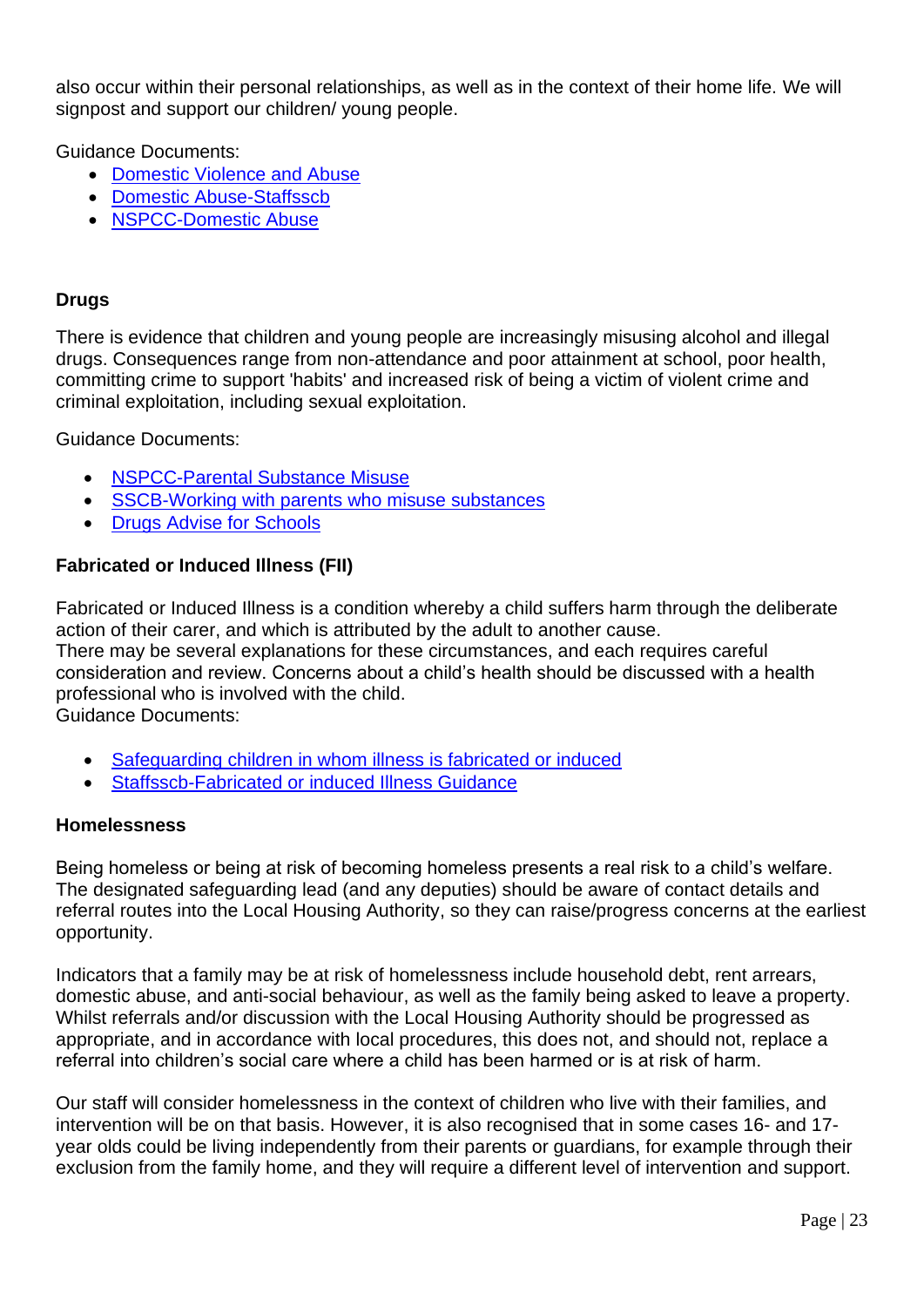also occur within their personal relationships, as well as in the context of their home life. We will signpost and support our children/ young people.

Guidance Documents:

- [Domestic Violence and Abuse](https://www.gov.uk/guidance/domestic-violence-and-abuse)
- [Domestic Abuse-Staffsscb](https://www.staffsscb.org.uk/?s=domestic+abuse)
- [NSPCC-Domestic Abuse](https://www.nspcc.org.uk/what-is-child-abuse/types-of-abuse/domestic-abuse/)

## **Drugs**

There is evidence that children and young people are increasingly misusing alcohol and illegal drugs. Consequences range from non-attendance and poor attainment at school, poor health, committing crime to support 'habits' and increased risk of being a victim of violent crime and criminal exploitation, including sexual exploitation.

Guidance Documents:

- [NSPCC-Parental Substance Misuse](https://learning.nspcc.org.uk/children-and-families-at-risk/parental-substance-misuse)
- [SSCB-Working with parents who misuse substances](https://www.ssscb.org.uk/wp-content/uploads/2020/04/Section-4Q-Working-with-Parents-who-misuse-substances.pdf)
- [Drugs Advise for Schools](https://www.gov.uk/government/publications/drugs-advice-for-schools)

## **Fabricated or Induced Illness (FII)**

Fabricated or Induced Illness is a condition whereby a child suffers harm through the deliberate action of their carer, and which is attributed by the adult to another cause. There may be several explanations for these circumstances, and each requires careful consideration and review. Concerns about a child's health should be discussed with a health professional who is involved with the child. Guidance Documents:

- [Safeguarding children in whom illness is fabricated or induced](https://www.gov.uk/government/publications/safeguarding-children-in-whom-illness-is-fabricated-or-induced)
- [Staffsscb-Fabricated or induced Illness Guidance](https://www.staffsscb.org.uk/wp-content/uploads/2020/12/Fabricated-or-Induced-Illness.pdf)

### **Homelessness**

Being homeless or being at risk of becoming homeless presents a real risk to a child's welfare. The designated safeguarding lead (and any deputies) should be aware of contact details and referral routes into the Local Housing Authority, so they can raise/progress concerns at the earliest opportunity.

Indicators that a family may be at risk of homelessness include household debt, rent arrears, domestic abuse, and anti-social behaviour, as well as the family being asked to leave a property. Whilst referrals and/or discussion with the Local Housing Authority should be progressed as appropriate, and in accordance with local procedures, this does not, and should not, replace a referral into children's social care where a child has been harmed or is at risk of harm.

Our staff will consider homelessness in the context of children who live with their families, and intervention will be on that basis. However, it is also recognised that in some cases 16- and 17 year olds could be living independently from their parents or guardians, for example through their exclusion from the family home, and they will require a different level of intervention and support.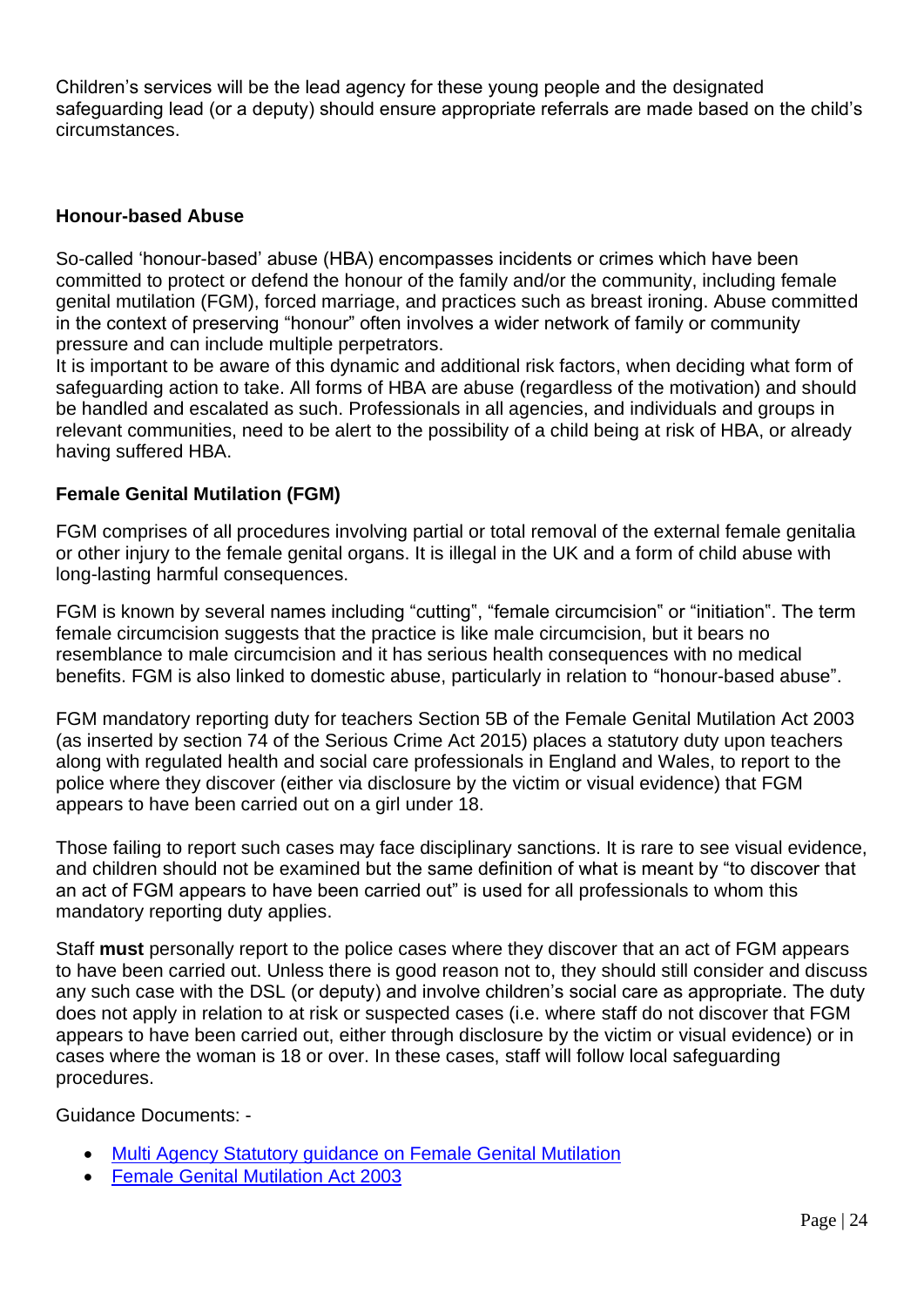Children's services will be the lead agency for these young people and the designated safeguarding lead (or a deputy) should ensure appropriate referrals are made based on the child's circumstances.

## **Honour-based Abuse**

So-called 'honour-based' abuse (HBA) encompasses incidents or crimes which have been committed to protect or defend the honour of the family and/or the community, including female genital mutilation (FGM), forced marriage, and practices such as breast ironing. Abuse committed in the context of preserving "honour" often involves a wider network of family or community pressure and can include multiple perpetrators.

It is important to be aware of this dynamic and additional risk factors, when deciding what form of safeguarding action to take. All forms of HBA are abuse (regardless of the motivation) and should be handled and escalated as such. Professionals in all agencies, and individuals and groups in relevant communities, need to be alert to the possibility of a child being at risk of HBA, or already having suffered HBA.

## **Female Genital Mutilation (FGM)**

FGM comprises of all procedures involving partial or total removal of the external female genitalia or other injury to the female genital organs. It is illegal in the UK and a form of child abuse with long-lasting harmful consequences.

FGM is known by several names including "cutting", "female circumcision" or "initiation". The term female circumcision suggests that the practice is like male circumcision, but it bears no resemblance to male circumcision and it has serious health consequences with no medical benefits. FGM is also linked to domestic abuse, particularly in relation to "honour-based abuse".

FGM mandatory reporting duty for teachers Section 5B of the Female Genital Mutilation Act 2003 (as inserted by section 74 of the Serious Crime Act 2015) places a statutory duty upon teachers along with regulated health and social care professionals in England and Wales, to report to the police where they discover (either via disclosure by the victim or visual evidence) that FGM appears to have been carried out on a girl under 18.

Those failing to report such cases may face disciplinary sanctions. It is rare to see visual evidence, and children should not be examined but the same definition of what is meant by "to discover that an act of FGM appears to have been carried out" is used for all professionals to whom this mandatory reporting duty applies.

Staff **must** personally report to the police cases where they discover that an act of FGM appears to have been carried out. Unless there is good reason not to, they should still consider and discuss any such case with the DSL (or deputy) and involve children's social care as appropriate. The duty does not apply in relation to at risk or suspected cases (i.e. where staff do not discover that FGM appears to have been carried out, either through disclosure by the victim or visual evidence) or in cases where the woman is 18 or over. In these cases, staff will follow local safeguarding procedures.

Guidance Documents: -

- [Multi Agency Statutory guidance on Female Genital Mutilation](https://www.gov.uk/government/publications/multi-agency-statutory-guidance-on-female-genital-mutilation)
- [Female Genital Mutilation Act 2003](https://www.gov.uk/government/publications/mandatory-reporting-of-female-genital-mutilation-procedural-information)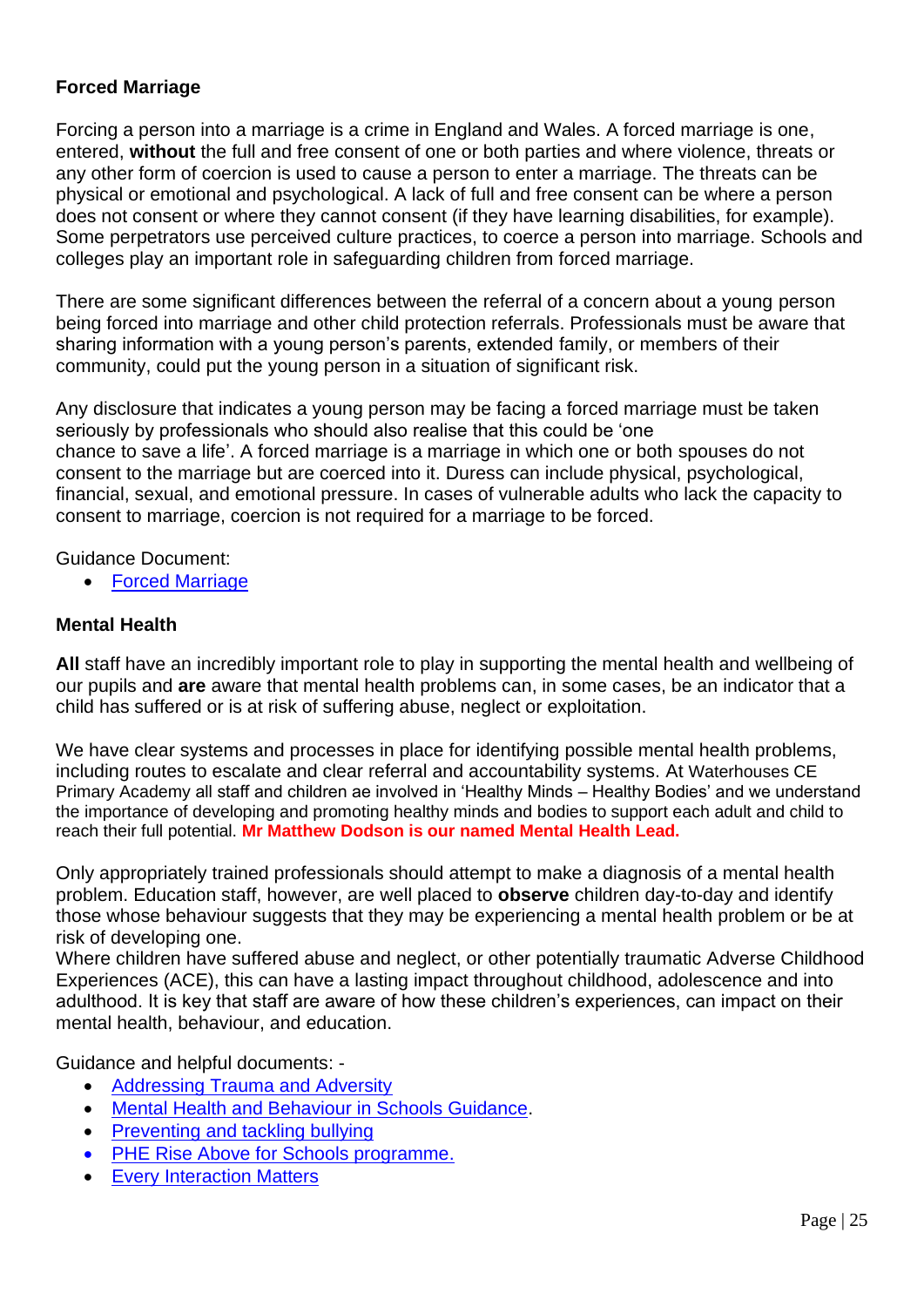## **Forced Marriage**

Forcing a person into a marriage is a crime in England and Wales. A forced marriage is one, entered, **without** the full and free consent of one or both parties and where violence, threats or any other form of coercion is used to cause a person to enter a marriage. The threats can be physical or emotional and psychological. A lack of full and free consent can be where a person does not consent or where they cannot consent (if they have learning disabilities, for example). Some perpetrators use perceived culture practices, to coerce a person into marriage. Schools and colleges play an important role in safeguarding children from forced marriage.

There are some significant differences between the referral of a concern about a young person being forced into marriage and other child protection referrals. Professionals must be aware that sharing information with a young person's parents, extended family, or members of their community, could put the young person in a situation of significant risk.

Any disclosure that indicates a young person may be facing a forced marriage must be taken seriously by professionals who should also realise that this could be 'one chance to save a life'. A forced marriage is a marriage in which one or both spouses do not consent to the marriage but are coerced into it. Duress can include physical, psychological, financial, sexual, and emotional pressure. In cases of vulnerable adults who lack the capacity to consent to marriage, coercion is not required for a marriage to be forced.

Guidance Document:

• [Forced Marriage](https://www.gov.uk/guidance/forced-marriage)

## **Mental Health**

**All** staff have an incredibly important role to play in supporting the mental health and wellbeing of our pupils and **are** aware that mental health problems can, in some cases, be an indicator that a child has suffered or is at risk of suffering abuse, neglect or exploitation.

We have clear systems and processes in place for identifying possible mental health problems, including routes to escalate and clear referral and accountability systems. At Waterhouses CE Primary Academy all staff and children ae involved in 'Healthy Minds – Healthy Bodies' and we understand the importance of developing and promoting healthy minds and bodies to support each adult and child to reach their full potential. **Mr Matthew Dodson is our named Mental Health Lead.**

Only appropriately trained professionals should attempt to make a diagnosis of a mental health problem. Education staff, however, are well placed to **observe** children day-to-day and identify those whose behaviour suggests that they may be experiencing a mental health problem or be at risk of developing one.

Where children have suffered abuse and neglect, or other potentially traumatic Adverse Childhood Experiences (ACE), this can have a lasting impact throughout childhood, adolescence and into adulthood. It is key that staff are aware of how these children's experiences, can impact on their mental health, behaviour, and education.

Guidance and helpful documents: -

- [Addressing Trauma and Adversity](https://www.youngminds.org.uk/professional/resources/addressing-trauma-and-adversity/?gclid=EAIaIQobChMI85GHo_W08gIVn4BQBh2y8AdUEAAYASAAEgLU9fD_BwE)
- [Mental Health and Behaviour in Schools Guidance.](https://assets.publishing.service.gov.uk/government/uploads/system/uploads/attachment_data/file/755135/Mental_health_and_behaviour_in_schools__.pdf)
- [Preventing and tackling bullying](https://assets.publishing.service.gov.uk/government/uploads/system/uploads/attachment_data/file/623895/Preventing_and_tackling_bullying_advice.pdf)
- [PHE Rise Above for Schools programme.](https://staffordshire-my.sharepoint.com/personal/viki_hulme_staffordshire_gov_uk/Documents/Documents/PHE%20launches%20Rise%20Above%20for%20Schools%20programme%20-%20GOV.UK%20(www.gov.uk))
- [Every Interaction Matters](https://www.minded.org.uk/Component/Details/685525)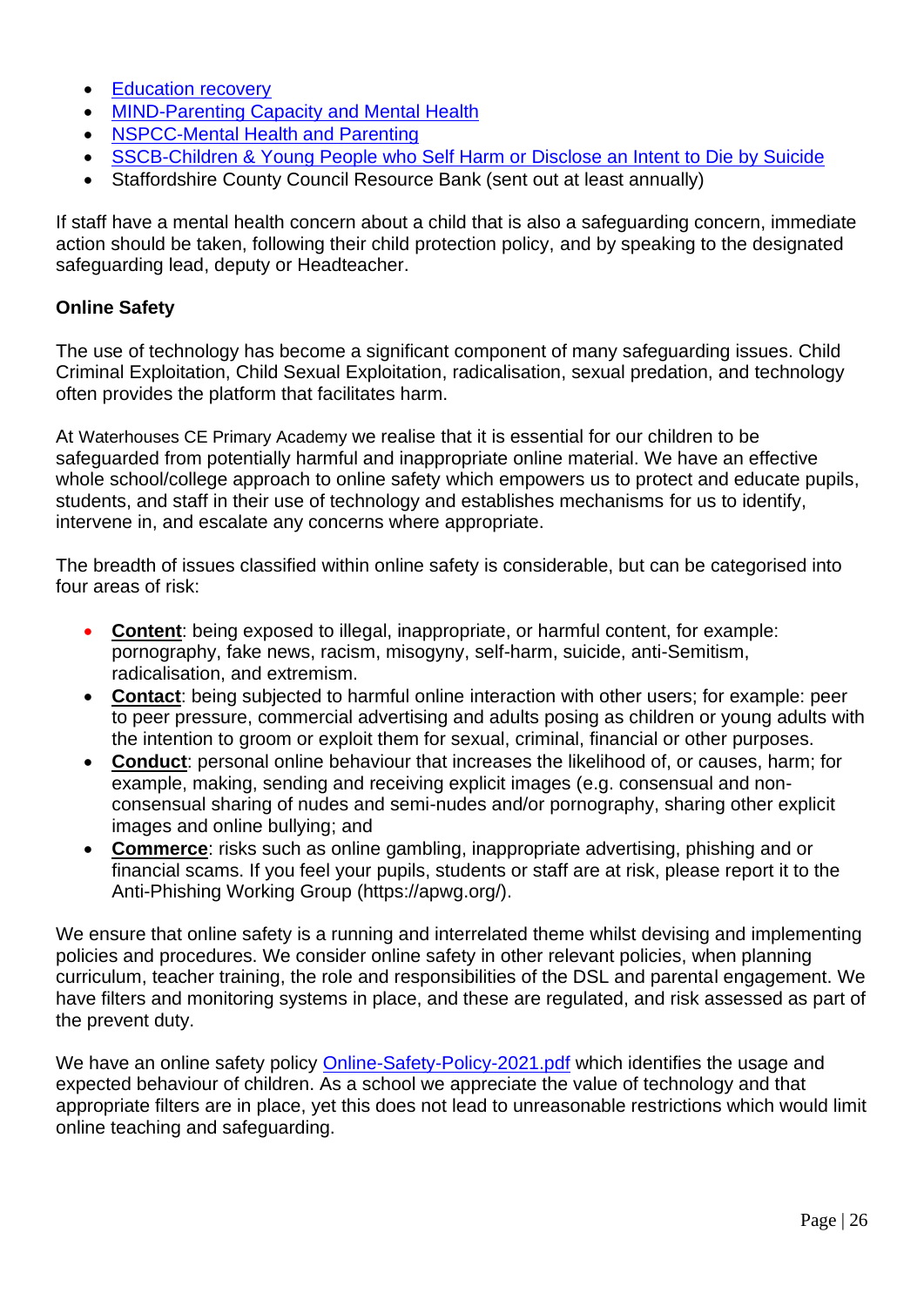- [Education recovery](https://assets.publishing.service.gov.uk/government/uploads/system/uploads/attachment_data/file/993053/Education_recovery_support_June-2021.pdf)
- [MIND-Parenting Capacity and Mental Health](https://www.mind.org.uk/information-support/tips-for-everyday-living/parenting-with-a-mental-health-problem/parenting-and-mental-health/)
- [NSPCC-Mental Health and Parenting](https://www.nspcc.org.uk/keeping-children-safe/support-for-parents/mental-health-parenting/)
- [SSCB-Children & Young People who Self Harm or Disclose an Intent to Die by Suicide](https://www.ssscb.org.uk/wp-content/uploads/2020/04/Section-4U-Children-and-Young-People-who-Self-Harm-or-Disclose-an-Intent-to-Die-by-Suicide.docx)
- Staffordshire County Council Resource Bank (sent out at least annually)

If staff have a mental health concern about a child that is also a safeguarding concern, immediate action should be taken, following their child protection policy, and by speaking to the designated safeguarding lead, deputy or Headteacher.

## **Online Safety**

The use of technology has become a significant component of many safeguarding issues. Child Criminal Exploitation, Child Sexual Exploitation, radicalisation, sexual predation, and technology often provides the platform that facilitates harm.

At Waterhouses CE Primary Academy we realise that it is essential for our children to be safeguarded from potentially harmful and inappropriate online material. We have an effective whole school/college approach to online safety which empowers us to protect and educate pupils, students, and staff in their use of technology and establishes mechanisms for us to identify, intervene in, and escalate any concerns where appropriate.

The breadth of issues classified within online safety is considerable, but can be categorised into four areas of risk:

- **Content**: being exposed to illegal, inappropriate, or harmful content, for example: pornography, fake news, racism, misogyny, self-harm, suicide, anti-Semitism, radicalisation, and extremism.
- **Contact**: being subjected to harmful online interaction with other users; for example: peer to peer pressure, commercial advertising and adults posing as children or young adults with the intention to groom or exploit them for sexual, criminal, financial or other purposes.
- **Conduct**: personal online behaviour that increases the likelihood of, or causes, harm; for example, making, sending and receiving explicit images (e.g. consensual and nonconsensual sharing of nudes and semi-nudes and/or pornography, sharing other explicit images and online bullying; and
- **Commerce**: risks such as online gambling, inappropriate advertising, phishing and or financial scams. If you feel your pupils, students or staff are at risk, please report it to the Anti-Phishing Working Group (https://apwg.org/).

We ensure that online safety is a running and interrelated theme whilst devising and implementing policies and procedures. We consider online safety in other relevant policies, when planning curriculum, teacher training, the role and responsibilities of the DSL and parental engagement. We have filters and monitoring systems in place, and these are regulated, and risk assessed as part of the prevent duty.

We have an online safety policy [Online-Safety-Policy-2021.pdf](https://waterhouses.staffs.sch.uk/wp-content/uploads/sites/2/2021/01/Online-Safety-Policy-2021.pdf) which identifies the usage and expected behaviour of children. As a school we appreciate the value of technology and that appropriate filters are in place, yet this does not lead to unreasonable restrictions which would limit online teaching and safeguarding.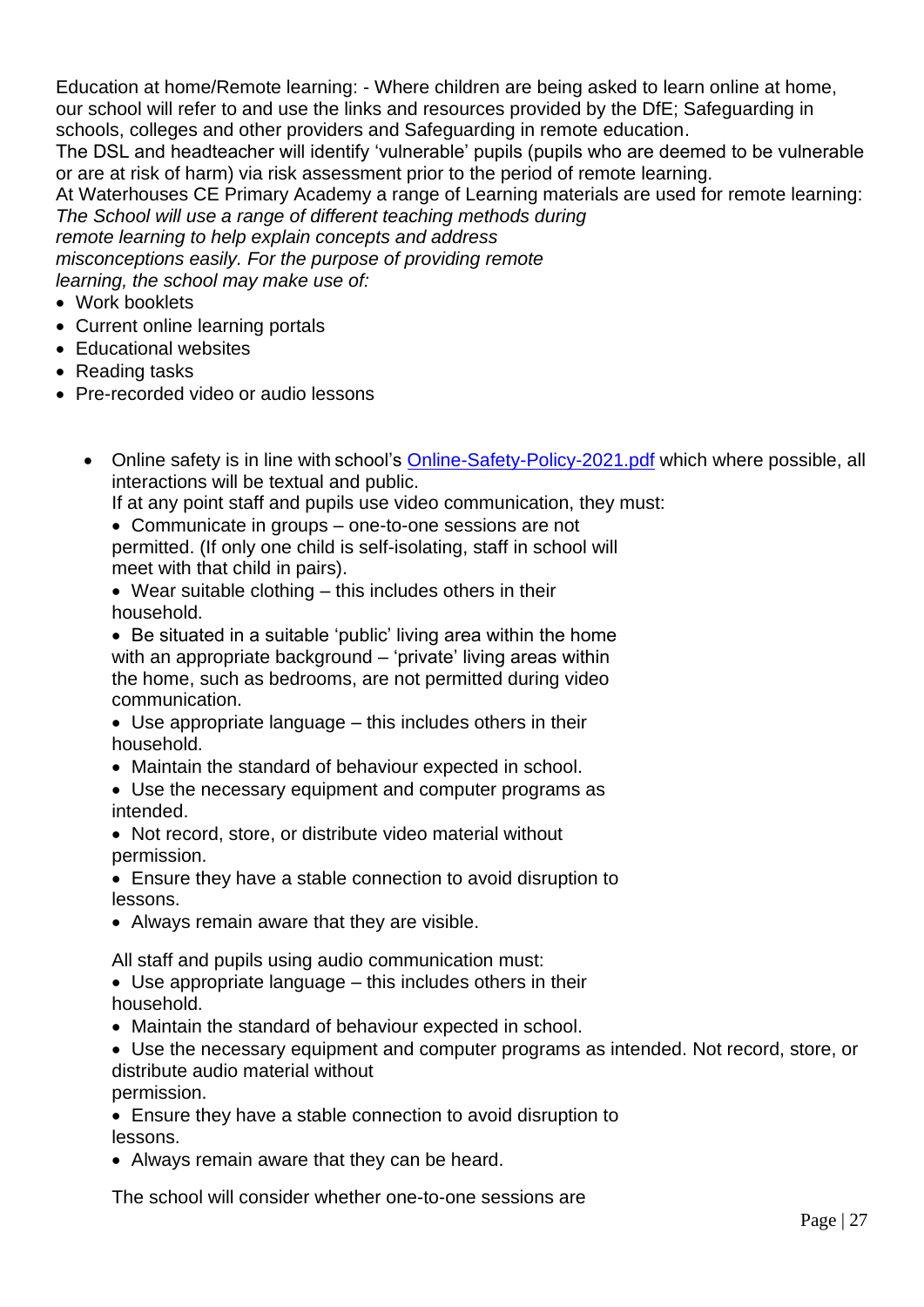Education at home/Remote learning: - Where children are being asked to learn online at home, our school will refer to and use the links and resources provided by the DfE; Safeguarding in schools, colleges and other providers and Safeguarding in remote education.

The DSL and headteacher will identify 'vulnerable' pupils (pupils who are deemed to be vulnerable or are at risk of harm) via risk assessment prior to the period of remote learning.

At Waterhouses CE Primary Academy a range of Learning materials are used for remote learning: *The School will use a range of different teaching methods during* 

*remote learning to help explain concepts and address* 

*misconceptions easily. For the purpose of providing remote* 

*learning, the school may make use of:*

- Work booklets
- Current online learning portals
- Educational websites
- Reading tasks
- Pre-recorded video or audio lessons
	- Online safety is in line with school's [Online-Safety-Policy-2021.pdf](https://waterhouses.staffs.sch.uk/wp-content/uploads/sites/2/2021/01/Online-Safety-Policy-2021.pdf) which where possible, all interactions will be textual and public.

If at any point staff and pupils use video communication, they must:

- Communicate in groups one-to-one sessions are not permitted. (If only one child is self-isolating, staff in school will meet with that child in pairs).
- Wear suitable clothing this includes others in their household.
- Be situated in a suitable 'public' living area within the home with an appropriate background – 'private' living areas within the home, such as bedrooms, are not permitted during video communication.
- Use appropriate language this includes others in their household.
- Maintain the standard of behaviour expected in school.
- Use the necessary equipment and computer programs as intended.
- Not record, store, or distribute video material without permission.
- Ensure they have a stable connection to avoid disruption to lessons.
- Always remain aware that they are visible.

All staff and pupils using audio communication must:

- Use appropriate language this includes others in their household.
- Maintain the standard of behaviour expected in school.
- Use the necessary equipment and computer programs as intended. Not record, store, or distribute audio material without

permission.

• Ensure they have a stable connection to avoid disruption to lessons.

• Always remain aware that they can be heard.

The school will consider whether one-to-one sessions are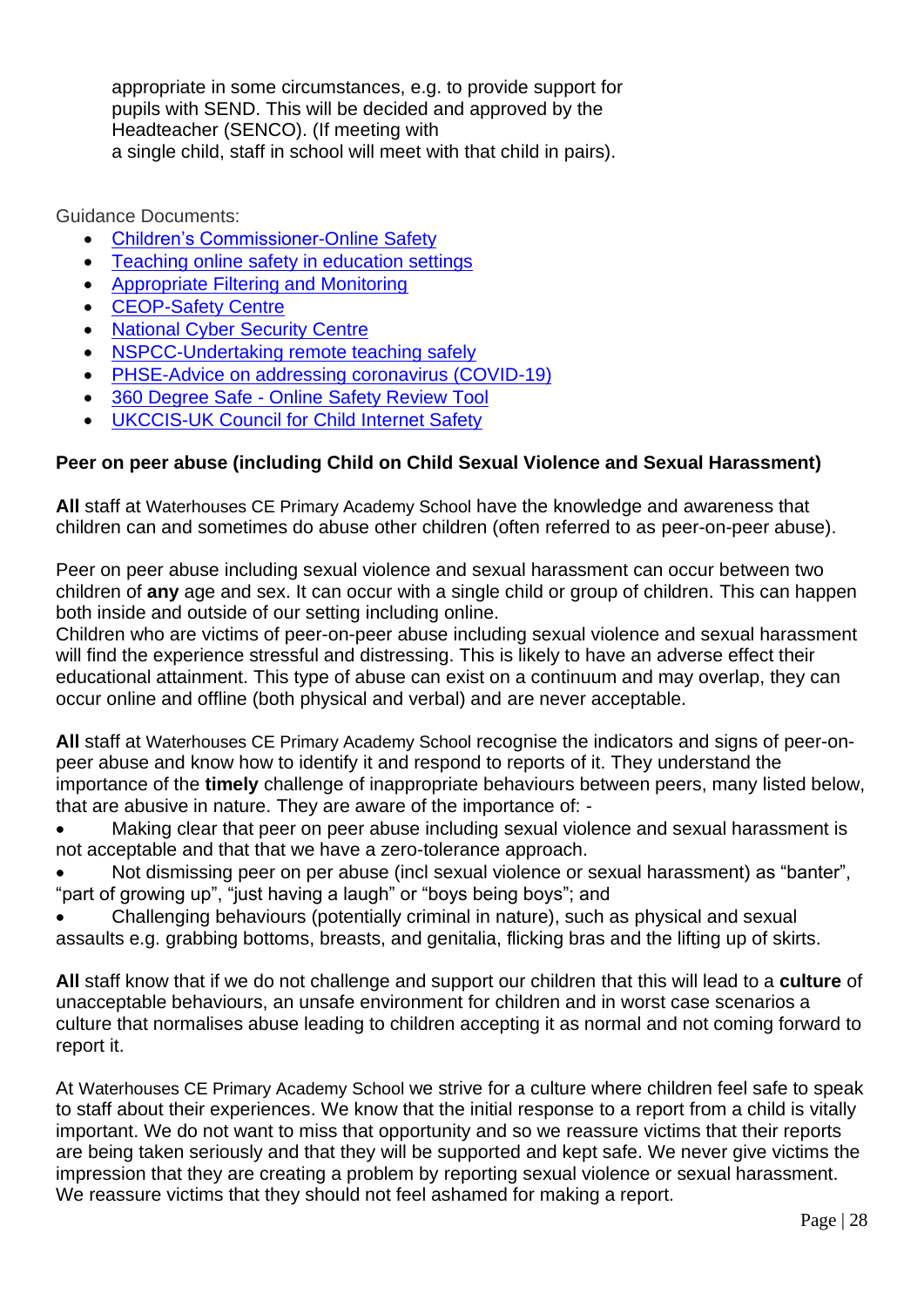appropriate in some circumstances, e.g. to provide support for pupils with SEND. This will be decided and approved by the Headteacher (SENCO). (If meeting with a single child, staff in school will meet with that child in pairs).

Guidance Documents:

- [Children's Commissioner-Online Safety](https://www.childrenscommissioner.gov.uk/?s=online+safety)
- [Teaching online safety in education settings](https://assets.publishing.service.gov.uk/government/uploads/system/uploads/attachment_data/file/811796/Teaching_online_safety_in_school.pdf)
- [Appropriate Filtering and Monitoring](https://www.saferinternet.org.uk/advice-centre/teachers-and-school-staff/appropriate-filtering-and-monitoring)
- [CEOP-Safety Centre](https://www.ceop.police.uk/Safety-Centre/)
- [National Cyber Security Centre](https://www.ncsc.gov.uk/)
- [NSPCC-Undertaking remote teaching safely](https://learning.nspcc.org.uk/news/covid/undertaking-remote-teaching-safely)
- [PHSE-Advice on addressing coronavirus \(COVID-19\)](https://www.pshe-association.org.uk/advice-addressing-coronavirus-covid-19-pshe)
- 360 Degree Safe Online [Safety Review Tool](https://swgfl.org.uk/products/360-degree-safe/)
- [UKCCIS-UK Council for Child Internet Safety](https://www.gov.uk/government/groups/uk-council-for-child-internet-safety-ukccis)

## **Peer on peer abuse (including Child on Child Sexual Violence and Sexual Harassment)**

**All** staff at Waterhouses CE Primary Academy School have the knowledge and awareness that children can and sometimes do abuse other children (often referred to as peer-on-peer abuse).

Peer on peer abuse including sexual violence and sexual harassment can occur between two children of **any** age and sex. It can occur with a single child or group of children. This can happen both inside and outside of our setting including online.

Children who are victims of peer-on-peer abuse including sexual violence and sexual harassment will find the experience stressful and distressing. This is likely to have an adverse effect their educational attainment. This type of abuse can exist on a continuum and may overlap, they can occur online and offline (both physical and verbal) and are never acceptable.

**All** staff at Waterhouses CE Primary Academy School recognise the indicators and signs of peer-onpeer abuse and know how to identify it and respond to reports of it. They understand the importance of the **timely** challenge of inappropriate behaviours between peers, many listed below, that are abusive in nature. They are aware of the importance of: -

- Making clear that peer on peer abuse including sexual violence and sexual harassment is not acceptable and that that we have a zero-tolerance approach.
- Not dismissing peer on per abuse (incl sexual violence or sexual harassment) as "banter", "part of growing up", "just having a laugh" or "boys being boys"; and
- Challenging behaviours (potentially criminal in nature), such as physical and sexual assaults e.g. grabbing bottoms, breasts, and genitalia, flicking bras and the lifting up of skirts.

**All** staff know that if we do not challenge and support our children that this will lead to a **culture** of unacceptable behaviours, an unsafe environment for children and in worst case scenarios a culture that normalises abuse leading to children accepting it as normal and not coming forward to report it.

At Waterhouses CE Primary Academy School we strive for a culture where children feel safe to speak to staff about their experiences. We know that the initial response to a report from a child is vitally important. We do not want to miss that opportunity and so we reassure victims that their reports are being taken seriously and that they will be supported and kept safe. We never give victims the impression that they are creating a problem by reporting sexual violence or sexual harassment. We reassure victims that they should not feel ashamed for making a report.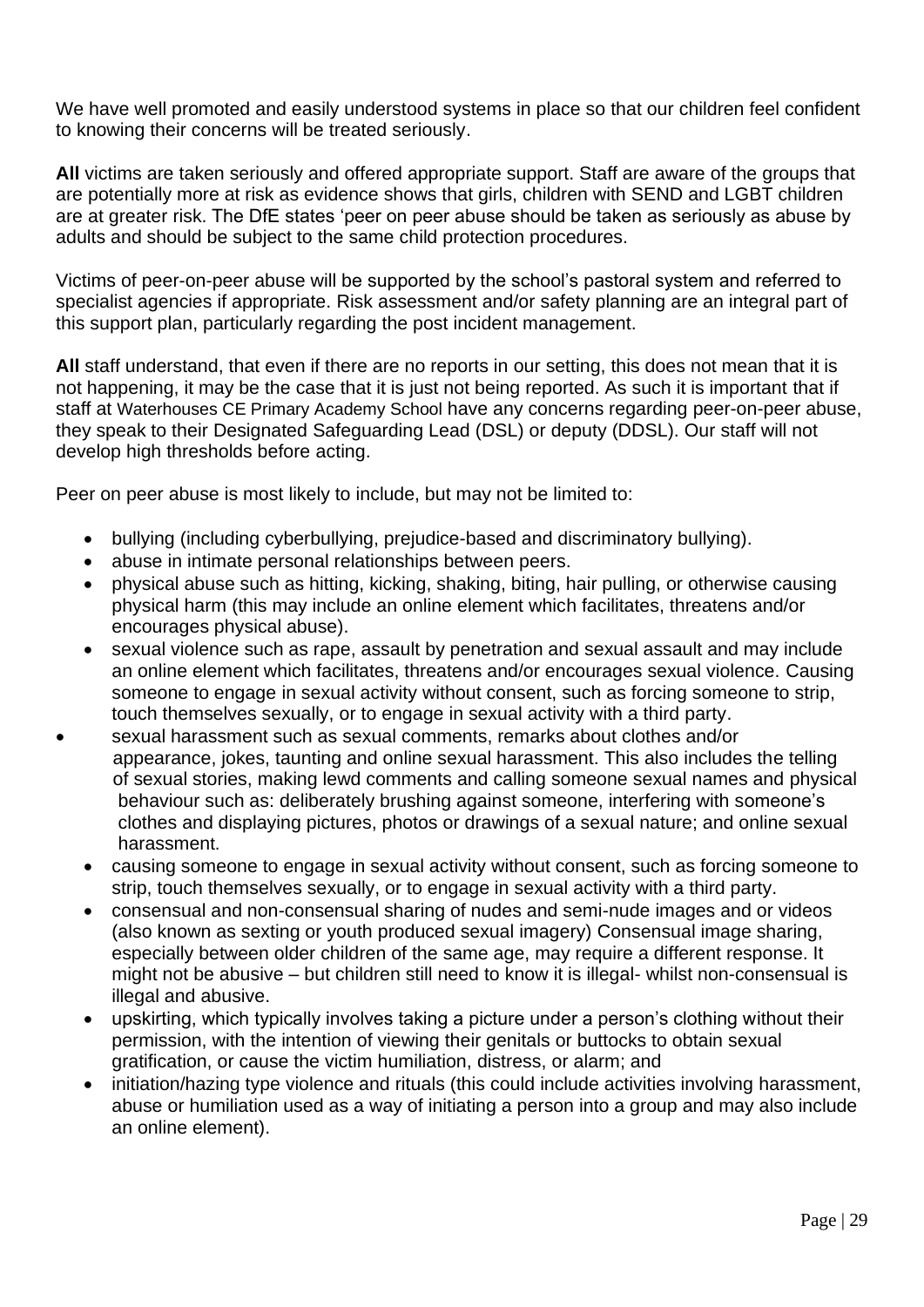We have well promoted and easily understood systems in place so that our children feel confident to knowing their concerns will be treated seriously.

**All** victims are taken seriously and offered appropriate support. Staff are aware of the groups that are potentially more at risk as evidence shows that girls, children with SEND and LGBT children are at greater risk. The DfE states 'peer on peer abuse should be taken as seriously as abuse by adults and should be subject to the same child protection procedures.

Victims of peer-on-peer abuse will be supported by the school's pastoral system and referred to specialist agencies if appropriate. Risk assessment and/or safety planning are an integral part of this support plan, particularly regarding the post incident management.

**All** staff understand, that even if there are no reports in our setting, this does not mean that it is not happening, it may be the case that it is just not being reported. As such it is important that if staff at Waterhouses CE Primary Academy School have any concerns regarding peer-on-peer abuse, they speak to their Designated Safeguarding Lead (DSL) or deputy (DDSL). Our staff will not develop high thresholds before acting.

Peer on peer abuse is most likely to include, but may not be limited to:

- bullying (including cyberbullying, prejudice-based and discriminatory bullying).
- abuse in intimate personal relationships between peers.
- physical abuse such as hitting, kicking, shaking, biting, hair pulling, or otherwise causing physical harm (this may include an online element which facilitates, threatens and/or encourages physical abuse).
- sexual violence such as rape, assault by penetration and sexual assault and may include an online element which facilitates, threatens and/or encourages sexual violence. Causing someone to engage in sexual activity without consent, such as forcing someone to strip, touch themselves sexually, or to engage in sexual activity with a third party.
- sexual harassment such as sexual comments, remarks about clothes and/or appearance, jokes, taunting and online sexual harassment. This also includes the telling of sexual stories, making lewd comments and calling someone sexual names and physical behaviour such as: deliberately brushing against someone, interfering with someone's clothes and displaying pictures, photos or drawings of a sexual nature; and online sexual harassment.
	- causing someone to engage in sexual activity without consent, such as forcing someone to strip, touch themselves sexually, or to engage in sexual activity with a third party.
	- consensual and non-consensual sharing of nudes and semi-nude images and or videos (also known as sexting or youth produced sexual imagery) Consensual image sharing, especially between older children of the same age, may require a different response. It might not be abusive – but children still need to know it is illegal- whilst non-consensual is illegal and abusive.
	- upskirting, which typically involves taking a picture under a person's clothing without their permission, with the intention of viewing their genitals or buttocks to obtain sexual gratification, or cause the victim humiliation, distress, or alarm; and
	- initiation/hazing type violence and rituals (this could include activities involving harassment, abuse or humiliation used as a way of initiating a person into a group and may also include an online element).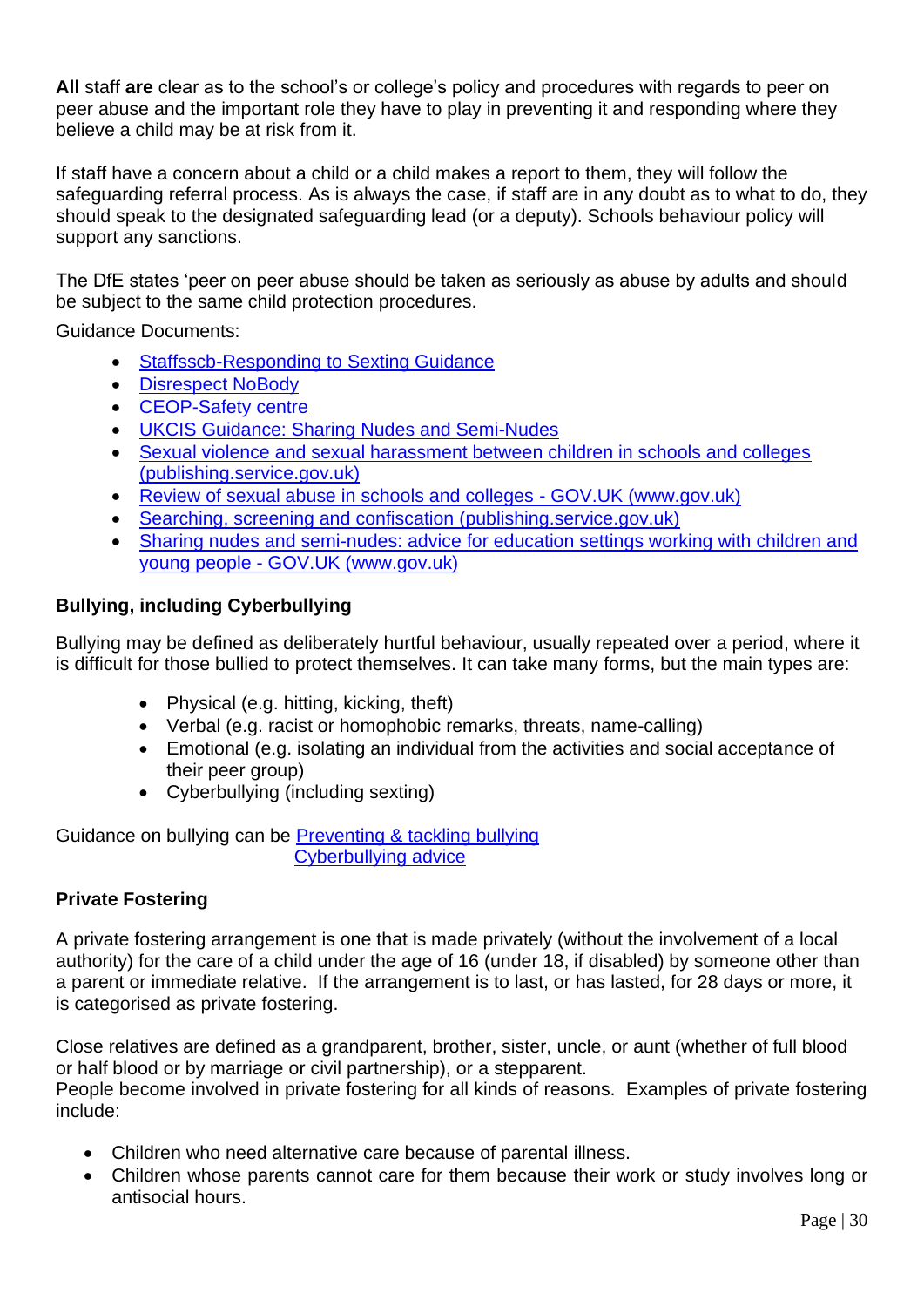**All** staff **are** clear as to the school's or college's policy and procedures with regards to peer on peer abuse and the important role they have to play in preventing it and responding where they believe a child may be at risk from it.

If staff have a concern about a child or a child makes a report to them, they will follow the safeguarding referral process. As is always the case, if staff are in any doubt as to what to do, they should speak to the designated safeguarding lead (or a deputy). Schools behaviour policy will support any sanctions.

The DfE states 'peer on peer abuse should be taken as seriously as abuse by adults and should be subject to the same child protection procedures.

Guidance Documents:

- [Staffsscb-Responding to Sexting Guidance](https://www.staffsscb.org.uk/wp-content/uploads/2020/12/Responding-to-Sexting-Guidance.pdf)
- [Disrespect NoBody](https://www.disrespectnobody.co.uk/)
- [CEOP-Safety centre](https://www.ceop.police.uk/Safety-Centre/)
- [UKCIS Guidance: Sharing Nudes and Semi-Nudes](https://oursaferschools.co.uk/2021/01/13/ukcis/)
- [Sexual violence and sexual harassment between children in schools and colleges](https://assets.publishing.service.gov.uk/government/uploads/system/uploads/attachment_data/file/999239/SVSH_2021.pdf)  [\(publishing.service.gov.uk\)](https://assets.publishing.service.gov.uk/government/uploads/system/uploads/attachment_data/file/999239/SVSH_2021.pdf)
- Review of sexual abuse in schools and colleges GOV.UK (www.gov.uk)
- [Searching, screening and confiscation \(publishing.service.gov.uk\)](https://assets.publishing.service.gov.uk/government/uploads/system/uploads/attachment_data/file/674416/Searching_screening_and_confiscation.pdf)
- Sharing nudes and semi-nudes: advice for education settings working with children and young people - GOV.UK (www.gov.uk)

## **Bullying, including Cyberbullying**

Bullying may be defined as deliberately hurtful behaviour, usually repeated over a period, where it is difficult for those bullied to protect themselves. It can take many forms, but the main types are:

- Physical (e.g. hitting, kicking, theft)
- Verbal (e.g. racist or homophobic remarks, threats, name-calling)
- Emotional (e.g. isolating an individual from the activities and social acceptance of their peer group)
- Cyberbullying (including sexting)

Guidance on bullying can be [Preventing & tackling bullying](https://www.gov.uk/government/publications/preventing-and-tackling-bullying) [Cyberbullying advice](https://assets.publishing.service.gov.uk/government/uploads/system/uploads/attachment_data/file/374850/Cyberbullying_Advice_for_Headteachers_and_School_Staff_121114.pdf)

### **Private Fostering**

A private fostering arrangement is one that is made privately (without the involvement of a local authority) for the care of a child under the age of 16 (under 18, if disabled) by someone other than a parent or immediate relative. If the arrangement is to last, or has lasted, for 28 days or more, it is categorised as private fostering.

Close relatives are defined as a grandparent, brother, sister, uncle, or aunt (whether of full blood or half blood or by marriage or civil partnership), or a stepparent.

People become involved in private fostering for all kinds of reasons. Examples of private fostering include:

- Children who need alternative care because of parental illness.
- Children whose parents cannot care for them because their work or study involves long or antisocial hours.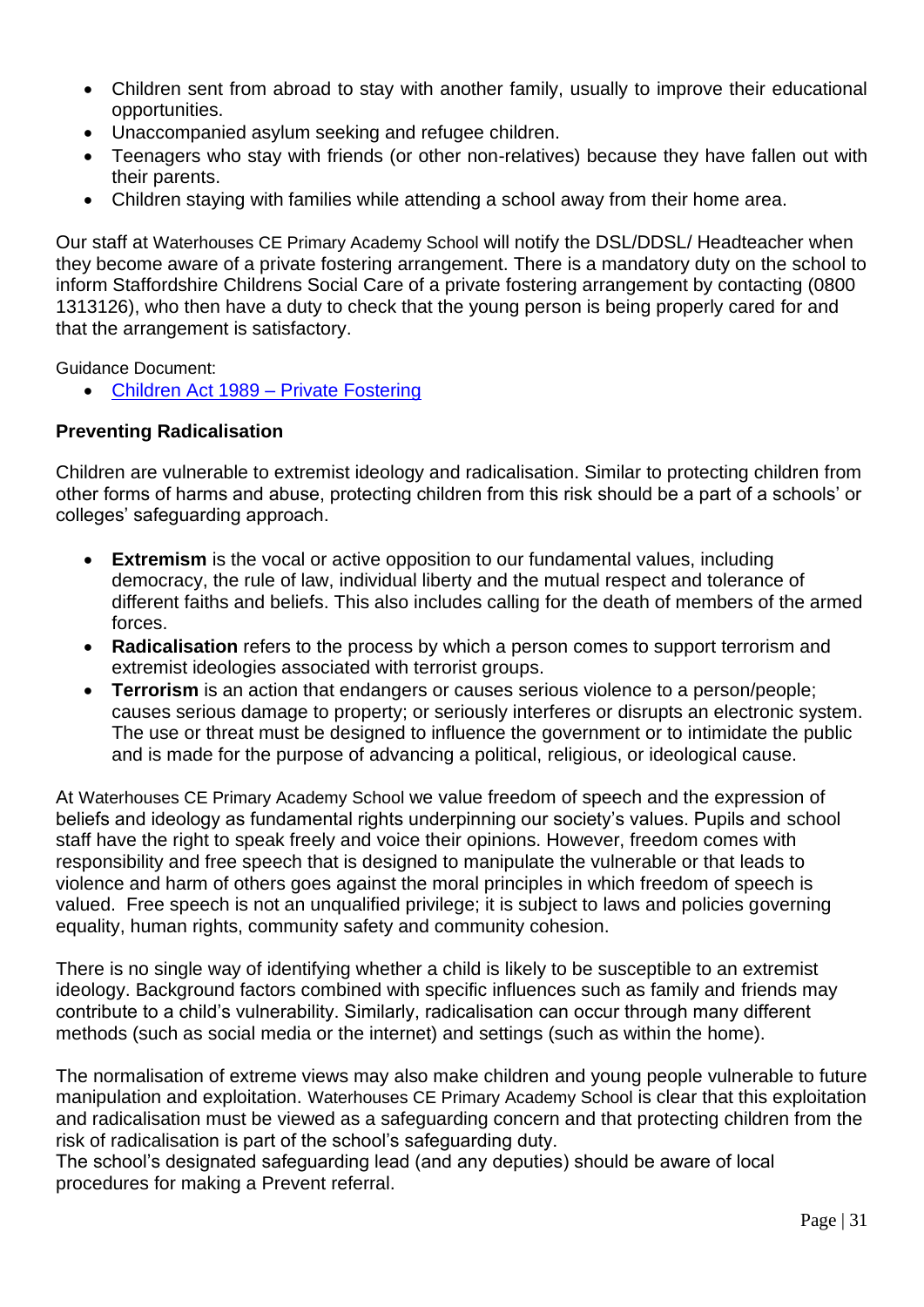- Children sent from abroad to stay with another family, usually to improve their educational opportunities.
- Unaccompanied asylum seeking and refugee children.
- Teenagers who stay with friends (or other non-relatives) because they have fallen out with their parents.
- Children staying with families while attending a school away from their home area.

Our staff at Waterhouses CE Primary Academy School will notify the DSL/DDSL/ Headteacher when they become aware of a private fostering arrangement. There is a mandatory duty on the school to inform Staffordshire Childrens Social Care of a private fostering arrangement by contacting (0800 1313126), who then have a duty to check that the young person is being properly cared for and that the arrangement is satisfactory.

Guidance Document:

• [Children Act 1989 –](https://www.gov.uk/government/publications/children-act-1989-private-fostering) Private Fostering

### **Preventing Radicalisation**

Children are vulnerable to extremist ideology and radicalisation. Similar to protecting children from other forms of harms and abuse, protecting children from this risk should be a part of a schools' or colleges' safeguarding approach.

- **Extremism** is the vocal or active opposition to our fundamental values, including democracy, the rule of law, individual liberty and the mutual respect and tolerance of different faiths and beliefs. This also includes calling for the death of members of the armed forces.
- **Radicalisation** refers to the process by which a person comes to support terrorism and extremist ideologies associated with terrorist groups.
- **Terrorism** is an action that endangers or causes serious violence to a person/people; causes serious damage to property; or seriously interferes or disrupts an electronic system. The use or threat must be designed to influence the government or to intimidate the public and is made for the purpose of advancing a political, religious, or ideological cause.

At Waterhouses CE Primary Academy School we value freedom of speech and the expression of beliefs and ideology as fundamental rights underpinning our society's values. Pupils and school staff have the right to speak freely and voice their opinions. However, freedom comes with responsibility and free speech that is designed to manipulate the vulnerable or that leads to violence and harm of others goes against the moral principles in which freedom of speech is valued. Free speech is not an unqualified privilege; it is subject to laws and policies governing equality, human rights, community safety and community cohesion.

There is no single way of identifying whether a child is likely to be susceptible to an extremist ideology. Background factors combined with specific influences such as family and friends may contribute to a child's vulnerability. Similarly, radicalisation can occur through many different methods (such as social media or the internet) and settings (such as within the home).

The normalisation of extreme views may also make children and young people vulnerable to future manipulation and exploitation. Waterhouses CE Primary Academy School is clear that this exploitation and radicalisation must be viewed as a safeguarding concern and that protecting children from the risk of radicalisation is part of the school's safeguarding duty.

The school's designated safeguarding lead (and any deputies) should be aware of local procedures for making a Prevent referral.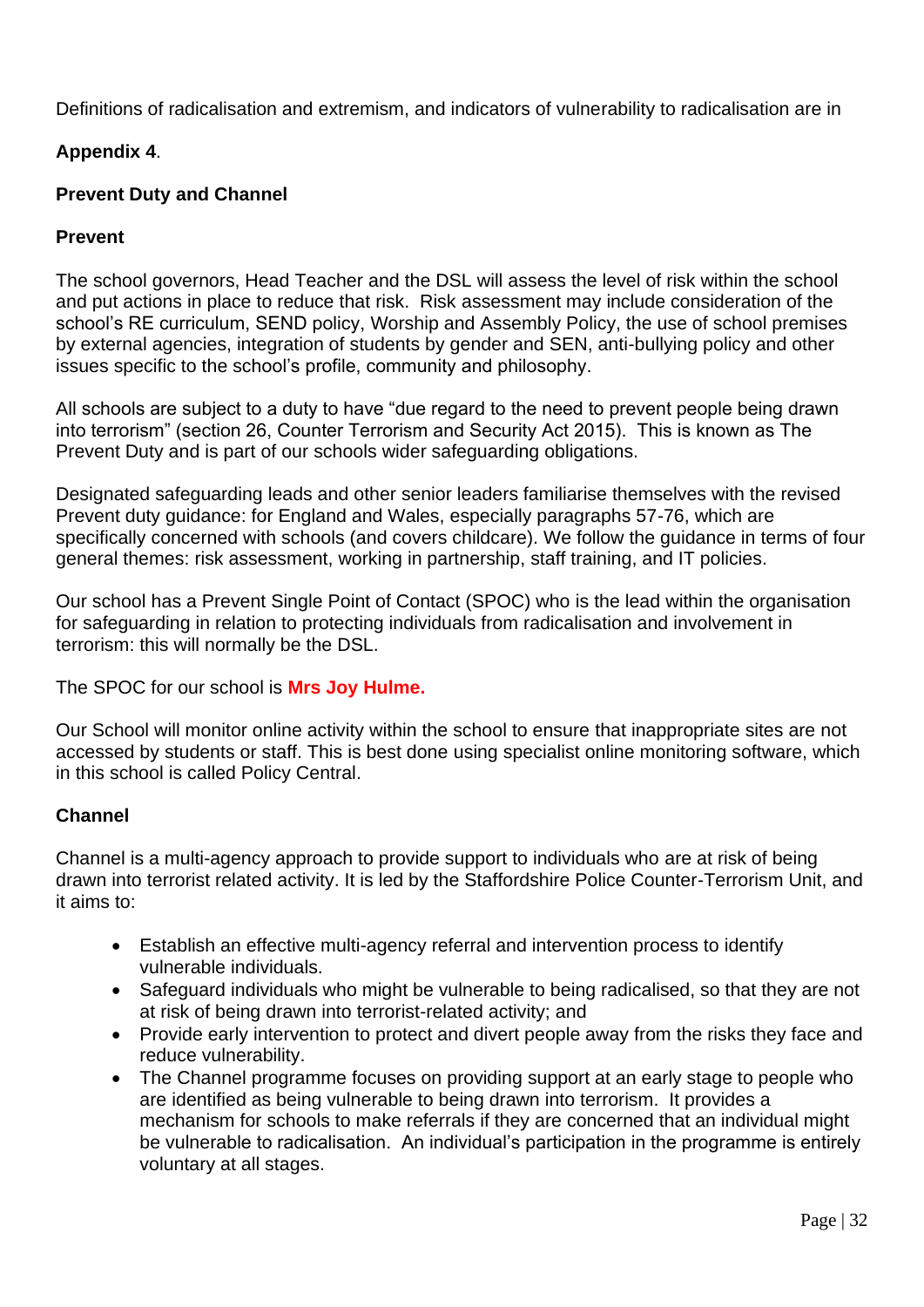Definitions of radicalisation and extremism, and indicators of vulnerability to radicalisation are in

## **Appendix 4**.

## **Prevent Duty and Channel**

## **Prevent**

The school governors, Head Teacher and the DSL will assess the level of risk within the school and put actions in place to reduce that risk. Risk assessment may include consideration of the school's RE curriculum, SEND policy, Worship and Assembly Policy, the use of school premises by external agencies, integration of students by gender and SEN, anti-bullying policy and other issues specific to the school's profile, community and philosophy.

All schools are subject to a duty to have "due regard to the need to prevent people being drawn into terrorism" (section 26, Counter Terrorism and Security Act 2015). This is known as The Prevent Duty and is part of our schools wider safeguarding obligations.

Designated safeguarding leads and other senior leaders familiarise themselves with the revised Prevent duty guidance: for England and Wales, especially paragraphs 57-76, which are specifically concerned with schools (and covers childcare). We follow the guidance in terms of four general themes: risk assessment, working in partnership, staff training, and IT policies.

Our school has a Prevent Single Point of Contact (SPOC) who is the lead within the organisation for safeguarding in relation to protecting individuals from radicalisation and involvement in terrorism: this will normally be the DSL.

The SPOC for our school is **Mrs Joy Hulme.**

Our School will monitor online activity within the school to ensure that inappropriate sites are not accessed by students or staff. This is best done using specialist online monitoring software, which in this school is called Policy Central.

## **Channel**

Channel is a multi-agency approach to provide support to individuals who are at risk of being drawn into terrorist related activity. It is led by the Staffordshire Police Counter-Terrorism Unit, and it aims to:

- Establish an effective multi-agency referral and intervention process to identify vulnerable individuals.
- Safeguard individuals who might be vulnerable to being radicalised, so that they are not at risk of being drawn into terrorist-related activity; and
- Provide early intervention to protect and divert people away from the risks they face and reduce vulnerability.
- The Channel programme focuses on providing support at an early stage to people who are identified as being vulnerable to being drawn into terrorism. It provides a mechanism for schools to make referrals if they are concerned that an individual might be vulnerable to radicalisation. An individual's participation in the programme is entirely voluntary at all stages.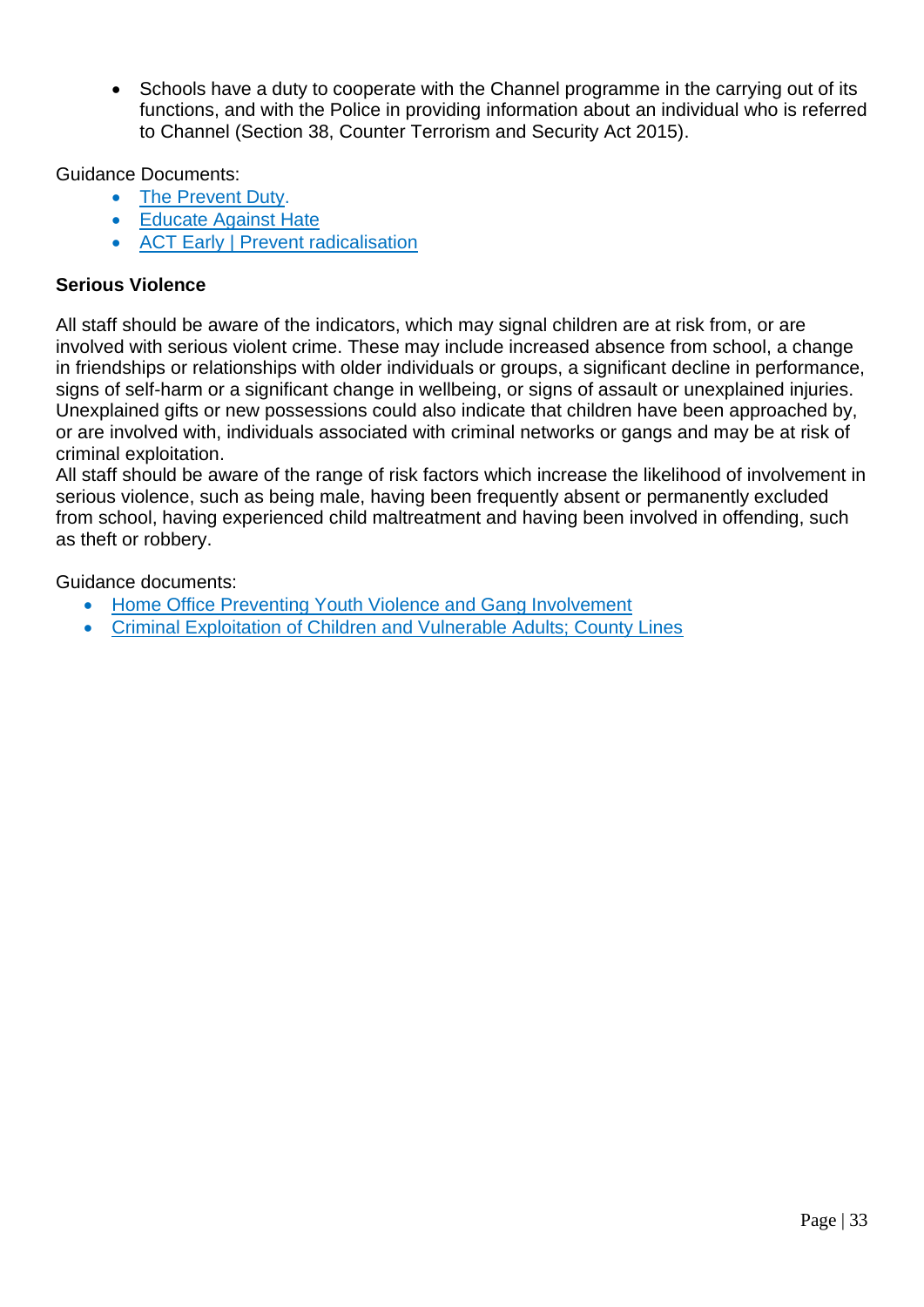• Schools have a duty to cooperate with the Channel programme in the carrying out of its functions, and with the Police in providing information about an individual who is referred to Channel (Section 38, Counter Terrorism and Security Act 2015).

Guidance Documents:

- [The Prevent Duty.](https://www.gov.uk/government/publications/protecting-children-from-radicalisation-the-prevent-duty)
- [Educate Against Hate](https://educateagainsthate.com/)
- [ACT Early | Prevent radicalisation](https://actearly.uk/)

## **Serious Violence**

All staff should be aware of the indicators, which may signal children are at risk from, or are involved with serious violent crime. These may include increased absence from school, a change in friendships or relationships with older individuals or groups, a significant decline in performance, signs of self-harm or a significant change in wellbeing, or signs of assault or unexplained injuries. Unexplained gifts or new possessions could also indicate that children have been approached by, or are involved with, individuals associated with criminal networks or gangs and may be at risk of criminal exploitation.

All staff should be aware of the range of risk factors which increase the likelihood of involvement in serious violence, such as being male, having been frequently absent or permanently excluded from school, having experienced child maltreatment and having been involved in offending, such as theft or robbery.

Guidance documents:

- [Home Office Preventing Youth Violence and Gang Involvement](https://www.gov.uk/government/publications/advice-to-schools-and-colleges-on-gangs-and-youth-violence)
- [Criminal Exploitation of Children and Vulnerable Adults; County Lines](https://www.gov.uk/government/publications/criminal-exploitation-of-children-and-vulnerable-adults-county-lines)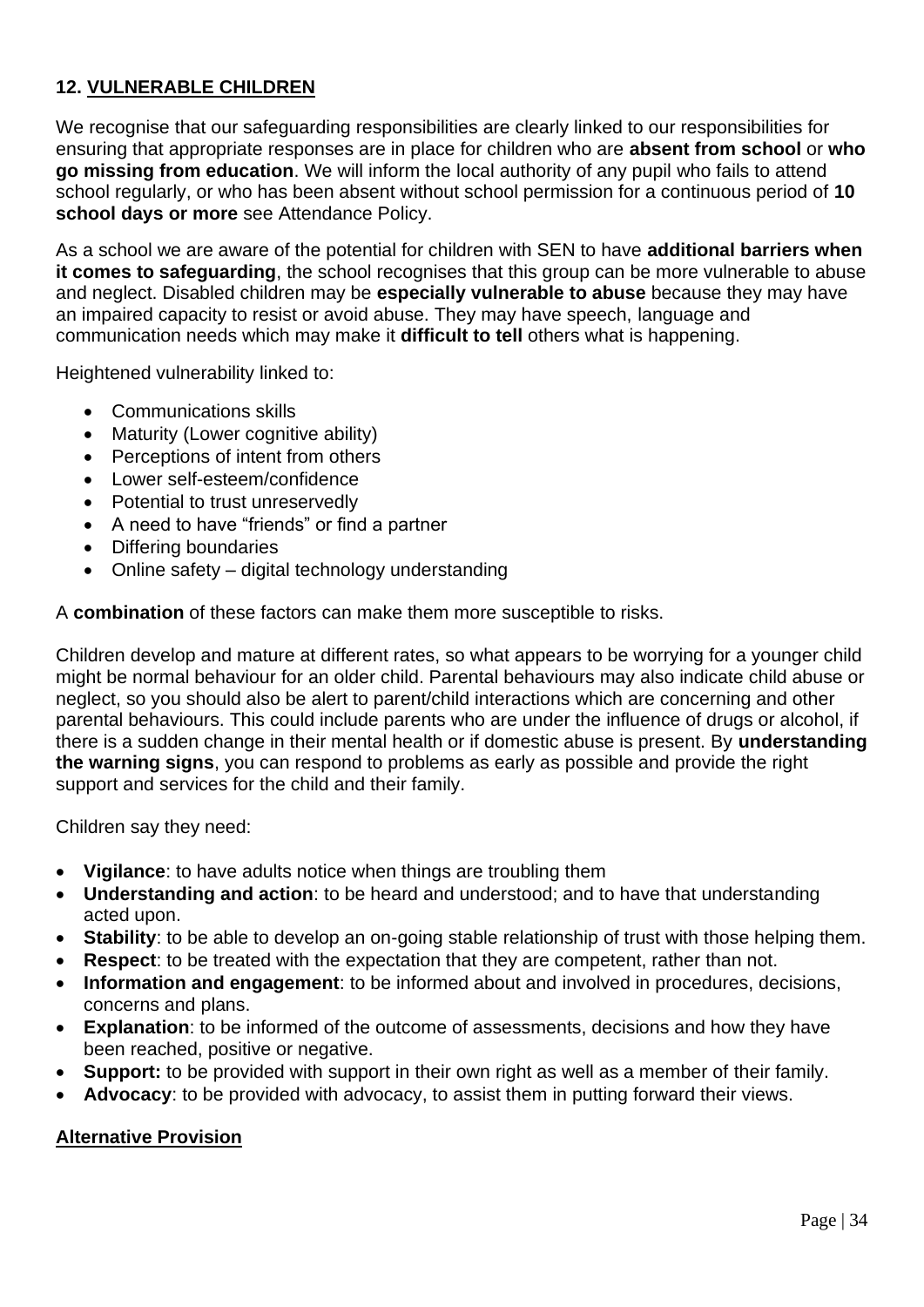## **12. VULNERABLE CHILDREN**

We recognise that our safeguarding responsibilities are clearly linked to our responsibilities for ensuring that appropriate responses are in place for children who are **absent from school** or **who go missing from education**. We will inform the local authority of any pupil who fails to attend school regularly, or who has been absent without school permission for a continuous period of **10 school days or more** see Attendance Policy.

As a school we are aware of the potential for children with SEN to have **additional barriers when it comes to safeguarding**, the school recognises that this group can be more vulnerable to abuse and neglect. Disabled children may be **especially vulnerable to abuse** because they may have an impaired capacity to resist or avoid abuse. They may have speech, language and communication needs which may make it **difficult to tell** others what is happening.

Heightened vulnerability linked to:

- Communications skills
- Maturity (Lower cognitive ability)
- Perceptions of intent from others
- Lower self-esteem/confidence
- Potential to trust unreservedly
- A need to have "friends" or find a partner
- Differing boundaries
- Online safety digital technology understanding

A **combination** of these factors can make them more susceptible to risks.

Children develop and mature at different rates, so what appears to be worrying for a younger child might be normal behaviour for an older child. Parental behaviours may also indicate child abuse or neglect, so you should also be alert to parent/child interactions which are concerning and other parental behaviours. This could include parents who are under the influence of drugs or alcohol, if there is a sudden change in their mental health or if domestic abuse is present. By **understanding the warning signs**, you can respond to problems as early as possible and provide the right support and services for the child and their family.

Children say they need:

- **Vigilance**: to have adults notice when things are troubling them
- **Understanding and action**: to be heard and understood; and to have that understanding acted upon.
- **Stability**: to be able to develop an on-going stable relationship of trust with those helping them.
- **Respect:** to be treated with the expectation that they are competent, rather than not.
- **Information and engagement**: to be informed about and involved in procedures, decisions, concerns and plans.
- **Explanation**: to be informed of the outcome of assessments, decisions and how they have been reached, positive or negative.
- **Support:** to be provided with support in their own right as well as a member of their family.
- **Advocacy**: to be provided with advocacy, to assist them in putting forward their views.

## **Alternative Provision**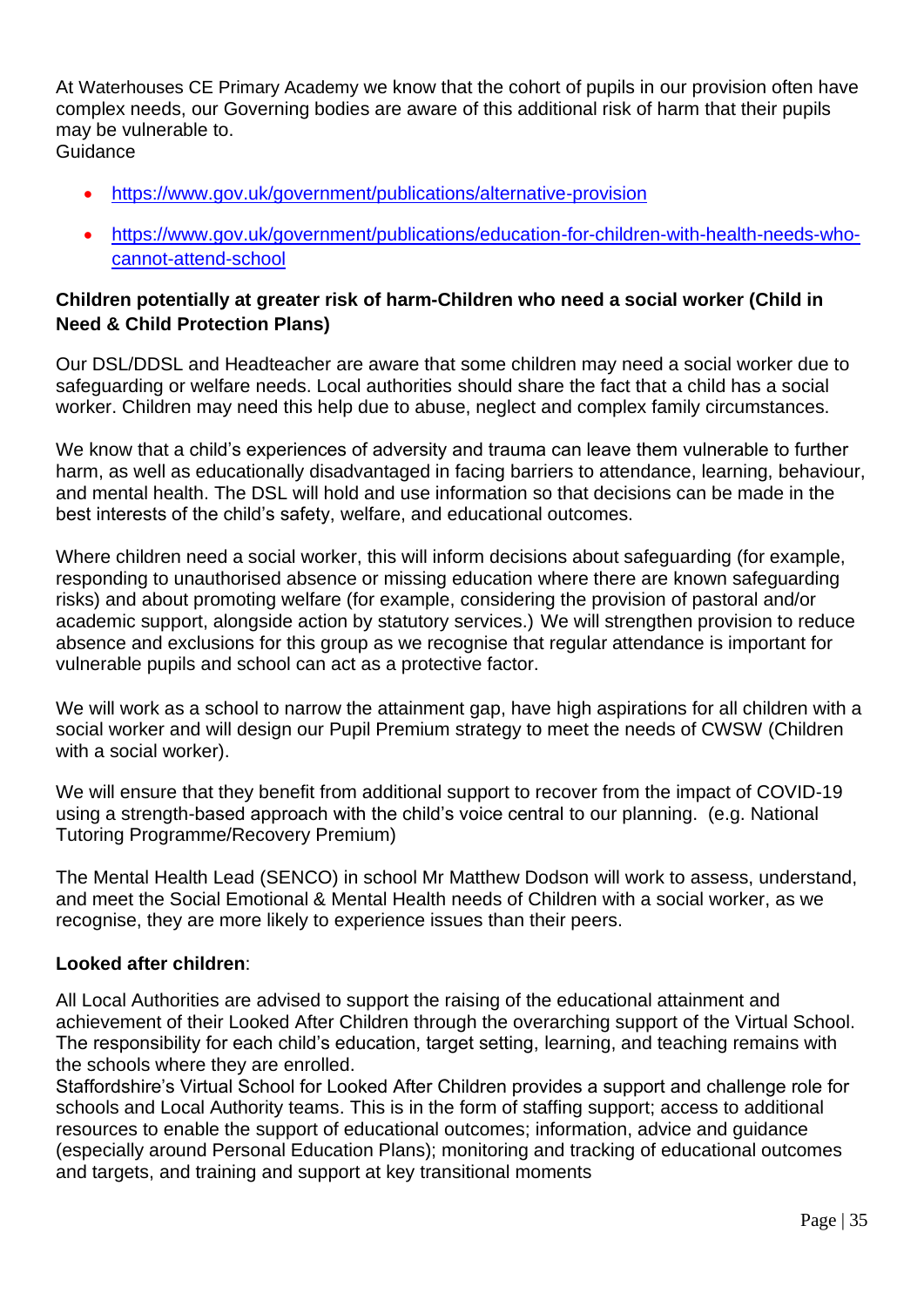At Waterhouses CE Primary Academy we know that the cohort of pupils in our provision often have complex needs, our Governing bodies are aware of this additional risk of harm that their pupils may be vulnerable to. Guidance

- <https://www.gov.uk/government/publications/alternative-provision>
- [https://www.gov.uk/government/publications/education-for-children-with-health-needs-who](https://www.gov.uk/government/publications/education-for-children-with-health-needs-who-cannot-attend-school)[cannot-attend-school](https://www.gov.uk/government/publications/education-for-children-with-health-needs-who-cannot-attend-school)

## **Children potentially at greater risk of harm-Children who need a social worker (Child in Need & Child Protection Plans)**

Our DSL/DDSL and Headteacher are aware that some children may need a social worker due to safeguarding or welfare needs. Local authorities should share the fact that a child has a social worker. Children may need this help due to abuse, neglect and complex family circumstances.

We know that a child's experiences of adversity and trauma can leave them vulnerable to further harm, as well as educationally disadvantaged in facing barriers to attendance, learning, behaviour, and mental health. The DSL will hold and use information so that decisions can be made in the best interests of the child's safety, welfare, and educational outcomes.

Where children need a social worker, this will inform decisions about safeguarding (for example, responding to unauthorised absence or missing education where there are known safeguarding risks) and about promoting welfare (for example, considering the provision of pastoral and/or academic support, alongside action by statutory services.) We will strengthen provision to reduce absence and exclusions for this group as we recognise that regular attendance is important for vulnerable pupils and school can act as a protective factor.

We will work as a school to narrow the attainment gap, have high aspirations for all children with a social worker and will design our Pupil Premium strategy to meet the needs of CWSW (Children with a social worker).

We will ensure that they benefit from additional support to recover from the impact of COVID-19 using a strength-based approach with the child's voice central to our planning. (e.g. National Tutoring Programme/Recovery Premium)

The Mental Health Lead (SENCO) in school Mr Matthew Dodson will work to assess, understand, and meet the Social Emotional & Mental Health needs of Children with a social worker, as we recognise, they are more likely to experience issues than their peers.

## **Looked after children**:

All Local Authorities are advised to support the raising of the educational attainment and achievement of their Looked After Children through the overarching support of the Virtual School. The responsibility for each child's education, target setting, learning, and teaching remains with the schools where they are enrolled.

Staffordshire's Virtual School for Looked After Children provides a support and challenge role for schools and Local Authority teams. This is in the form of staffing support; access to additional resources to enable the support of educational outcomes; information, advice and guidance (especially around Personal Education Plans); monitoring and tracking of educational outcomes and targets, and training and support at key transitional moments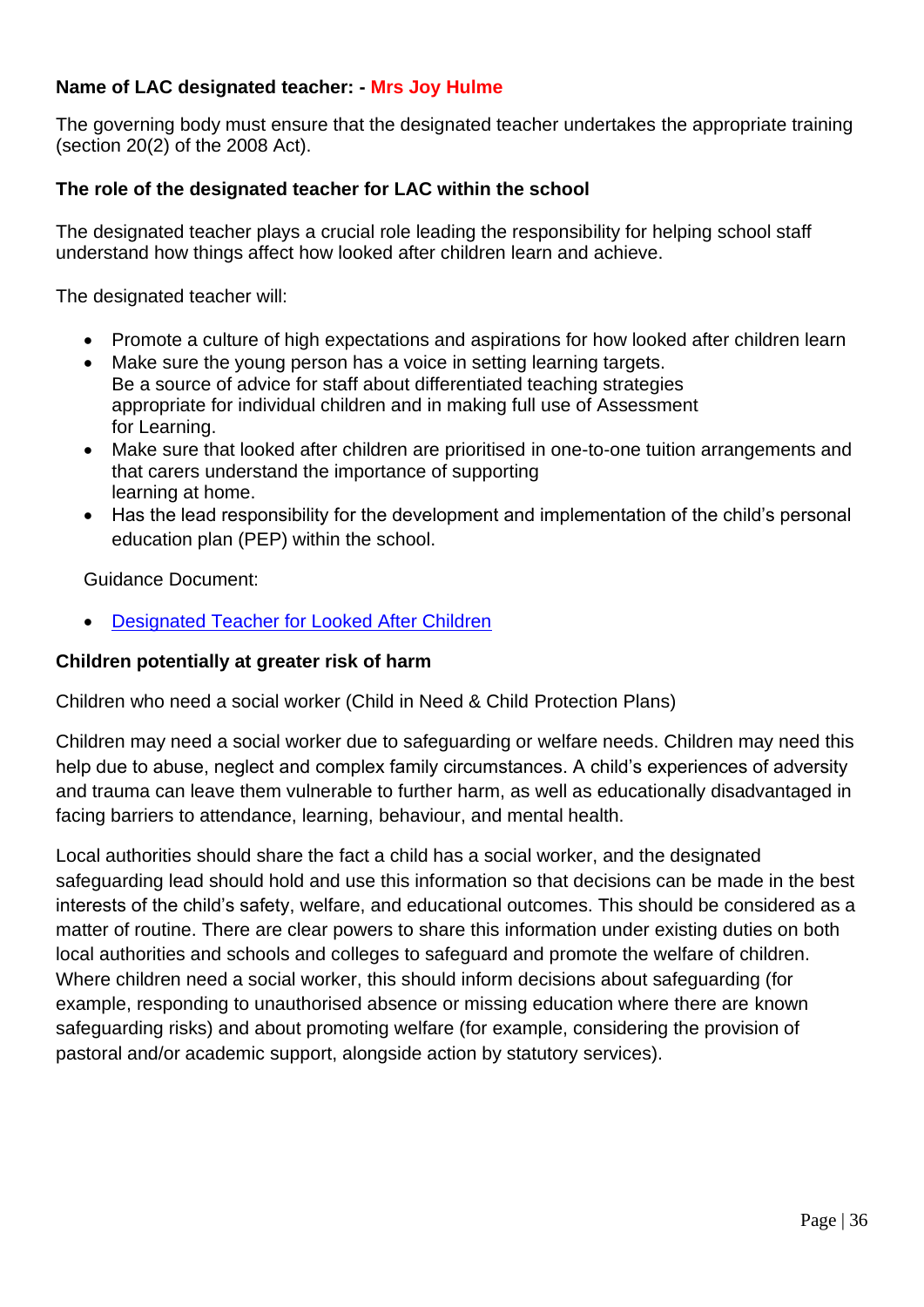## **Name of LAC designated teacher: - Mrs Joy Hulme**

The governing body must ensure that the designated teacher undertakes the appropriate training (section 20(2) of the 2008 Act).

## **The role of the designated teacher for LAC within the school**

The designated teacher plays a crucial role leading the responsibility for helping school staff understand how things affect how looked after children learn and achieve.

The designated teacher will:

- Promote a culture of high expectations and aspirations for how looked after children learn
- Make sure the young person has a voice in setting learning targets. Be a source of advice for staff about differentiated teaching strategies appropriate for individual children and in making full use of Assessment for Learning.
- Make sure that looked after children are prioritised in one-to-one tuition arrangements and that carers understand the importance of supporting learning at home.
- Has the lead responsibility for the development and implementation of the child's personal education plan (PEP) within the school.

Guidance Document:

• [Designated Teacher for Looked After Children](https://www.gov.uk/government/publications/designated-teacher-for-looked-after-children)

### **Children potentially at greater risk of harm**

Children who need a social worker (Child in Need & Child Protection Plans)

Children may need a social worker due to safeguarding or welfare needs. Children may need this help due to abuse, neglect and complex family circumstances. A child's experiences of adversity and trauma can leave them vulnerable to further harm, as well as educationally disadvantaged in facing barriers to attendance, learning, behaviour, and mental health.

Local authorities should share the fact a child has a social worker, and the designated safeguarding lead should hold and use this information so that decisions can be made in the best interests of the child's safety, welfare, and educational outcomes. This should be considered as a matter of routine. There are clear powers to share this information under existing duties on both local authorities and schools and colleges to safeguard and promote the welfare of children. Where children need a social worker, this should inform decisions about safeguarding (for example, responding to unauthorised absence or missing education where there are known safeguarding risks) and about promoting welfare (for example, considering the provision of pastoral and/or academic support, alongside action by statutory services).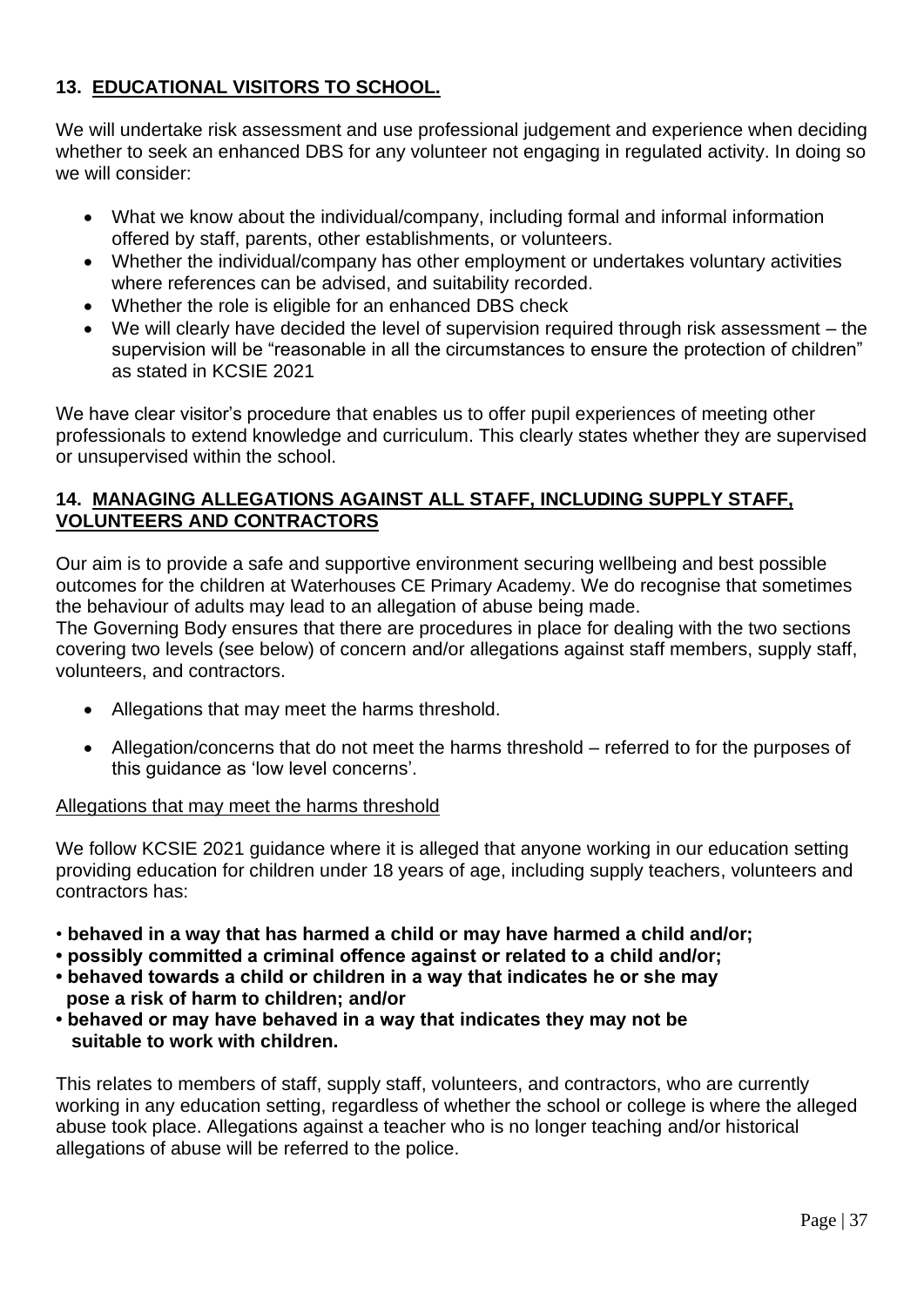## **13. EDUCATIONAL VISITORS TO SCHOOL.**

We will undertake risk assessment and use professional judgement and experience when deciding whether to seek an enhanced DBS for any volunteer not engaging in regulated activity. In doing so we will consider:

- What we know about the individual/company, including formal and informal information offered by staff, parents, other establishments, or volunteers.
- Whether the individual/company has other employment or undertakes voluntary activities where references can be advised, and suitability recorded.
- Whether the role is eligible for an enhanced DBS check
- We will clearly have decided the level of supervision required through risk assessment the supervision will be "reasonable in all the circumstances to ensure the protection of children" as stated in KCSIE 2021

We have clear visitor's procedure that enables us to offer pupil experiences of meeting other professionals to extend knowledge and curriculum. This clearly states whether they are supervised or unsupervised within the school.

## **14. MANAGING ALLEGATIONS AGAINST ALL STAFF, INCLUDING SUPPLY STAFF, VOLUNTEERS AND CONTRACTORS**

Our aim is to provide a safe and supportive environment securing wellbeing and best possible outcomes for the children at Waterhouses CE Primary Academy. We do recognise that sometimes the behaviour of adults may lead to an allegation of abuse being made.

The Governing Body ensures that there are procedures in place for dealing with the two sections covering two levels (see below) of concern and/or allegations against staff members, supply staff, volunteers, and contractors.

- Allegations that may meet the harms threshold.
- Allegation/concerns that do not meet the harms threshold referred to for the purposes of this guidance as 'low level concerns'.

### Allegations that may meet the harms threshold

We follow KCSIE 2021 guidance where it is alleged that anyone working in our education setting providing education for children under 18 years of age, including supply teachers, volunteers and contractors has:

- **behaved in a way that has harmed a child or may have harmed a child and/or;**
- **possibly committed a criminal offence against or related to a child and/or;**
- **behaved towards a child or children in a way that indicates he or she may pose a risk of harm to children; and/or**
- **behaved or may have behaved in a way that indicates they may not be suitable to work with children.**

This relates to members of staff, supply staff, volunteers, and contractors, who are currently working in any education setting, regardless of whether the school or college is where the alleged abuse took place. Allegations against a teacher who is no longer teaching and/or historical allegations of abuse will be referred to the police.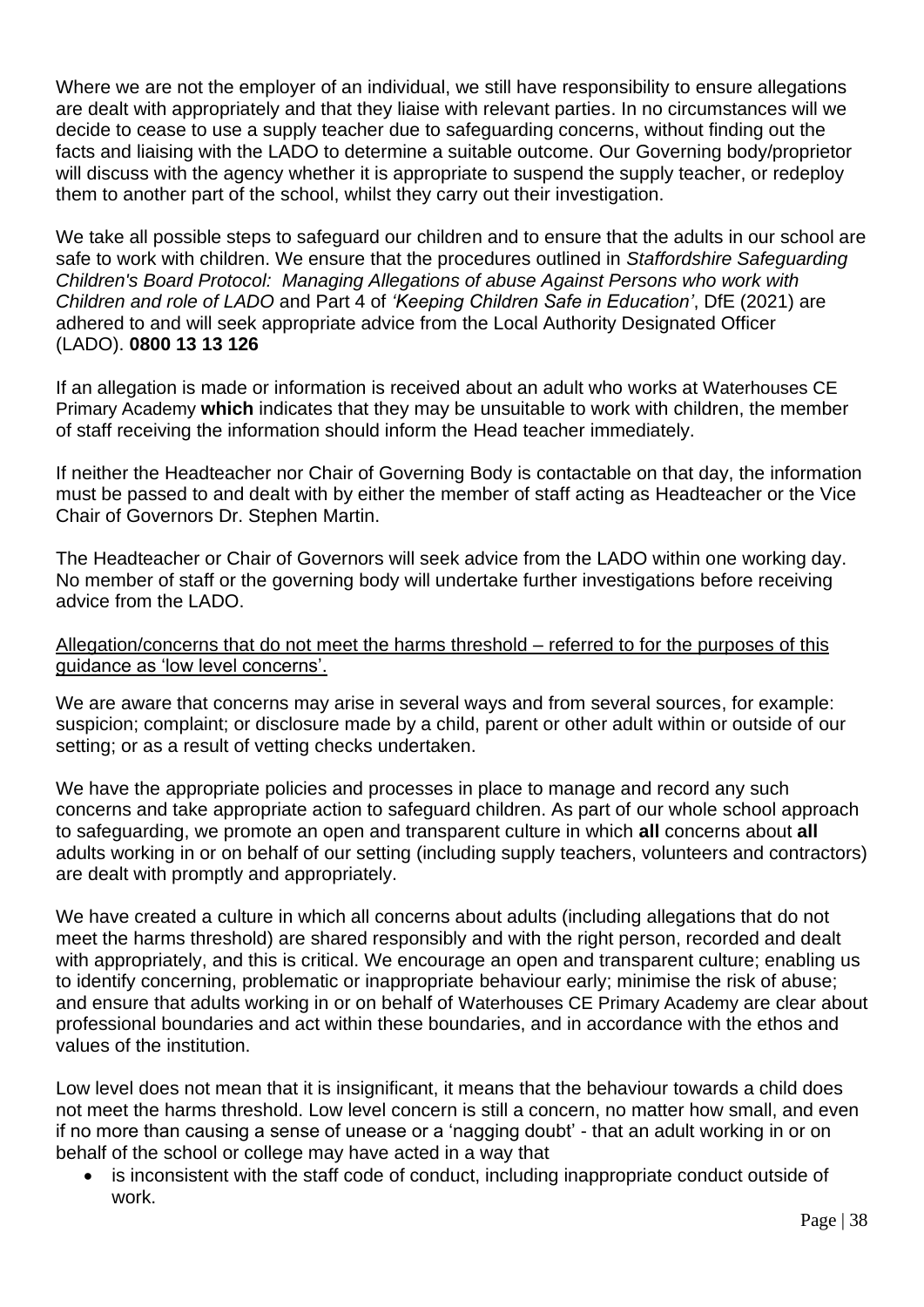Where we are not the employer of an individual, we still have responsibility to ensure allegations are dealt with appropriately and that they liaise with relevant parties. In no circumstances will we decide to cease to use a supply teacher due to safeguarding concerns, without finding out the facts and liaising with the LADO to determine a suitable outcome. Our Governing body/proprietor will discuss with the agency whether it is appropriate to suspend the supply teacher, or redeploy them to another part of the school, whilst they carry out their investigation.

We take all possible steps to safeguard our children and to ensure that the adults in our school are safe to work with children. We ensure that the procedures outlined in *Staffordshire Safeguarding Children's Board Protocol: Managing Allegations of abuse Against Persons who work with Children and role of LADO* and Part 4 of *'Keeping Children Safe in Education'*, DfE (2021) are adhered to and will seek appropriate advice from the Local Authority Designated Officer (LADO). **0800 13 13 126**

If an allegation is made or information is received about an adult who works at Waterhouses CE Primary Academy **which** indicates that they may be unsuitable to work with children, the member of staff receiving the information should inform the Head teacher immediately.

If neither the Headteacher nor Chair of Governing Body is contactable on that day, the information must be passed to and dealt with by either the member of staff acting as Headteacher or the Vice Chair of Governors Dr. Stephen Martin.

The Headteacher or Chair of Governors will seek advice from the LADO within one working day. No member of staff or the governing body will undertake further investigations before receiving advice from the LADO.

Allegation/concerns that do not meet the harms threshold – referred to for the purposes of this guidance as 'low level concerns'.

We are aware that concerns may arise in several ways and from several sources, for example: suspicion; complaint; or disclosure made by a child, parent or other adult within or outside of our setting; or as a result of vetting checks undertaken.

We have the appropriate policies and processes in place to manage and record any such concerns and take appropriate action to safeguard children. As part of our whole school approach to safeguarding, we promote an open and transparent culture in which **all** concerns about **all**  adults working in or on behalf of our setting (including supply teachers, volunteers and contractors) are dealt with promptly and appropriately.

We have created a culture in which all concerns about adults (including allegations that do not meet the harms threshold) are shared responsibly and with the right person, recorded and dealt with appropriately, and this is critical. We encourage an open and transparent culture; enabling us to identify concerning, problematic or inappropriate behaviour early; minimise the risk of abuse; and ensure that adults working in or on behalf of Waterhouses CE Primary Academy are clear about professional boundaries and act within these boundaries, and in accordance with the ethos and values of the institution.

Low level does not mean that it is insignificant, it means that the behaviour towards a child does not meet the harms threshold. Low level concern is still a concern, no matter how small, and even if no more than causing a sense of unease or a 'nagging doubt' - that an adult working in or on behalf of the school or college may have acted in a way that

is inconsistent with the staff code of conduct, including inappropriate conduct outside of work.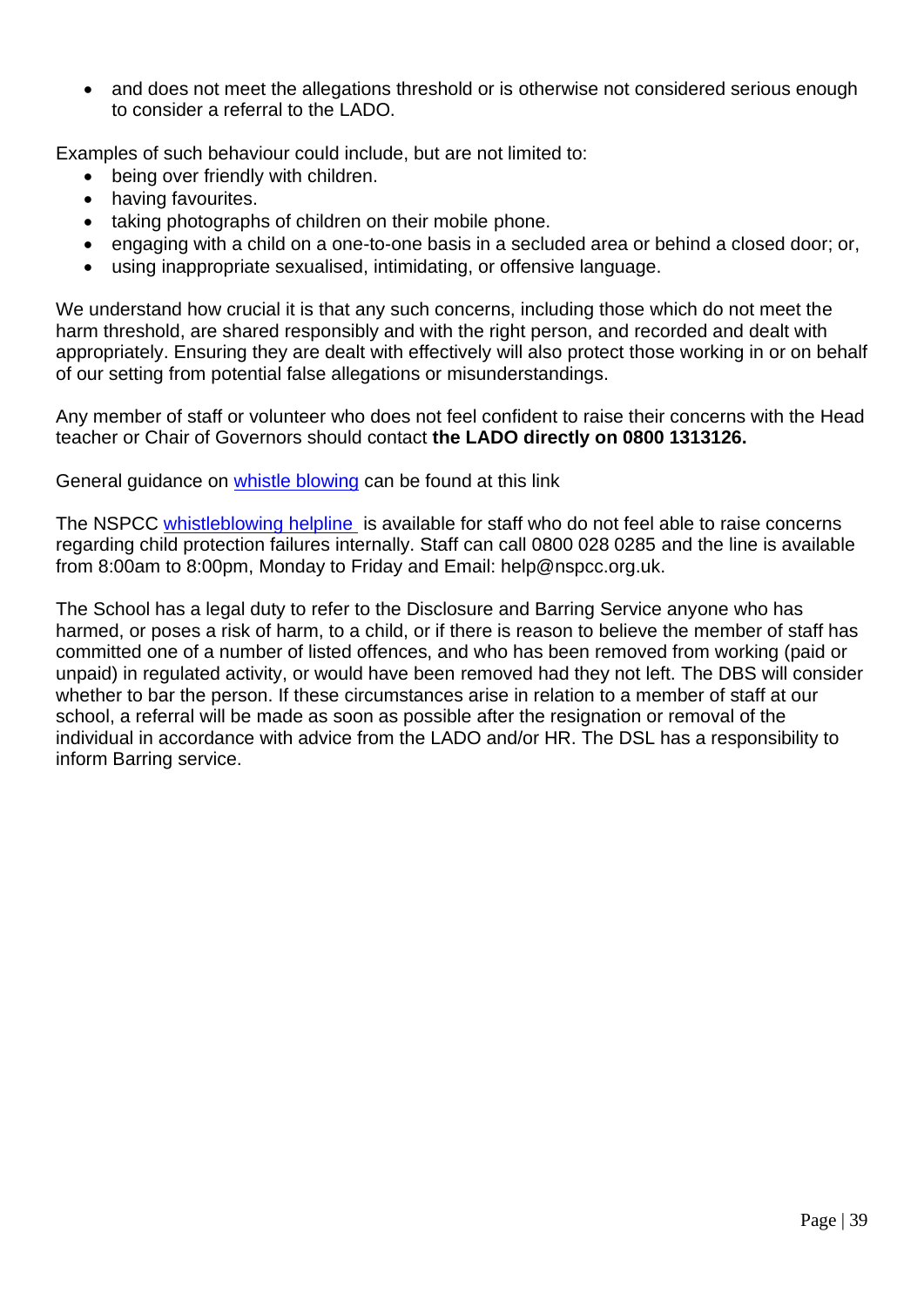• and does not meet the allegations threshold or is otherwise not considered serious enough to consider a referral to the LADO.

Examples of such behaviour could include, but are not limited to:

- being over friendly with children.
- having favourites.
- taking photographs of children on their mobile phone.
- engaging with a child on a one-to-one basis in a secluded area or behind a closed door; or,
- using inappropriate sexualised, intimidating, or offensive language.

We understand how crucial it is that any such concerns, including those which do not meet the harm threshold, are shared responsibly and with the right person, and recorded and dealt with appropriately. Ensuring they are dealt with effectively will also protect those working in or on behalf of our setting from potential false allegations or misunderstandings.

Any member of staff or volunteer who does not feel confident to raise their concerns with the Head teacher or Chair of Governors should contact **the LADO directly on 0800 1313126.**

General guidance on [whistle blowing](https://www.gov.uk/whistleblowing) can be found at this link

The NSPCC [whistleblowing helpline](https://www.gov.uk/government/news/home-office-launches-child-abuse-whistleblowing-helpline) is available for staff who do not feel able to raise concerns regarding child protection failures internally. Staff can call 0800 028 0285 and the line is available from 8:00am to 8:00pm, Monday to Friday and Email: help@nspcc.org.uk.

The School has a legal duty to refer to the Disclosure and Barring Service anyone who has harmed, or poses a risk of harm, to a child, or if there is reason to believe the member of staff has committed one of a number of listed offences, and who has been removed from working (paid or unpaid) in regulated activity, or would have been removed had they not left. The DBS will consider whether to bar the person. If these circumstances arise in relation to a member of staff at our school, a referral will be made as soon as possible after the resignation or removal of the individual in accordance with advice from the LADO and/or HR. The DSL has a responsibility to inform Barring service.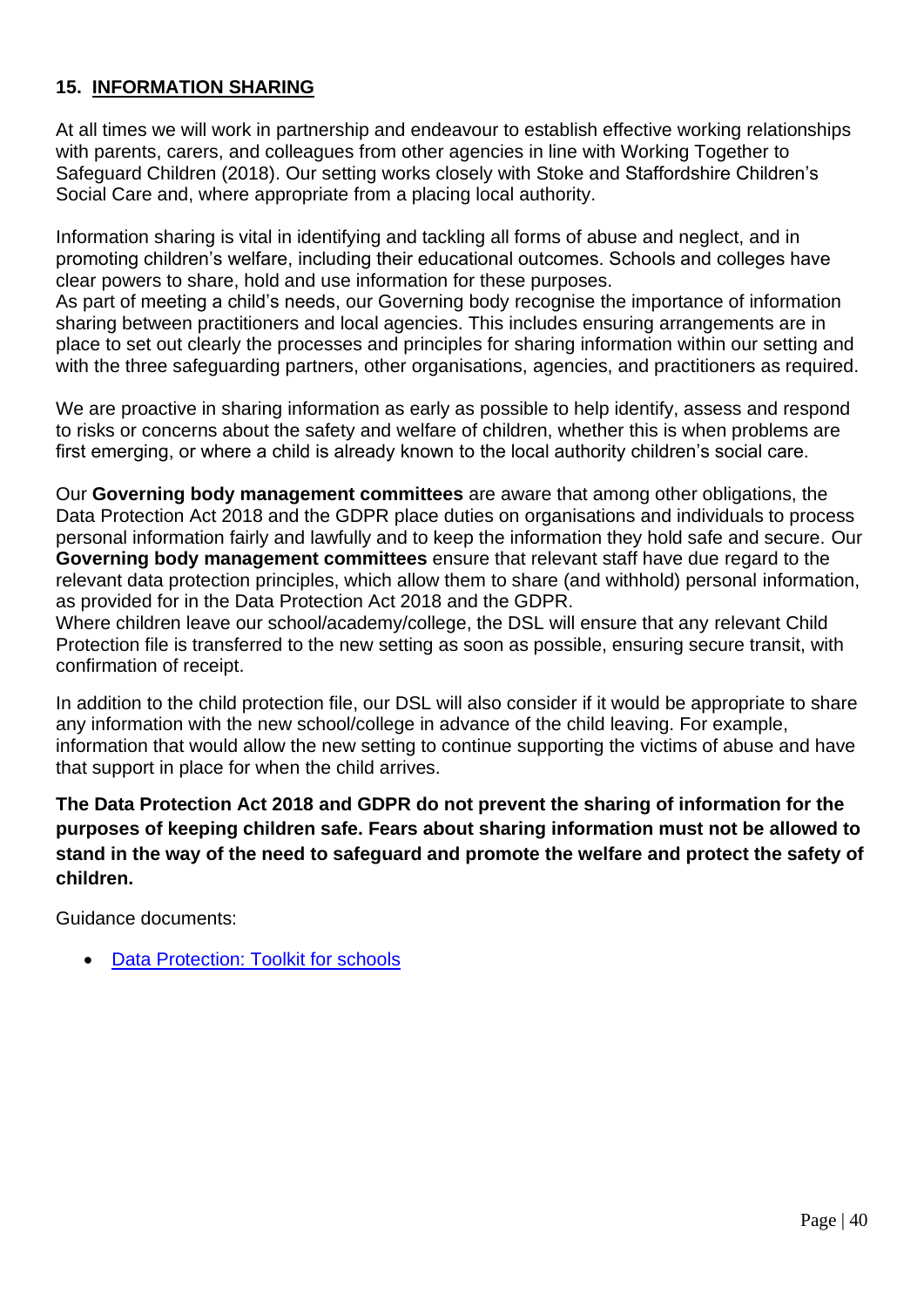## **15. INFORMATION SHARING**

At all times we will work in partnership and endeavour to establish effective working relationships with parents, carers, and colleagues from other agencies in line with Working Together to Safeguard Children (2018). Our setting works closely with Stoke and Staffordshire Children's Social Care and, where appropriate from a placing local authority.

Information sharing is vital in identifying and tackling all forms of abuse and neglect, and in promoting children's welfare, including their educational outcomes. Schools and colleges have clear powers to share, hold and use information for these purposes.

As part of meeting a child's needs, our Governing body recognise the importance of information sharing between practitioners and local agencies. This includes ensuring arrangements are in place to set out clearly the processes and principles for sharing information within our setting and with the three safeguarding partners, other organisations, agencies, and practitioners as required.

We are proactive in sharing information as early as possible to help identify, assess and respond to risks or concerns about the safety and welfare of children, whether this is when problems are first emerging, or where a child is already known to the local authority children's social care.

Our **Governing body management committees** are aware that among other obligations, the Data Protection Act 2018 and the GDPR place duties on organisations and individuals to process personal information fairly and lawfully and to keep the information they hold safe and secure. Our **Governing body management committees** ensure that relevant staff have due regard to the relevant data protection principles, which allow them to share (and withhold) personal information, as provided for in the Data Protection Act 2018 and the GDPR.

Where children leave our school/academy/college, the DSL will ensure that any relevant Child Protection file is transferred to the new setting as soon as possible, ensuring secure transit, with confirmation of receipt.

In addition to the child protection file, our DSL will also consider if it would be appropriate to share any information with the new school/college in advance of the child leaving. For example, information that would allow the new setting to continue supporting the victims of abuse and have that support in place for when the child arrives.

**The Data Protection Act 2018 and GDPR do not prevent the sharing of information for the purposes of keeping children safe. Fears about sharing information must not be allowed to stand in the way of the need to safeguard and promote the welfare and protect the safety of children.**

Guidance documents:

• [Data Protection: Toolkit for schools](https://assets.publishing.service.gov.uk/government/uploads/system/uploads/attachment_data/file/747620/Data_Protection_Toolkit_for_Schools_OpenBeta.pdf)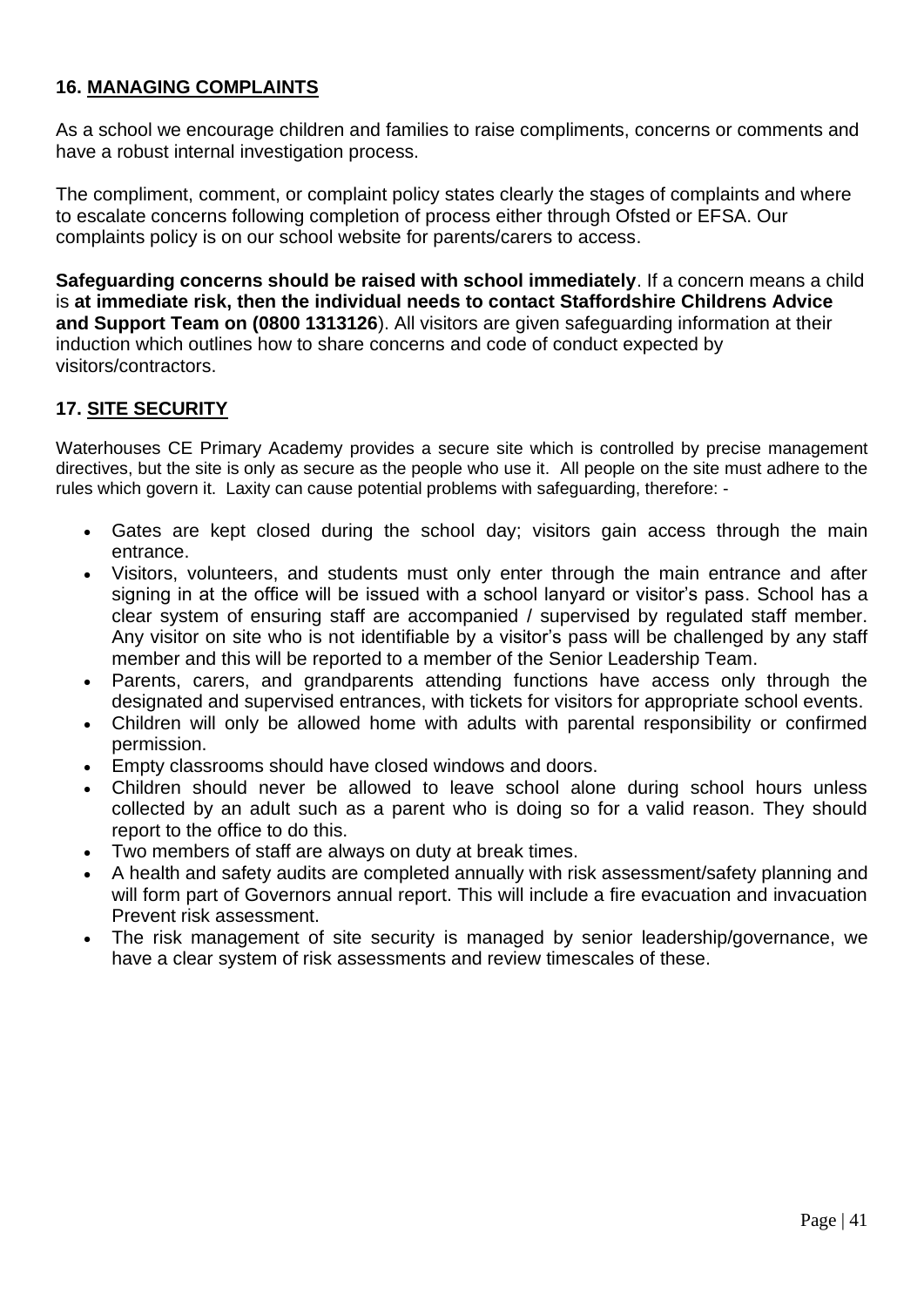## **16. MANAGING COMPLAINTS**

As a school we encourage children and families to raise compliments, concerns or comments and have a robust internal investigation process.

The compliment, comment, or complaint policy states clearly the stages of complaints and where to escalate concerns following completion of process either through Ofsted or EFSA. Our complaints policy is on our school website for parents/carers to access.

**Safeguarding concerns should be raised with school immediately**. If a concern means a child is **at immediate risk, then the individual needs to contact Staffordshire Childrens Advice and Support Team on (0800 1313126**). All visitors are given safeguarding information at their induction which outlines how to share concerns and code of conduct expected by visitors/contractors.

## **17. SITE SECURITY**

Waterhouses CE Primary Academy provides a secure site which is controlled by precise management directives, but the site is only as secure as the people who use it. All people on the site must adhere to the rules which govern it. Laxity can cause potential problems with safeguarding, therefore: -

- Gates are kept closed during the school day; visitors gain access through the main entrance.
- Visitors, volunteers, and students must only enter through the main entrance and after signing in at the office will be issued with a school lanyard or visitor's pass. School has a clear system of ensuring staff are accompanied / supervised by regulated staff member. Any visitor on site who is not identifiable by a visitor's pass will be challenged by any staff member and this will be reported to a member of the Senior Leadership Team.
- Parents, carers, and grandparents attending functions have access only through the designated and supervised entrances, with tickets for visitors for appropriate school events.
- Children will only be allowed home with adults with parental responsibility or confirmed permission.
- Empty classrooms should have closed windows and doors.
- Children should never be allowed to leave school alone during school hours unless collected by an adult such as a parent who is doing so for a valid reason. They should report to the office to do this.
- Two members of staff are always on duty at break times.
- A health and safety audits are completed annually with risk assessment/safety planning and will form part of Governors annual report. This will include a fire evacuation and invacuation Prevent risk assessment.
- The risk management of site security is managed by senior leadership/governance, we have a clear system of risk assessments and review timescales of these.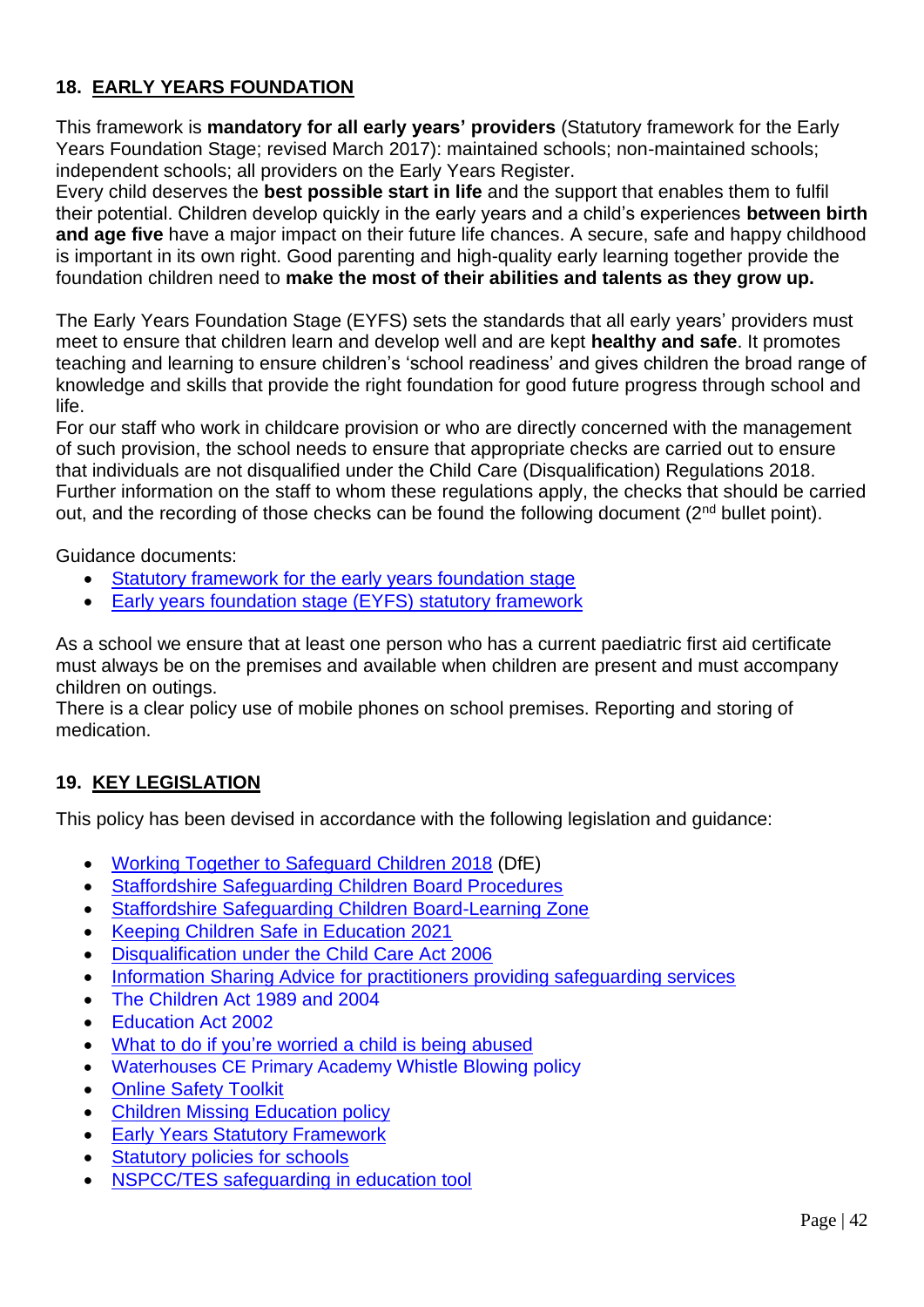## **18. EARLY YEARS FOUNDATION**

This framework is **mandatory for all early years' providers** (Statutory framework for the Early Years Foundation Stage; revised March 2017): maintained schools; non-maintained schools; independent schools; all providers on the Early Years Register.

Every child deserves the **best possible start in life** and the support that enables them to fulfil their potential. Children develop quickly in the early years and a child's experiences **between birth and age five** have a major impact on their future life chances. A secure, safe and happy childhood is important in its own right. Good parenting and high-quality early learning together provide the foundation children need to **make the most of their abilities and talents as they grow up.** 

The Early Years Foundation Stage (EYFS) sets the standards that all early years' providers must meet to ensure that children learn and develop well and are kept **healthy and safe**. It promotes teaching and learning to ensure children's 'school readiness' and gives children the broad range of knowledge and skills that provide the right foundation for good future progress through school and life.

For our staff who work in childcare provision or who are directly concerned with the management of such provision, the school needs to ensure that appropriate checks are carried out to ensure that individuals are not disqualified under the Child Care (Disqualification) Regulations 2018. Further information on the staff to whom these regulations apply, the checks that should be carried out, and the recording of those checks can be found the following document (2<sup>nd</sup> bullet point).

Guidance documents:

- [Statutory framework for the early years foundation stage](https://assets.publishing.service.gov.uk/government/uploads/system/uploads/attachment_data/file/974907/EYFS_framework_-_March_2021.pdf)
- [Early years foundation stage \(EYFS\) statutory framework](https://www.gov.uk/government/publications/early-years-foundation-stage-framework--2)

As a school we ensure that at least one person who has a current paediatric first aid certificate must always be on the premises and available when children are present and must accompany children on outings.

There is a clear policy use of mobile phones on school premises. Reporting and storing of medication.

## **19. KEY LEGISLATION**

This policy has been devised in accordance with the following legislation and guidance:

- [Working Together to Safeguard Children 2018](https://www.gov.uk/government/publications/working-together-to-safeguard-children--2) (DfE)
- [Staffordshire Safeguarding Children Board Procedures](http://www.staffsscb.org.uk/professionals/procedures/)
- [Staffordshire Safeguarding Children Board-Learning Zone](https://www.staffsscb.org.uk/learning-zone/)
- [Keeping Children Safe](https://assets.publishing.service.gov.uk/government/uploads/system/uploads/attachment_data/file/1007260/Keeping_children_safe_in_education_2021.pdf) in Education 2021
- [Disqualification under the Child Care Act 2006](https://www.gov.uk/government/publications/disqualification-under-the-childcare-act-2006)
- [Information Sharing Advice for practitioners providing safeguarding services](https://www.gov.uk/government/publications/safeguarding-practitioners-information-sharing-advice)
- The Children Act 1989 and 2004
- Education Act 2002
- What to do if you're [worried a child is being abused](https://www.gov.uk/government/publications/what-to-do-if-youre-worried-a-child-is-being-abused)
- Waterhouses CE Primary Academy Whistle Blowing policy
- [Online Safety Toolkit](https://www.staffordshire.gov.uk/Education/Learning-options-and-careers/Getting-the-best-out-of-school/Staying-safe-online.aspx)
- [Children Missing Education policy](https://www.staffordshire.gov.uk/Education/Education-welfare/Children-missing-from-education-policy.aspx)
- [Early Years Statutory Framework](https://www.gov.uk/government/uploads/system/uploads/attachment_data/file/596629/EYFS_STATUTORY_FRAMEWORK_2017.pdf)
- [Statutory policies for schools](https://www.gov.uk/government/uploads/system/uploads/attachment_data/file/357068/statutory_schools_policies_Sept_14_FINAL.pdf)
- [NSPCC/TES safeguarding in education tool](https://esat.nspcc.org.uk/Account/login.aspx?ReturnUrl=%2f)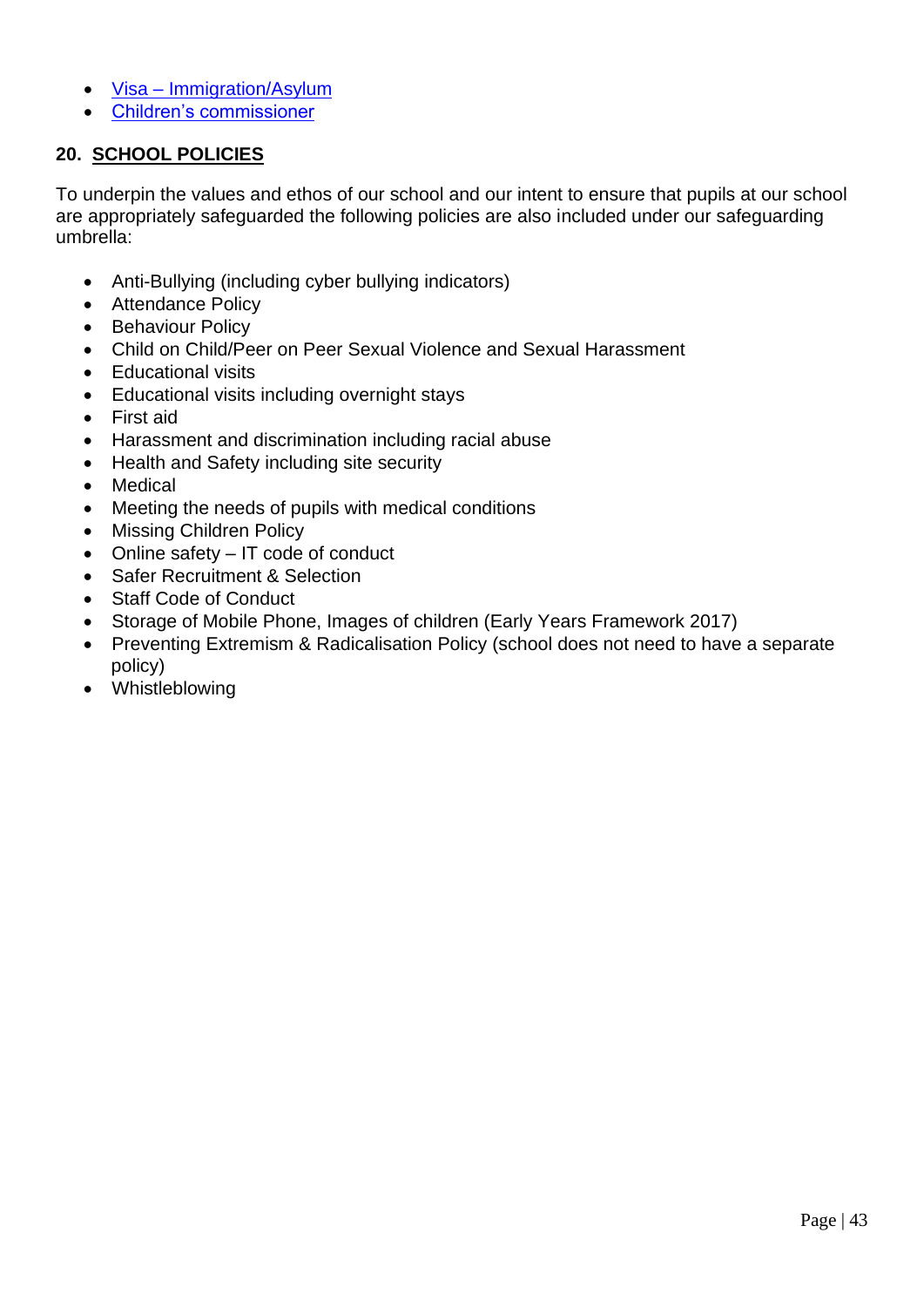- Visa [Immigration/Asylum](https://www.gov.uk/browse/visas-immigration/asylum)
- [Children's commissioner](http://www.childrenscommissioner.gov.uk/publications)

## **20. SCHOOL POLICIES**

To underpin the values and ethos of our school and our intent to ensure that pupils at our school are appropriately safeguarded the following policies are also included under our safeguarding umbrella:

- Anti-Bullying (including cyber bullying indicators)
- Attendance Policy
- Behaviour Policy
- Child on Child/Peer on Peer Sexual Violence and Sexual Harassment
- Educational visits
- Educational visits including overnight stays
- First aid
- Harassment and discrimination including racial abuse
- Health and Safety including site security
- Medical
- Meeting the needs of pupils with medical conditions
- Missing Children Policy
- Online safety IT code of conduct
- Safer Recruitment & Selection
- Staff Code of Conduct
- Storage of Mobile Phone, Images of children (Early Years Framework 2017)
- Preventing Extremism & Radicalisation Policy (school does not need to have a separate policy)
- Whistleblowing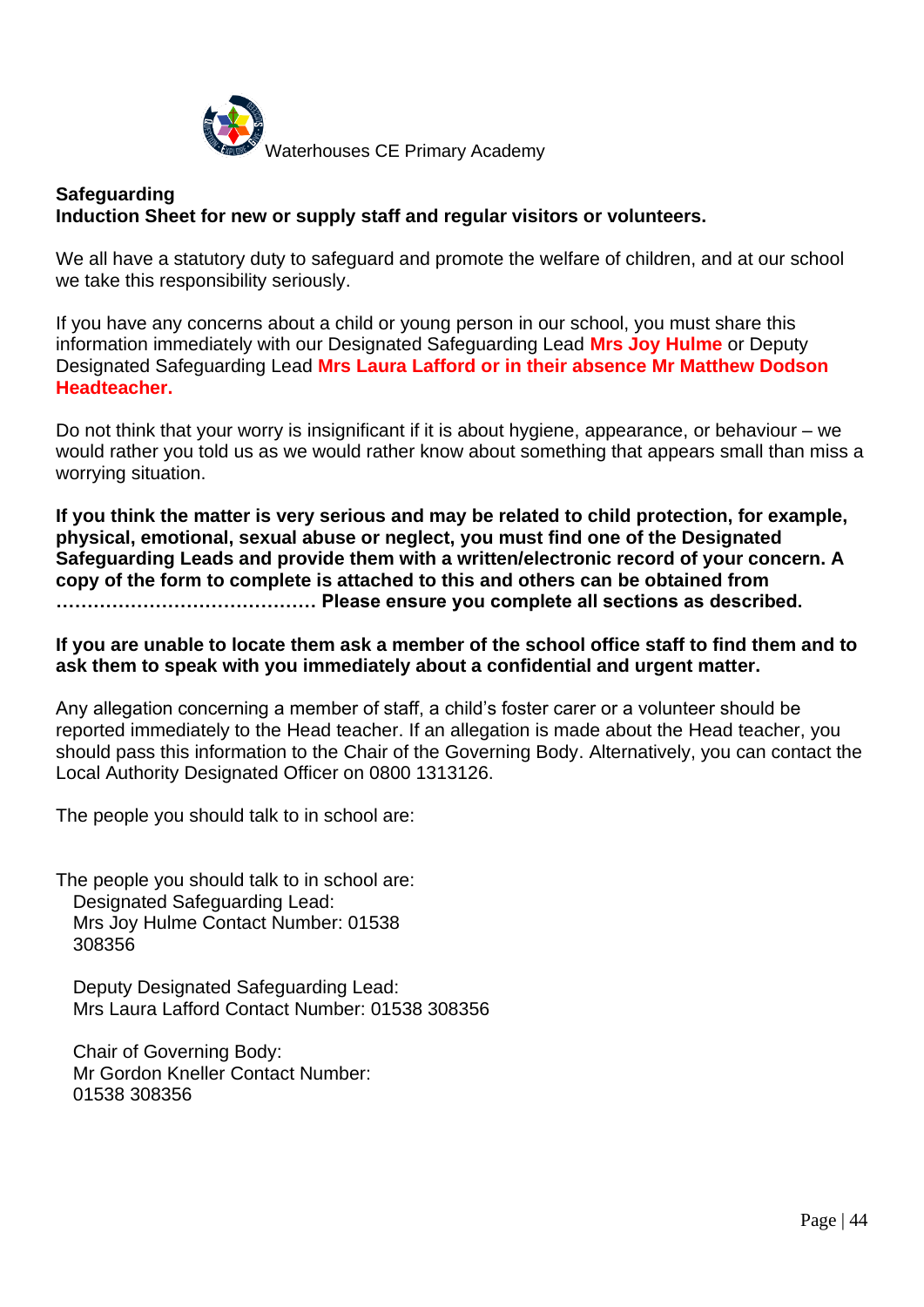

### **Safeguarding Induction Sheet for new or supply staff and regular visitors or volunteers.**

We all have a statutory duty to safeguard and promote the welfare of children, and at our school we take this responsibility seriously.

If you have any concerns about a child or young person in our school, you must share this information immediately with our Designated Safeguarding Lead **Mrs Joy Hulme** or Deputy Designated Safeguarding Lead **Mrs Laura Lafford or in their absence Mr Matthew Dodson Headteacher.**

Do not think that your worry is insignificant if it is about hygiene, appearance, or behaviour – we would rather you told us as we would rather know about something that appears small than miss a worrying situation.

**If you think the matter is very serious and may be related to child protection, for example, physical, emotional, sexual abuse or neglect, you must find one of the Designated Safeguarding Leads and provide them with a written/electronic record of your concern. A copy of the form to complete is attached to this and others can be obtained from …………………………………… Please ensure you complete all sections as described.**

**If you are unable to locate them ask a member of the school office staff to find them and to ask them to speak with you immediately about a confidential and urgent matter.**

Any allegation concerning a member of staff, a child's foster carer or a volunteer should be reported immediately to the Head teacher. If an allegation is made about the Head teacher, you should pass this information to the Chair of the Governing Body. Alternatively, you can contact the Local Authority Designated Officer on 0800 1313126.

The people you should talk to in school are:

The people you should talk to in school are: Designated Safeguarding Lead: Mrs Joy Hulme Contact Number: 01538 308356

Deputy Designated Safeguarding Lead: Mrs Laura Lafford Contact Number: 01538 308356

Chair of Governing Body: Mr Gordon Kneller Contact Number: 01538 308356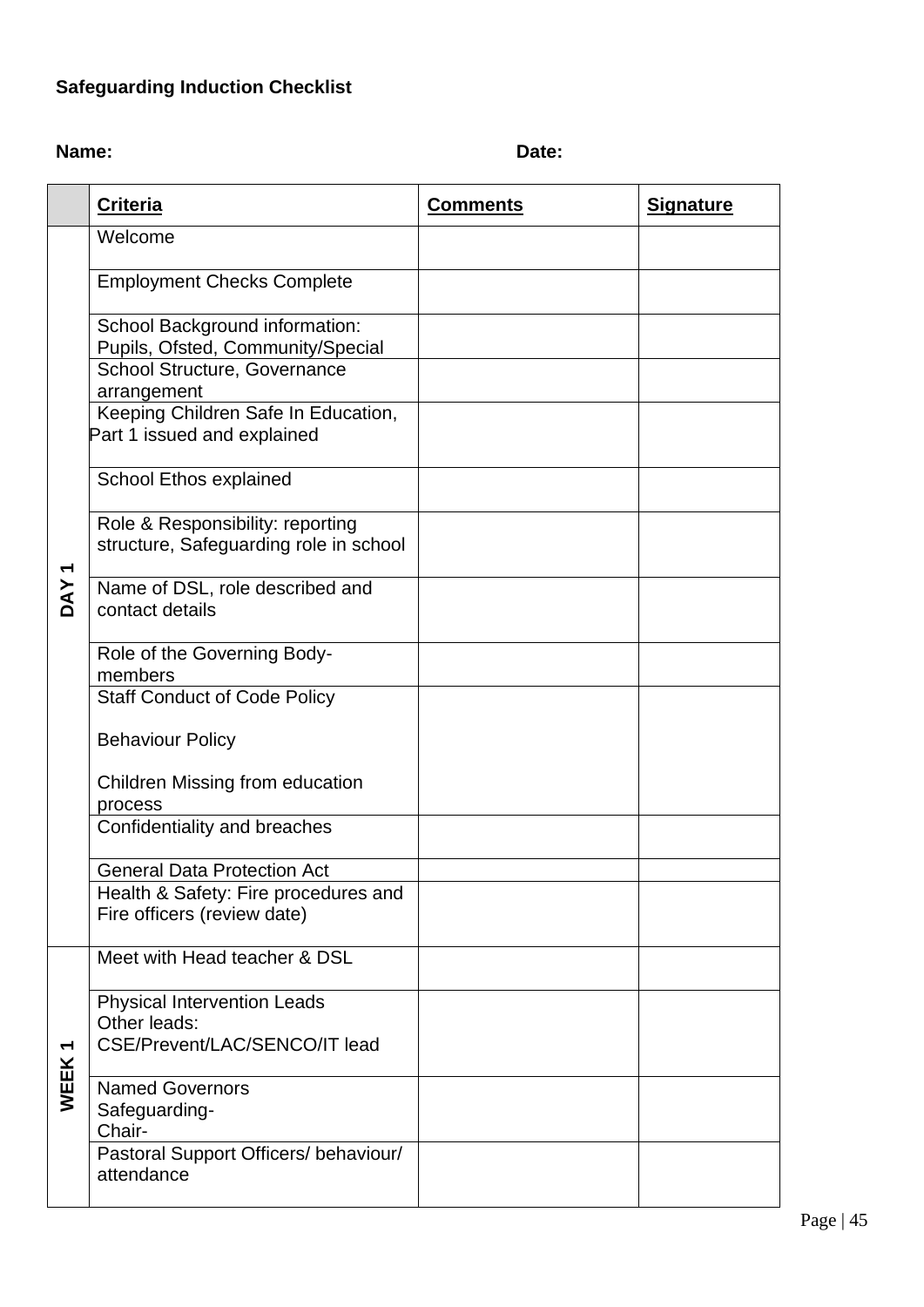# **Safeguarding Induction Checklist**

**Name:** Date:

|                  | <b>Criteria</b>                                                                     | <b>Comments</b> | <b>Signature</b> |
|------------------|-------------------------------------------------------------------------------------|-----------------|------------------|
|                  | Welcome                                                                             |                 |                  |
| DAY <sub>1</sub> | <b>Employment Checks Complete</b>                                                   |                 |                  |
|                  | School Background information:<br>Pupils, Ofsted, Community/Special                 |                 |                  |
|                  | <b>School Structure, Governance</b><br>arrangement                                  |                 |                  |
|                  | Keeping Children Safe In Education,<br>Part 1 issued and explained                  |                 |                  |
|                  | School Ethos explained                                                              |                 |                  |
|                  | Role & Responsibility: reporting<br>structure, Safeguarding role in school          |                 |                  |
|                  | Name of DSL, role described and<br>contact details                                  |                 |                  |
|                  | Role of the Governing Body-<br>members                                              |                 |                  |
|                  | <b>Staff Conduct of Code Policy</b>                                                 |                 |                  |
|                  | <b>Behaviour Policy</b>                                                             |                 |                  |
|                  | Children Missing from education<br>process                                          |                 |                  |
|                  | Confidentiality and breaches                                                        |                 |                  |
|                  | <b>General Data Protection Act</b>                                                  |                 |                  |
|                  | Health & Safety: Fire procedures and<br>Fire officers (review date)                 |                 |                  |
| WEEK1            | Meet with Head teacher & DSL                                                        |                 |                  |
|                  | <b>Physical Intervention Leads</b><br>Other leads:<br>CSE/Prevent/LAC/SENCO/IT lead |                 |                  |
|                  | <b>Named Governors</b><br>Safeguarding-<br>Chair-                                   |                 |                  |
|                  | Pastoral Support Officers/ behaviour/<br>attendance                                 |                 |                  |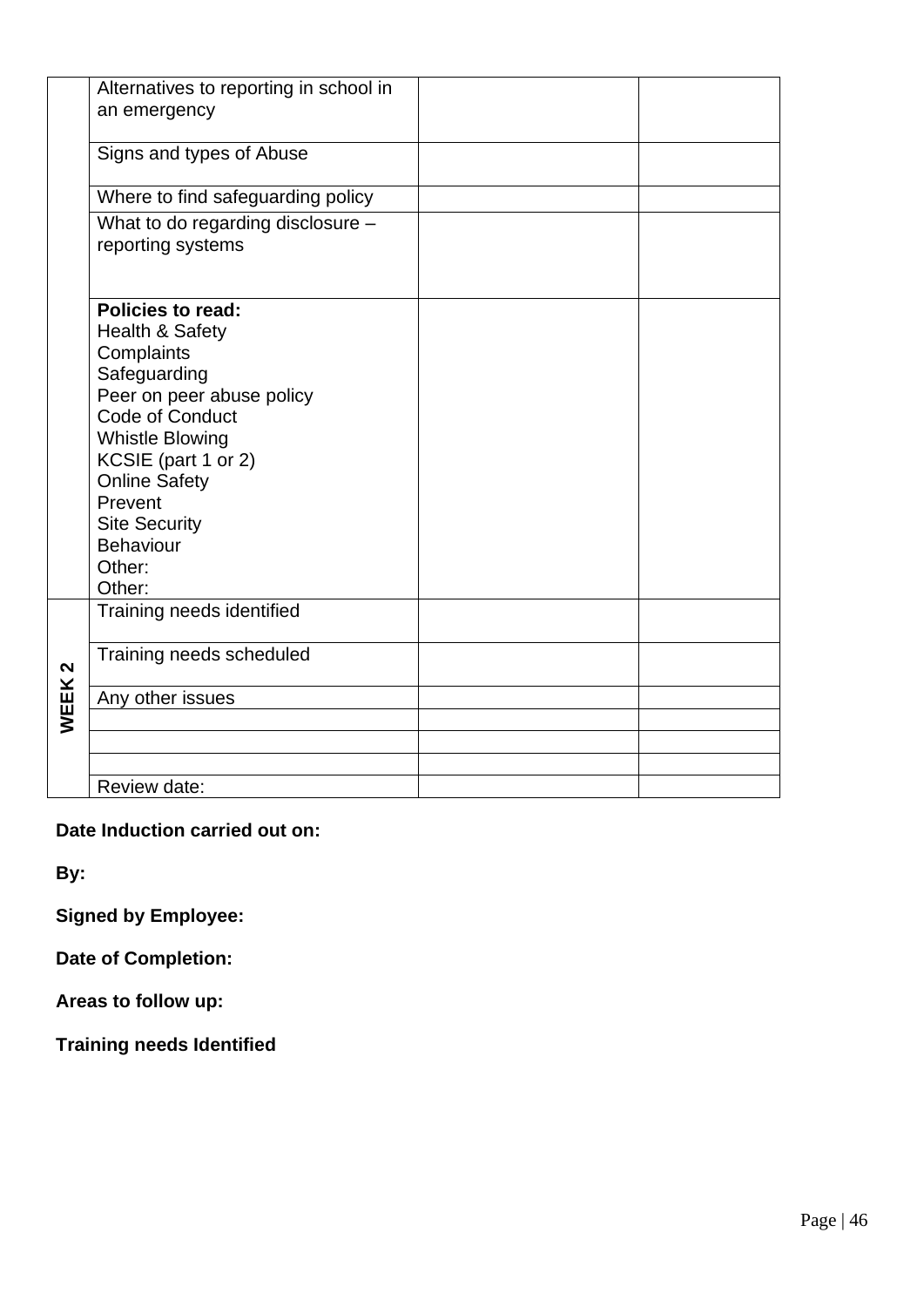|      | Alternatives to reporting in school in<br>an emergency                                                                                                                                                                                                                                   |  |
|------|------------------------------------------------------------------------------------------------------------------------------------------------------------------------------------------------------------------------------------------------------------------------------------------|--|
|      | Signs and types of Abuse                                                                                                                                                                                                                                                                 |  |
|      | Where to find safeguarding policy                                                                                                                                                                                                                                                        |  |
|      | What to do regarding disclosure -<br>reporting systems                                                                                                                                                                                                                                   |  |
|      | <b>Policies to read:</b><br><b>Health &amp; Safety</b><br>Complaints<br>Safeguarding<br>Peer on peer abuse policy<br>Code of Conduct<br><b>Whistle Blowing</b><br>KCSIE (part 1 or 2)<br><b>Online Safety</b><br>Prevent<br><b>Site Security</b><br><b>Behaviour</b><br>Other:<br>Other: |  |
|      | Training needs identified                                                                                                                                                                                                                                                                |  |
| N    | Training needs scheduled                                                                                                                                                                                                                                                                 |  |
| WEEK | Any other issues                                                                                                                                                                                                                                                                         |  |
|      |                                                                                                                                                                                                                                                                                          |  |
|      | Review date:                                                                                                                                                                                                                                                                             |  |

## **Date Induction carried out on:**

**By:**

**Signed by Employee:**

**Date of Completion:**

**Areas to follow up:**

**Training needs Identified**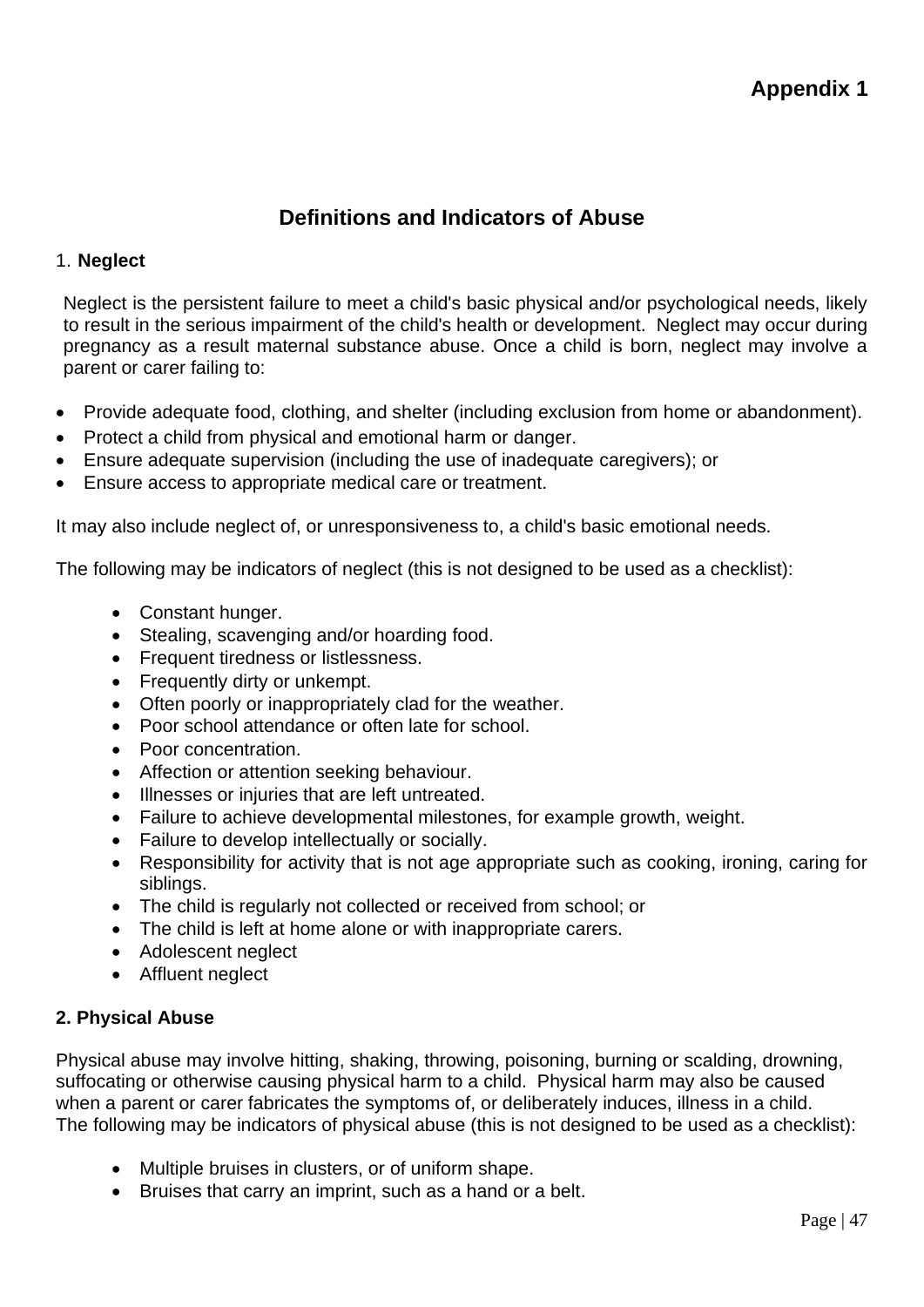# **Definitions and Indicators of Abuse**

### 1. **Neglect**

Neglect is the persistent failure to meet a child's basic physical and/or psychological needs, likely to result in the serious impairment of the child's health or development. Neglect may occur during pregnancy as a result maternal substance abuse. Once a child is born, neglect may involve a parent or carer failing to:

- Provide adequate food, clothing, and shelter (including exclusion from home or abandonment).
- Protect a child from physical and emotional harm or danger.
- Ensure adequate supervision (including the use of inadequate caregivers); or
- Ensure access to appropriate medical care or treatment.

It may also include neglect of, or unresponsiveness to, a child's basic emotional needs.

The following may be indicators of neglect (this is not designed to be used as a checklist):

- Constant hunger.
- Stealing, scavenging and/or hoarding food.
- Frequent tiredness or listlessness.
- Frequently dirty or unkempt.
- Often poorly or inappropriately clad for the weather.
- Poor school attendance or often late for school.
- Poor concentration.
- Affection or attention seeking behaviour.
- Illnesses or injuries that are left untreated.
- Failure to achieve developmental milestones, for example growth, weight.
- Failure to develop intellectually or socially.
- Responsibility for activity that is not age appropriate such as cooking, ironing, caring for siblings.
- The child is regularly not collected or received from school; or
- The child is left at home alone or with inappropriate carers.
- Adolescent neglect
- Affluent neglect

### **2. Physical Abuse**

Physical abuse may involve hitting, shaking, throwing, poisoning, burning or scalding, drowning, suffocating or otherwise causing physical harm to a child. Physical harm may also be caused when a parent or carer fabricates the symptoms of, or deliberately induces, illness in a child. The following may be indicators of physical abuse (this is not designed to be used as a checklist):

- Multiple bruises in clusters, or of uniform shape.
- Bruises that carry an imprint, such as a hand or a belt.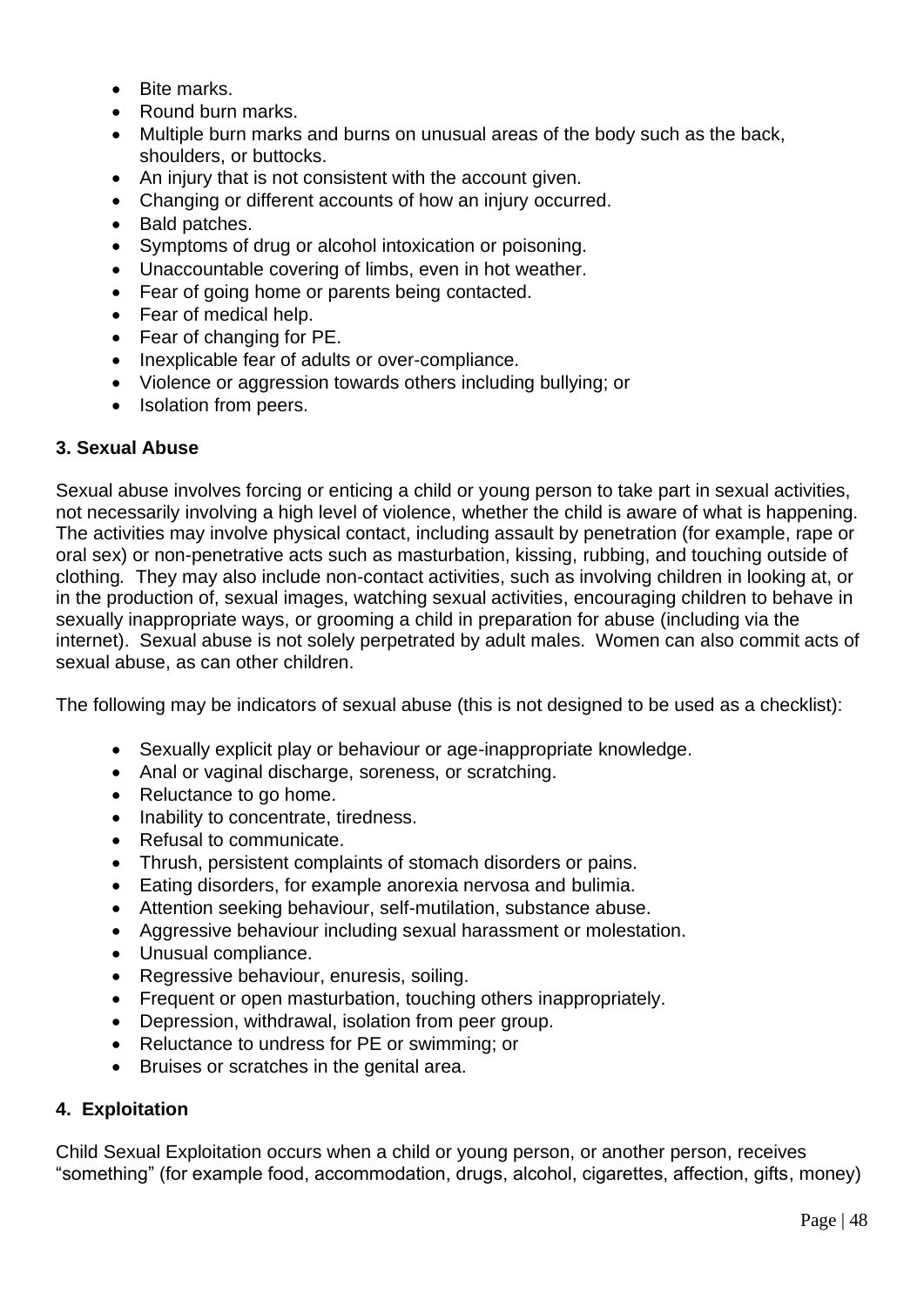- Bite marks.
- Round burn marks.
- Multiple burn marks and burns on unusual areas of the body such as the back, shoulders, or buttocks.
- An injury that is not consistent with the account given.
- Changing or different accounts of how an injury occurred.
- Bald patches.
- Symptoms of drug or alcohol intoxication or poisoning.
- Unaccountable covering of limbs, even in hot weather.
- Fear of going home or parents being contacted.
- Fear of medical help.
- Fear of changing for PE.
- Inexplicable fear of adults or over-compliance.
- Violence or aggression towards others including bullying; or
- Isolation from peers.

## **3. Sexual Abuse**

Sexual abuse involves forcing or enticing a child or young person to take part in sexual activities, not necessarily involving a high level of violence, whether the child is aware of what is happening. The activities may involve physical contact, including assault by penetration (for example, rape or oral sex) or non-penetrative acts such as masturbation, kissing, rubbing, and touching outside of clothing*.* They may also include non-contact activities, such as involving children in looking at, or in the production of, sexual images, watching sexual activities, encouraging children to behave in sexually inappropriate ways, or grooming a child in preparation for abuse (including via the internet). Sexual abuse is not solely perpetrated by adult males. Women can also commit acts of sexual abuse, as can other children.

The following may be indicators of sexual abuse (this is not designed to be used as a checklist):

- Sexually explicit play or behaviour or age-inappropriate knowledge.
- Anal or vaginal discharge, soreness, or scratching.
- Reluctance to go home.
- Inability to concentrate, tiredness.
- Refusal to communicate.
- Thrush, persistent complaints of stomach disorders or pains.
- Eating disorders, for example anorexia nervosa and bulimia.
- Attention seeking behaviour, self-mutilation, substance abuse.
- Aggressive behaviour including sexual harassment or molestation.
- Unusual compliance.
- Regressive behaviour, enuresis, soiling.
- Frequent or open masturbation, touching others inappropriately.
- Depression, withdrawal, isolation from peer group.
- Reluctance to undress for PE or swimming; or
- Bruises or scratches in the genital area.

## **4. Exploitation**

Child Sexual Exploitation occurs when a child or young person, or another person, receives "something" (for example food, accommodation, drugs, alcohol, cigarettes, affection, gifts, money)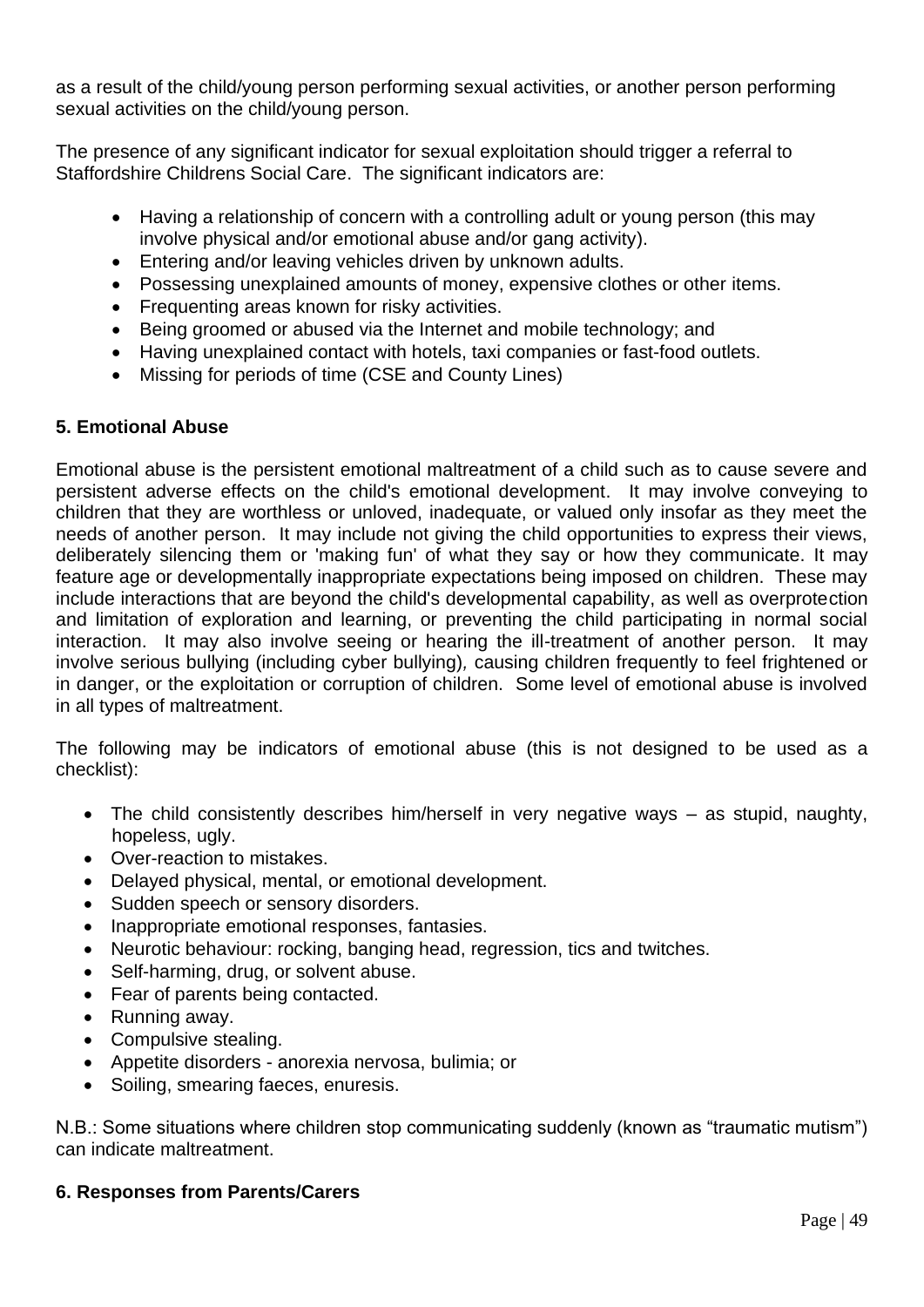as a result of the child/young person performing sexual activities, or another person performing sexual activities on the child/young person.

The presence of any significant indicator for sexual exploitation should trigger a referral to Staffordshire Childrens Social Care. The significant indicators are:

- Having a relationship of concern with a controlling adult or young person (this may involve physical and/or emotional abuse and/or gang activity).
- Entering and/or leaving vehicles driven by unknown adults.
- Possessing unexplained amounts of money, expensive clothes or other items.
- Frequenting areas known for risky activities.
- Being groomed or abused via the Internet and mobile technology; and
- Having unexplained contact with hotels, taxi companies or fast-food outlets.
- Missing for periods of time (CSE and County Lines)

## **5. Emotional Abuse**

Emotional abuse is the persistent emotional maltreatment of a child such as to cause severe and persistent adverse effects on the child's emotional development. It may involve conveying to children that they are worthless or unloved, inadequate, or valued only insofar as they meet the needs of another person. It may include not giving the child opportunities to express their views, deliberately silencing them or 'making fun' of what they say or how they communicate. It may feature age or developmentally inappropriate expectations being imposed on children. These may include interactions that are beyond the child's developmental capability, as well as overprotection and limitation of exploration and learning, or preventing the child participating in normal social interaction. It may also involve seeing or hearing the ill-treatment of another person. It may involve serious bullying (including cyber bullying)*,* causing children frequently to feel frightened or in danger, or the exploitation or corruption of children. Some level of emotional abuse is involved in all types of maltreatment.

The following may be indicators of emotional abuse (this is not designed to be used as a checklist):

- The child consistently describes him/herself in very negative ways as stupid, naughty, hopeless, ugly.
- Over-reaction to mistakes.
- Delayed physical, mental, or emotional development.
- Sudden speech or sensory disorders.
- Inappropriate emotional responses, fantasies.
- Neurotic behaviour: rocking, banging head, regression, tics and twitches.
- Self-harming, drug, or solvent abuse.
- Fear of parents being contacted.
- Running away.
- Compulsive stealing.
- Appetite disorders anorexia nervosa, bulimia; or
- Soiling, smearing faeces, enuresis.

N.B.: Some situations where children stop communicating suddenly (known as "traumatic mutism") can indicate maltreatment.

## **6. Responses from Parents/Carers**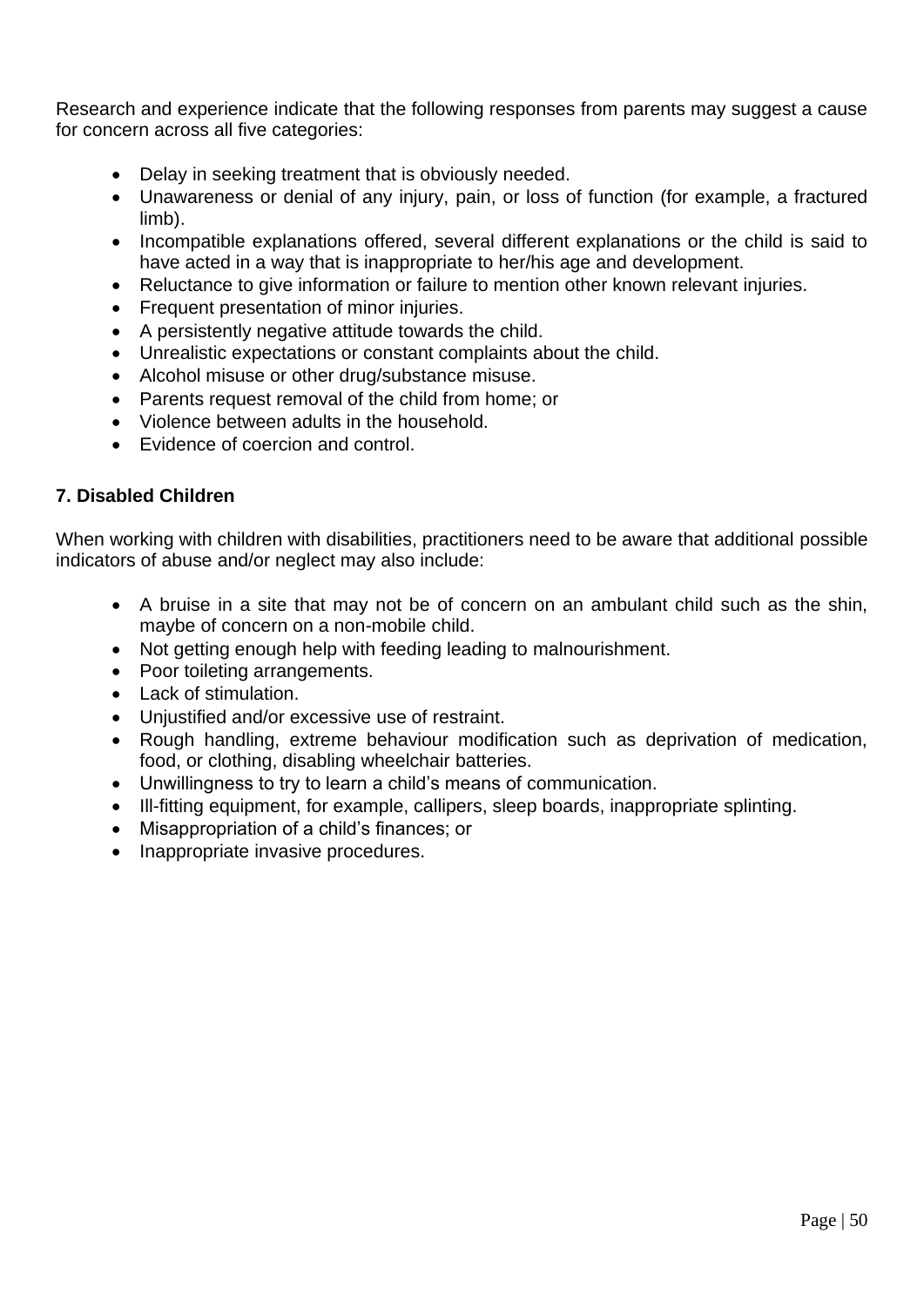Research and experience indicate that the following responses from parents may suggest a cause for concern across all five categories:

- Delay in seeking treatment that is obviously needed.
- Unawareness or denial of any injury, pain, or loss of function (for example, a fractured limb).
- Incompatible explanations offered, several different explanations or the child is said to have acted in a way that is inappropriate to her/his age and development.
- Reluctance to give information or failure to mention other known relevant injuries.
- Frequent presentation of minor injuries.
- A persistently negative attitude towards the child.
- Unrealistic expectations or constant complaints about the child.
- Alcohol misuse or other drug/substance misuse.
- Parents request removal of the child from home; or
- Violence between adults in the household.
- Evidence of coercion and control.

### **7. Disabled Children**

When working with children with disabilities, practitioners need to be aware that additional possible indicators of abuse and/or neglect may also include:

- A bruise in a site that may not be of concern on an ambulant child such as the shin, maybe of concern on a non-mobile child.
- Not getting enough help with feeding leading to malnourishment.
- Poor toileting arrangements.
- Lack of stimulation.
- Unjustified and/or excessive use of restraint.
- Rough handling, extreme behaviour modification such as deprivation of medication, food, or clothing, disabling wheelchair batteries.
- Unwillingness to try to learn a child's means of communication.
- Ill-fitting equipment, for example, callipers, sleep boards, inappropriate splinting.
- Misappropriation of a child's finances; or
- Inappropriate invasive procedures.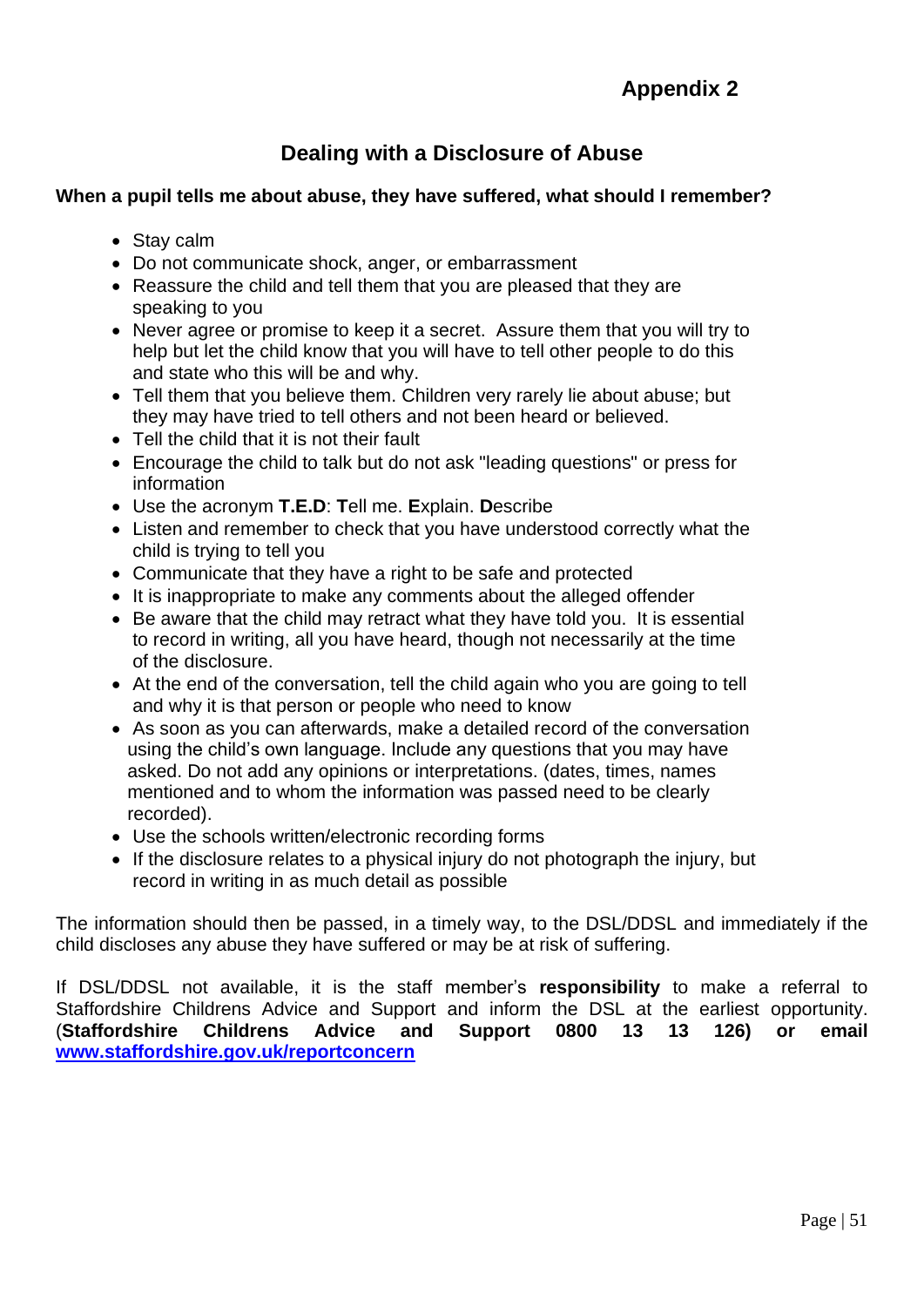# **Dealing with a Disclosure of Abuse**

### **When a pupil tells me about abuse, they have suffered, what should I remember?**

- Stay calm
- Do not communicate shock, anger, or embarrassment
- Reassure the child and tell them that you are pleased that they are speaking to you
- Never agree or promise to keep it a secret. Assure them that you will try to help but let the child know that you will have to tell other people to do this and state who this will be and why.
- Tell them that you believe them. Children very rarely lie about abuse; but they may have tried to tell others and not been heard or believed.
- Tell the child that it is not their fault
- Encourage the child to talk but do not ask "leading questions" or press for information
- Use the acronym **T.E.D**: **T**ell me. **E**xplain. **D**escribe
- Listen and remember to check that you have understood correctly what the child is trying to tell you
- Communicate that they have a right to be safe and protected
- It is inappropriate to make any comments about the alleged offender
- Be aware that the child may retract what they have told you. It is essential to record in writing, all you have heard, though not necessarily at the time of the disclosure.
- At the end of the conversation, tell the child again who you are going to tell and why it is that person or people who need to know
- As soon as you can afterwards, make a detailed record of the conversation using the child's own language. Include any questions that you may have asked. Do not add any opinions or interpretations. (dates, times, names mentioned and to whom the information was passed need to be clearly recorded).
- Use the schools written/electronic recording forms
- If the disclosure relates to a physical injury do not photograph the injury, but record in writing in as much detail as possible

The information should then be passed, in a timely way, to the DSL/DDSL and immediately if the child discloses any abuse they have suffered or may be at risk of suffering.

If DSL/DDSL not available, it is the staff member's **responsibility** to make a referral to Staffordshire Childrens Advice and Support and inform the DSL at the earliest opportunity. (**Staffordshire Childrens Advice and Support 0800 13 13 126) or email [www.staffordshire.gov.uk/reportconcern](http://www.staffordshire.gov.uk/reportconcern)**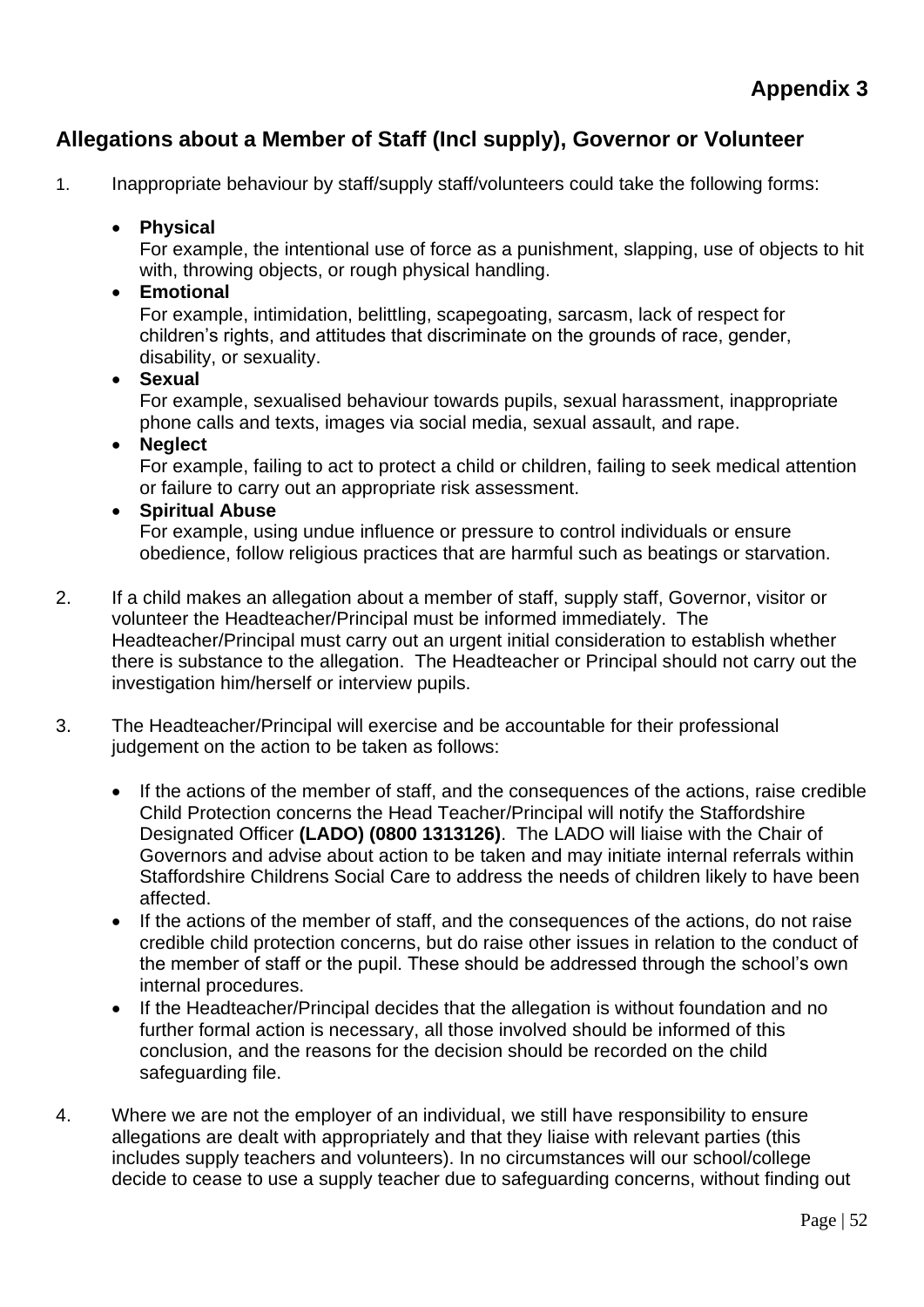# **Allegations about a Member of Staff (Incl supply), Governor or Volunteer**

1. Inappropriate behaviour by staff/supply staff/volunteers could take the following forms:

## • **Physical**

For example, the intentional use of force as a punishment, slapping, use of objects to hit with, throwing objects, or rough physical handling.

### • **Emotional**

For example, intimidation, belittling, scapegoating, sarcasm, lack of respect for children's rights, and attitudes that discriminate on the grounds of race, gender, disability, or sexuality.

## • **Sexual**

For example, sexualised behaviour towards pupils, sexual harassment, inappropriate phone calls and texts, images via social media, sexual assault, and rape.

### • **Neglect**

For example, failing to act to protect a child or children, failing to seek medical attention or failure to carry out an appropriate risk assessment.

### • **Spiritual Abuse**

For example, using undue influence or pressure to control individuals or ensure obedience, follow religious practices that are harmful such as beatings or starvation.

- 2. If a child makes an allegation about a member of staff, supply staff, Governor, visitor or volunteer the Headteacher/Principal must be informed immediately. The Headteacher/Principal must carry out an urgent initial consideration to establish whether there is substance to the allegation. The Headteacher or Principal should not carry out the investigation him/herself or interview pupils.
- 3. The Headteacher/Principal will exercise and be accountable for their professional judgement on the action to be taken as follows:
	- If the actions of the member of staff, and the consequences of the actions, raise credible Child Protection concerns the Head Teacher/Principal will notify the Staffordshire Designated Officer **(LADO) (0800 1313126)**. The LADO will liaise with the Chair of Governors and advise about action to be taken and may initiate internal referrals within Staffordshire Childrens Social Care to address the needs of children likely to have been affected.
	- If the actions of the member of staff, and the consequences of the actions, do not raise credible child protection concerns, but do raise other issues in relation to the conduct of the member of staff or the pupil. These should be addressed through the school's own internal procedures.
	- If the Headteacher/Principal decides that the allegation is without foundation and no further formal action is necessary, all those involved should be informed of this conclusion, and the reasons for the decision should be recorded on the child safeguarding file.
- 4. Where we are not the employer of an individual, we still have responsibility to ensure allegations are dealt with appropriately and that they liaise with relevant parties (this includes supply teachers and volunteers). In no circumstances will our school/college decide to cease to use a supply teacher due to safeguarding concerns, without finding out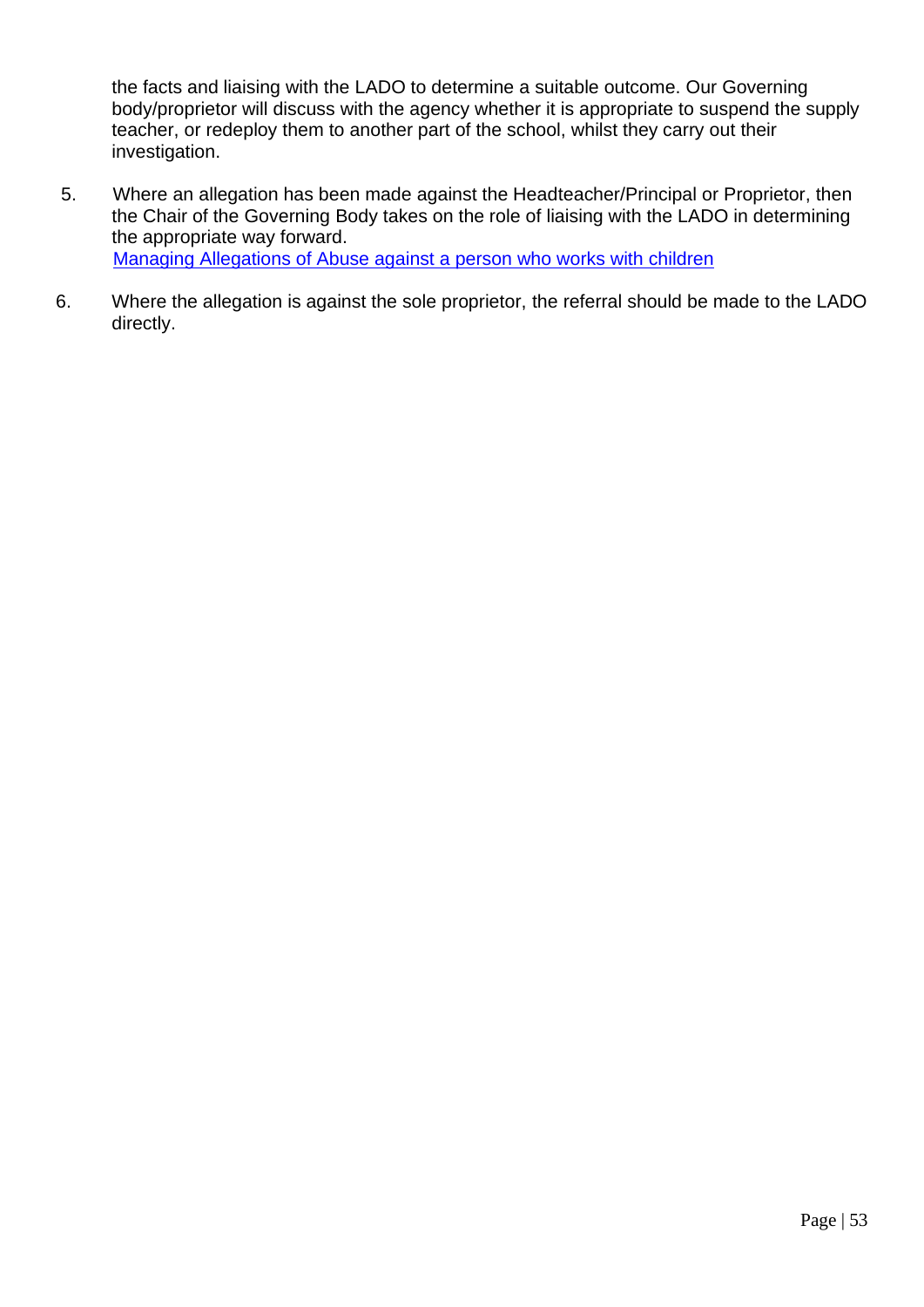the facts and liaising with the LADO to determine a suitable outcome. Our Governing body/proprietor will discuss with the agency whether it is appropriate to suspend the supply teacher, or redeploy them to another part of the school, whilst they carry out their investigation.

- 5. Where an allegation has been made against the Headteacher/Principal or Proprietor, then the Chair of the Governing Body takes on the role of liaising with the LADO in determining the appropriate way forward. [Managing Allegations of Abuse against a person who works with children](https://www.staffsscb.org.uk/wp-content/uploads/2020/09/Allegations-of-abuse-made-against-a-person-who-works-with-children.pdf)
- 6. Where the allegation is against the sole proprietor, the referral should be made to the LADO directly.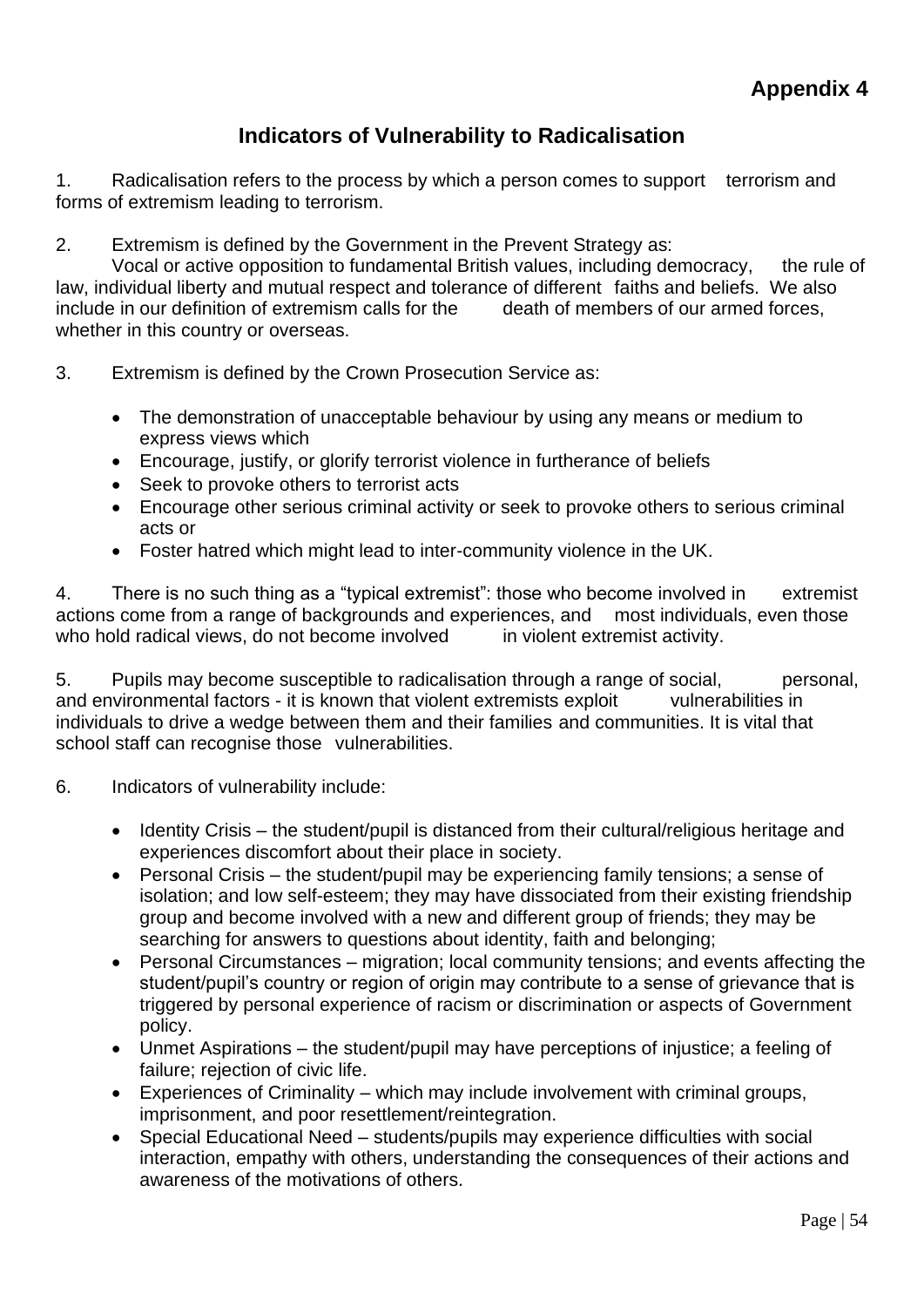## **Indicators of Vulnerability to Radicalisation**

1. Radicalisation refers to the process by which a person comes to support terrorism and forms of extremism leading to terrorism.

2. Extremism is defined by the Government in the Prevent Strategy as:

Vocal or active opposition to fundamental British values, including democracy, the rule of law, individual liberty and mutual respect and tolerance of different faiths and beliefs. We also include in our definition of extremism calls for the death of members of our armed forces, whether in this country or overseas.

- 3. Extremism is defined by the Crown Prosecution Service as:
	- The demonstration of unacceptable behaviour by using any means or medium to express views which
	- Encourage, justify, or glorify terrorist violence in furtherance of beliefs
	- Seek to provoke others to terrorist acts
	- Encourage other serious criminal activity or seek to provoke others to serious criminal acts or
	- Foster hatred which might lead to inter-community violence in the UK.

4. There is no such thing as a "typical extremist": those who become involved in extremist actions come from a range of backgrounds and experiences, and most individuals, even those who hold radical views, do not become involved in violent extremist activity.

5. Pupils may become susceptible to radicalisation through a range of social, personal, and environmental factors - it is known that violent extremists exploit vulnerabilities in individuals to drive a wedge between them and their families and communities. It is vital that school staff can recognise those vulnerabilities.

- 6. Indicators of vulnerability include:
	- Identity Crisis the student/pupil is distanced from their cultural/religious heritage and experiences discomfort about their place in society.
	- Personal Crisis the student/pupil may be experiencing family tensions; a sense of isolation; and low self-esteem; they may have dissociated from their existing friendship group and become involved with a new and different group of friends; they may be searching for answers to questions about identity, faith and belonging;
	- Personal Circumstances migration; local community tensions; and events affecting the student/pupil's country or region of origin may contribute to a sense of grievance that is triggered by personal experience of racism or discrimination or aspects of Government policy.
	- Unmet Aspirations the student/pupil may have perceptions of injustice; a feeling of failure; rejection of civic life.
	- Experiences of Criminality which may include involvement with criminal groups, imprisonment, and poor resettlement/reintegration.
	- Special Educational Need students/pupils may experience difficulties with social interaction, empathy with others, understanding the consequences of their actions and awareness of the motivations of others.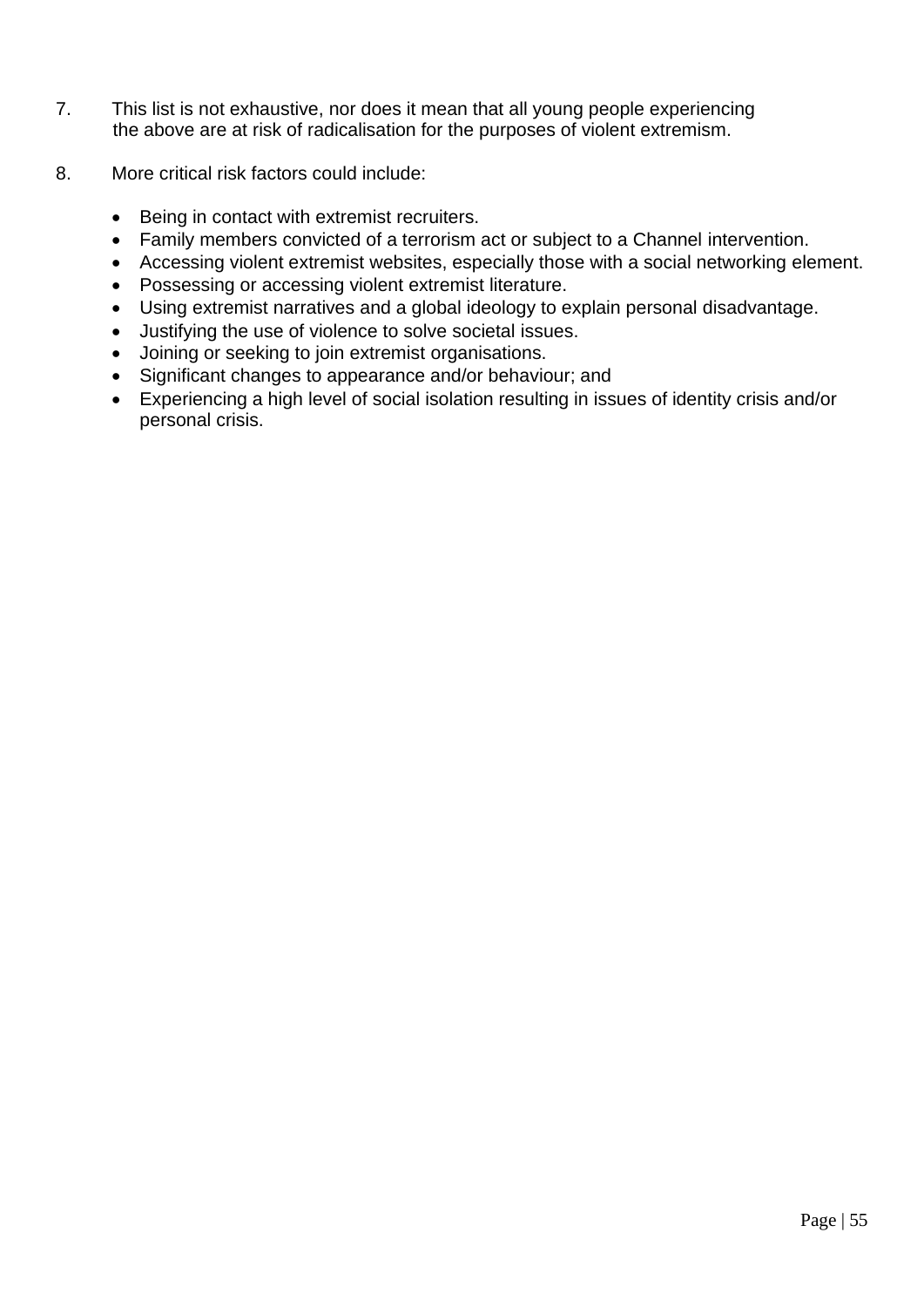- 7. This list is not exhaustive, nor does it mean that all young people experiencing the above are at risk of radicalisation for the purposes of violent extremism.
- 8. More critical risk factors could include:
	- Being in contact with extremist recruiters.
	- Family members convicted of a terrorism act or subject to a Channel intervention.
	- Accessing violent extremist websites, especially those with a social networking element.
	- Possessing or accessing violent extremist literature.
	- Using extremist narratives and a global ideology to explain personal disadvantage.
	- Justifying the use of violence to solve societal issues.
	- Joining or seeking to join extremist organisations.
	- Significant changes to appearance and/or behaviour; and
	- Experiencing a high level of social isolation resulting in issues of identity crisis and/or personal crisis.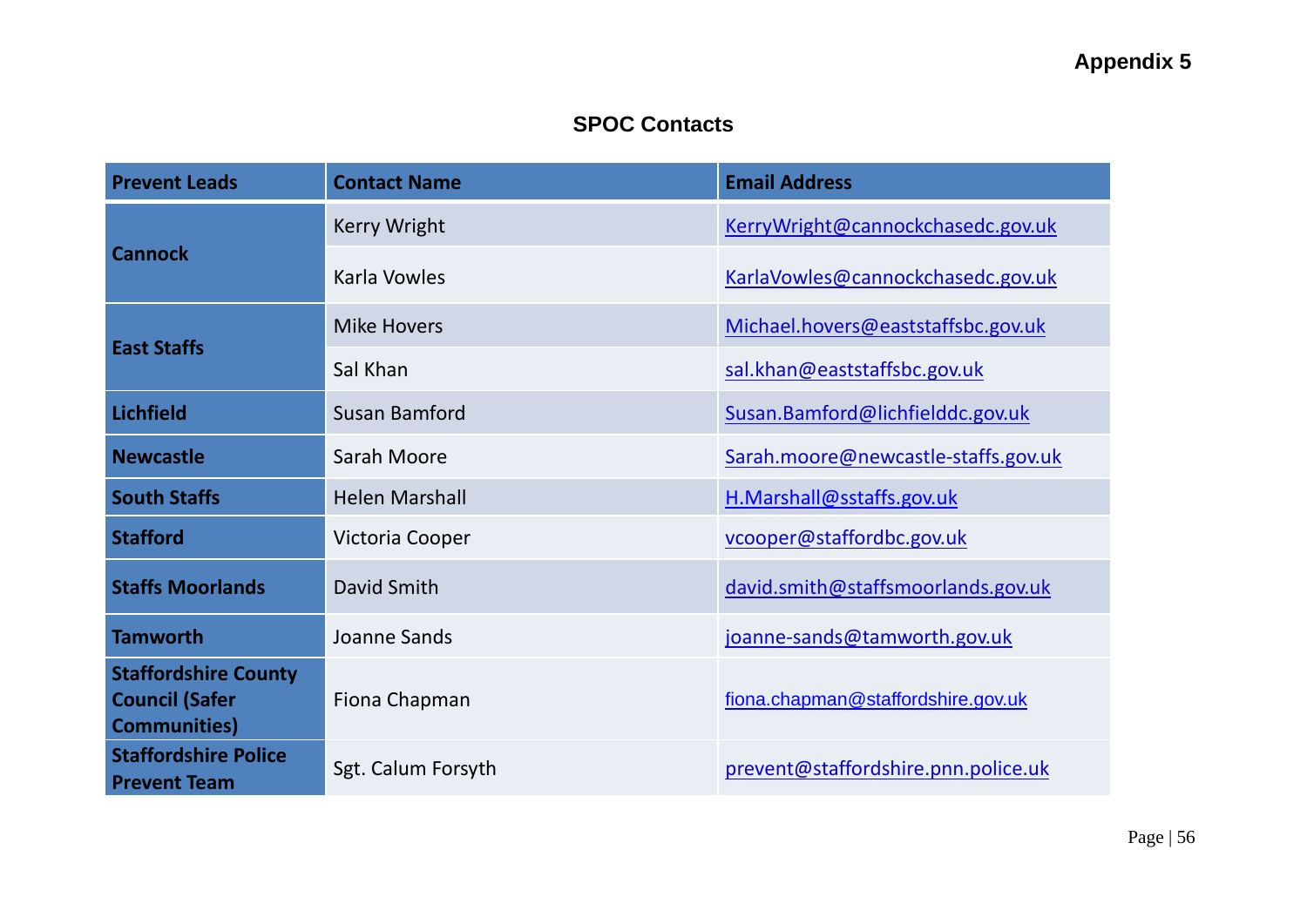# **SPOC Contacts**

| <b>Prevent Leads</b>                                                         | <b>Contact Name</b>   | <b>Email Address</b>                |
|------------------------------------------------------------------------------|-----------------------|-------------------------------------|
|                                                                              | <b>Kerry Wright</b>   | KerryWright@cannockchasedc.gov.uk   |
| <b>Cannock</b>                                                               | Karla Vowles          | KarlaVowles@cannockchasedc.gov.uk   |
|                                                                              | <b>Mike Hovers</b>    | Michael.hovers@eaststaffsbc.gov.uk  |
| <b>East Staffs</b>                                                           | Sal Khan              | sal.khan@eaststaffsbc.gov.uk        |
| <b>Lichfield</b>                                                             | Susan Bamford         | Susan.Bamford@lichfielddc.gov.uk    |
| <b>Newcastle</b>                                                             | Sarah Moore           | Sarah.moore@newcastle-staffs.gov.uk |
| <b>South Staffs</b>                                                          | <b>Helen Marshall</b> | H.Marshall@sstaffs.gov.uk           |
| <b>Stafford</b>                                                              | Victoria Cooper       | vcooper@staffordbc.gov.uk           |
| <b>Staffs Moorlands</b>                                                      | David Smith           | david.smith@staffsmoorlands.gov.uk  |
| <b>Tamworth</b>                                                              | Joanne Sands          | joanne-sands@tamworth.gov.uk        |
| <b>Staffordshire County</b><br><b>Council (Safer</b><br><b>Communities</b> ) | Fiona Chapman         | fiona.chapman@staffordshire.gov.uk  |
| <b>Staffordshire Police</b><br><b>Prevent Team</b>                           | Sgt. Calum Forsyth    | prevent@staffordshire.pnn.police.uk |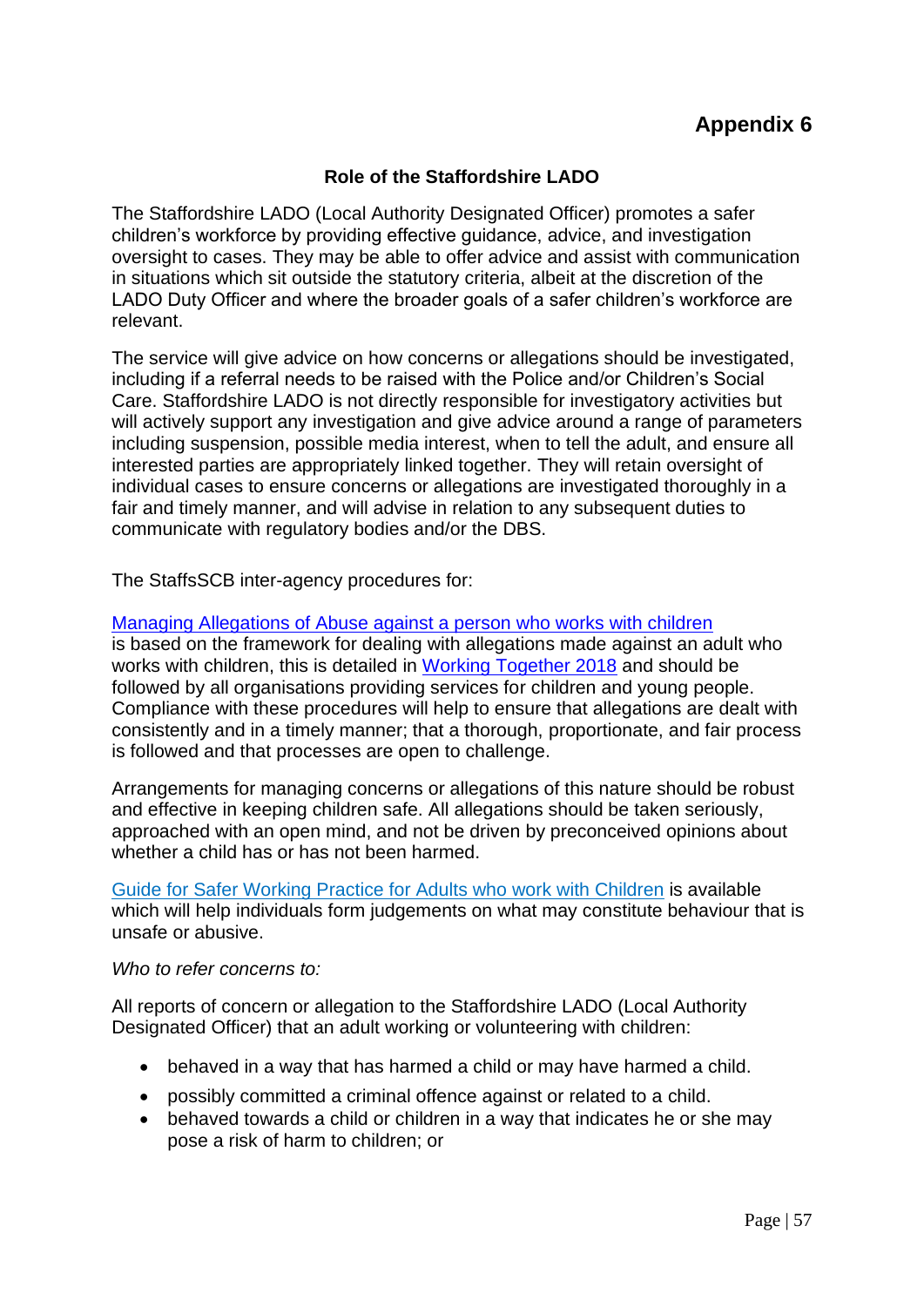## **Role of the Staffordshire LADO**

The Staffordshire LADO (Local Authority Designated Officer) promotes a safer children's workforce by providing effective guidance, advice, and investigation oversight to cases. They may be able to offer advice and assist with communication in situations which sit outside the statutory criteria, albeit at the discretion of the LADO Duty Officer and where the broader goals of a safer children's workforce are relevant.

The service will give advice on how concerns or allegations should be investigated, including if a referral needs to be raised with the Police and/or Children's Social Care. Staffordshire LADO is not directly responsible for investigatory activities but will actively support any investigation and give advice around a range of parameters including suspension, possible media interest, when to tell the adult, and ensure all interested parties are appropriately linked together. They will retain oversight of individual cases to ensure concerns or allegations are investigated thoroughly in a fair and timely manner, and will advise in relation to any subsequent duties to communicate with regulatory bodies and/or the DBS.

The StaffsSCB inter-agency procedures for:

## [Managing Allegations of Abuse against a person who works with children](https://www.staffsscb.org.uk/wp-content/uploads/2020/09/Allegations-of-abuse-made-against-a-person-who-works-with-children.pdf)

is based on the framework for dealing with allegations made against an adult who works with children, this is detailed in [Working Together 2018](https://www.gov.uk/government/publications/working-together-to-safeguard-children--2) and should be followed by all organisations providing services for children and young people. Compliance with these procedures will help to ensure that allegations are dealt with consistently and in a timely manner; that a thorough, proportionate, and fair process is followed and that processes are open to challenge.

Arrangements for managing concerns or allegations of this nature should be robust and effective in keeping children safe. All allegations should be taken seriously, approached with an open mind, and not be driven by preconceived opinions about whether a child has or has not been harmed.

[Guide for Safer Working Practice for Adults who work with Children](https://www.ssscb.org.uk/working-together-to-safeguard-children/) is available which will help individuals form judgements on what may constitute behaviour that is unsafe or abusive.

#### *Who to refer concerns to:*

All reports of concern or allegation to the Staffordshire LADO (Local Authority Designated Officer) that an adult working or volunteering with children:

- behaved in a way that has harmed a child or may have harmed a child.
- possibly committed a criminal offence against or related to a child.
- behaved towards a child or children in a way that indicates he or she may pose a risk of harm to children; or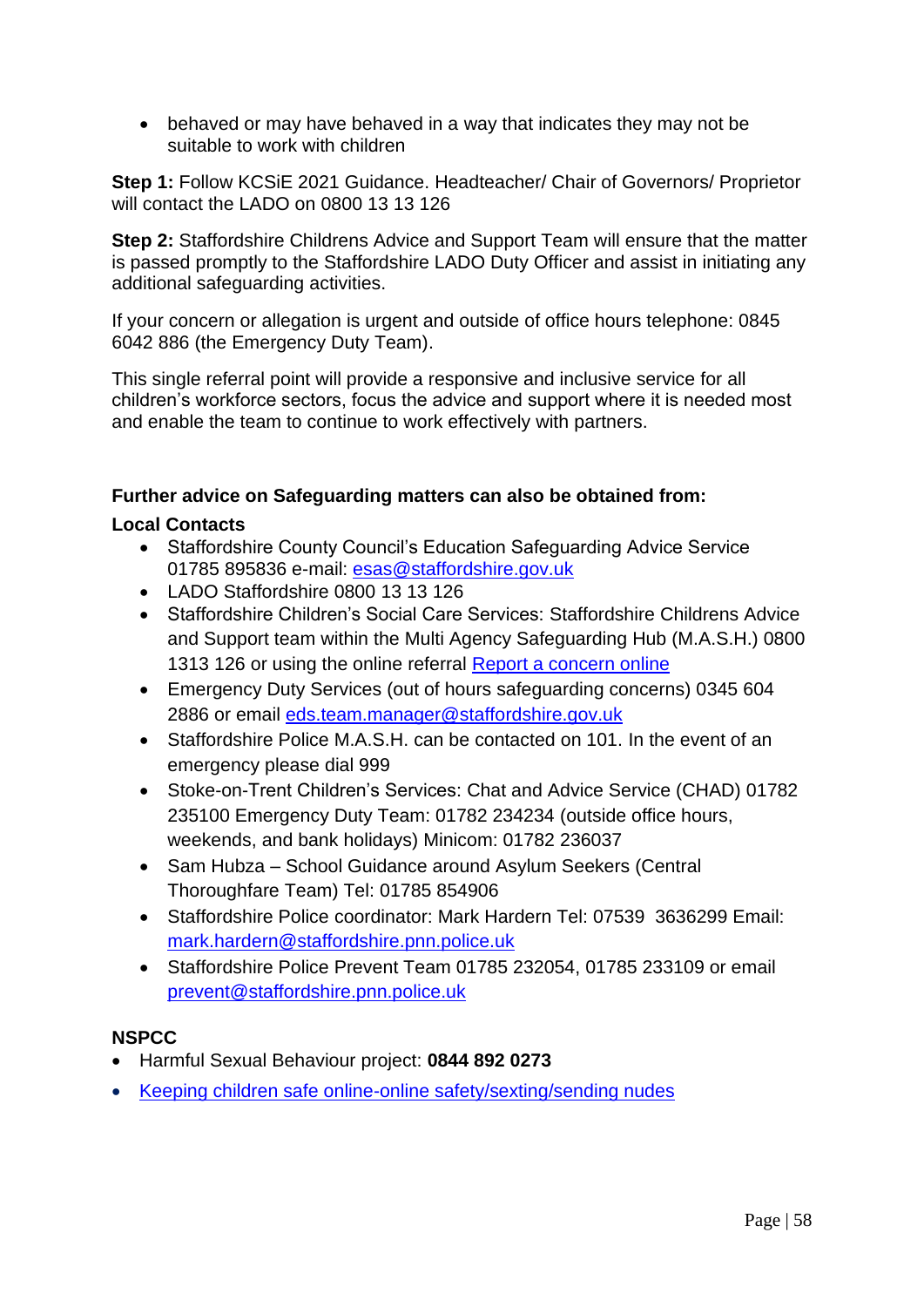• behaved or may have behaved in a way that indicates they may not be suitable to work with children

**Step 1:** Follow KCSiE 2021 Guidance. Headteacher/ Chair of Governors/ Proprietor will contact the LADO on 0800 13 13 126

**Step 2:** Staffordshire Childrens Advice and Support Team will ensure that the matter is passed promptly to the Staffordshire LADO Duty Officer and assist in initiating any additional safeguarding activities.

If your concern or allegation is urgent and outside of office hours telephone: 0845 6042 886 (the Emergency Duty Team).

This single referral point will provide a responsive and inclusive service for all children's workforce sectors, focus the advice and support where it is needed most and enable the team to continue to work effectively with partners.

## **Further advice on Safeguarding matters can also be obtained from:**

## **Local Contacts**

- Staffordshire County Council's Education Safeguarding Advice Service 01785 895836 e-mail: [esas@staffordshire.gov.uk](mailto:esas@staffordshire.gov.uk)
- LADO Staffordshire 0800 13 13 126
- Staffordshire Children's Social Care Services: Staffordshire Childrens Advice and Support team within the Multi Agency Safeguarding Hub (M.A.S.H.) 0800 1313 126 or using the online referral Report a concern online
- Emergency Duty Services (out of hours safeguarding concerns) 0345 604 2886 or email [eds.team.manager@staffordshire.gov.uk](mailto:eds.team.manager@staffordshire.gov.uk)
- Staffordshire Police M.A.S.H. can be contacted on 101. In the event of an emergency please dial 999
- Stoke-on-Trent Children's Services: Chat and Advice Service (CHAD) 01782 235100 Emergency Duty Team: 01782 234234 (outside office hours, weekends, and bank holidays) Minicom: 01782 236037
- Sam Hubza School Guidance around Asylum Seekers (Central Thoroughfare Team) Tel: 01785 854906
- Staffordshire Police coordinator: Mark Hardern Tel: 07539 3636299 Email: [mark.hardern@staffordshire.pnn.police.uk](mailto:mark.hardern@staffordshire.pnn.police.uk)
- Staffordshire Police Prevent Team 01785 232054, 01785 233109 or email [prevent@staffordshire.pnn.police.uk](mailto:prevent@staffordshire.pnn.police.uk)

### **NSPCC**

- Harmful Sexual Behaviour project: **0844 892 0273**
- [Keeping children safe online-online safety/sexting/sending nudes](https://www.nspcc.org.uk/keeping-children-safe/online-safety/sexting-sending-nudes/)